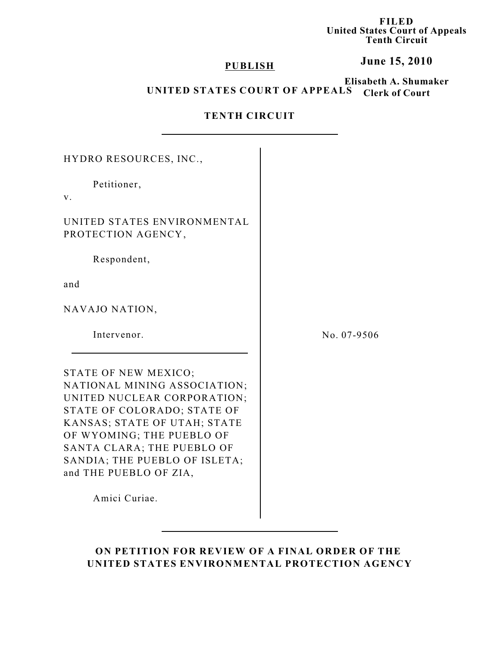**FILED United States Court of Appeals Tenth Circuit**

# **June 15, 2010**

### **PUBLISH**

**Elisabeth A. Shumaker Clerk of Court UNITED STATES COURT OF APPEALS**

## **TENTH CIRCUIT**

| HYDRO RESOURCES, INC.,                                                                                                                                                                                                                                                                    |             |
|-------------------------------------------------------------------------------------------------------------------------------------------------------------------------------------------------------------------------------------------------------------------------------------------|-------------|
| Petitioner,<br>V.                                                                                                                                                                                                                                                                         |             |
| UNITED STATES ENVIRONMENTAL<br>PROTECTION AGENCY,                                                                                                                                                                                                                                         |             |
| Respondent,                                                                                                                                                                                                                                                                               |             |
| and                                                                                                                                                                                                                                                                                       |             |
| NAVAJO NATION,                                                                                                                                                                                                                                                                            |             |
| Intervenor.                                                                                                                                                                                                                                                                               | No. 07-9506 |
| STATE OF NEW MEXICO;<br>NATIONAL MINING ASSOCIATION;<br>UNITED NUCLEAR CORPORATION;<br>STATE OF COLORADO; STATE OF<br>KANSAS; STATE OF UTAH; STATE<br>OF WYOMING; THE PUEBLO OF<br>SANTA CLARA; THE PUEBLO OF<br>SANDIA; THE PUEBLO OF ISLETA;<br>and THE PUEBLO OF ZIA,<br>Amici Curiae. |             |

**ON PETITION FOR REVIEW OF A FINAL ORDER OF THE UNITED STATES ENVIRONMENTAL PROTECTION AGENCY**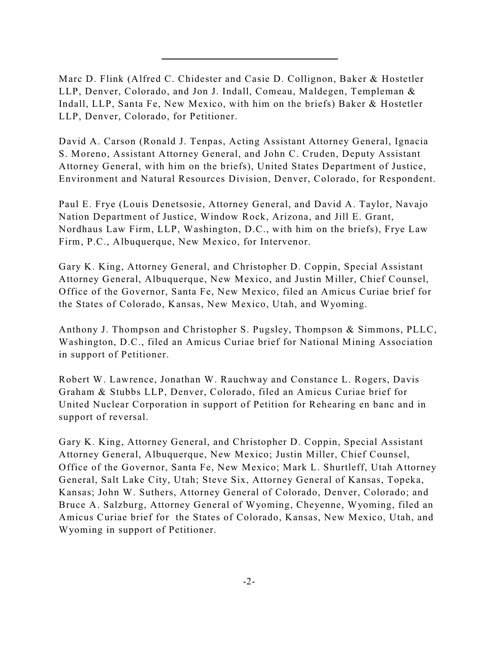Marc D. Flink (Alfred C. Chidester and Casie D. Collignon, Baker & Hostetler LLP, Denver, Colorado, and Jon J. Indall, Comeau, Maldegen, Templeman & Indall, LLP, Santa Fe, New Mexico, with him on the briefs) Baker & Hostetler LLP, Denver, Colorado, for Petitioner.

David A. Carson (Ronald J. Tenpas, Acting Assistant Attorney General, Ignacia S. Moreno, Assistant Attorney General, and John C. Cruden, Deputy Assistant Attorney General, with him on the briefs), United States Department of Justice, Environment and Natural Resources Division, Denver, Colorado, for Respondent.

Paul E. Frye (Louis Denetsosie, Attorney General, and David A. Taylor, Navajo Nation Department of Justice, Window Rock, Arizona, and Jill E. Grant, Nordhaus Law Firm, LLP, Washington, D.C., with him on the briefs), Frye Law Firm, P.C., Albuquerque, New Mexico, for Intervenor.

Gary K. King, Attorney General, and Christopher D. Coppin, Special Assistant Attorney General, Albuquerque, New Mexico, and Justin Miller, Chief Counsel, Office of the Governor, Santa Fe, New Mexico, filed an Amicus Curiae brief for the States of Colorado, Kansas, New Mexico, Utah, and Wyoming.

Anthony J. Thompson and Christopher S. Pugsley, Thompson & Simmons, PLLC, Washington, D.C., filed an Amicus Curiae brief for National Mining Association in support of Petitioner.

Robert W. Lawrence, Jonathan W. Rauchway and Constance L. Rogers, Davis Graham & Stubbs LLP, Denver, Colorado, filed an Amicus Curiae brief for United Nuclear Corporation in support of Petition for Rehearing en banc and in support of reversal.

Gary K. King, Attorney General, and Christopher D. Coppin, Special Assistant Attorney General, Albuquerque, New Mexico; Justin Miller, Chief Counsel, Office of the Governor, Santa Fe, New Mexico; Mark L. Shurtleff, Utah Attorney General, Salt Lake City, Utah; Steve Six, Attorney General of Kansas, Topeka, Kansas; John W. Suthers, Attorney General of Colorado, Denver, Colorado; and Bruce A. Salzburg, Attorney General of Wyoming, Cheyenne, Wyoming, filed an Amicus Curiae brief for the States of Colorado, Kansas, New Mexico, Utah, and Wyoming in support of Petitioner.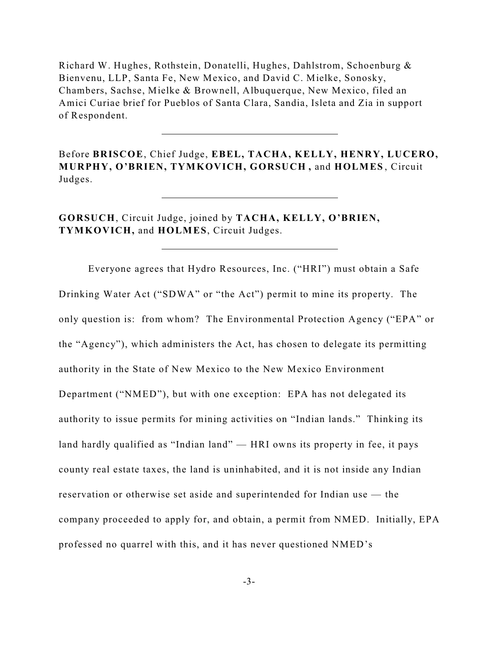Richard W. Hughes, Rothstein, Donatelli, Hughes, Dahlstrom, Schoenburg & Bienvenu, LLP, Santa Fe, New Mexico, and David C. Mielke, Sonosky, Chambers, Sachse, Mielke & Brownell, Albuquerque, New Mexico, filed an Amici Curiae brief for Pueblos of Santa Clara, Sandia, Isleta and Zia in support of Respondent.

Before **BRISCOE**, Chief Judge, **EBEL, TACHA, KELLY, HENRY, LUCERO, MURPHY, O'BRIEN, TYMKOVICH, GORSUCH ,** and **HOLMES** , Circuit Judges.

**GORSUCH**, Circuit Judge, joined by **TACHA, KELLY, O'BRIEN, TYMKOVICH,** and **HOLMES**, Circuit Judges.

Everyone agrees that Hydro Resources, Inc. ("HRI") must obtain a Safe Drinking Water Act ("SDWA" or "the Act") permit to mine its property. The only question is: from whom? The Environmental Protection Agency ("EPA" or the "Agency"), which administers the Act, has chosen to delegate its permitting authority in the State of New Mexico to the New Mexico Environment Department ("NMED"), but with one exception: EPA has not delegated its authority to issue permits for mining activities on "Indian lands." Thinking its land hardly qualified as "Indian land" — HRI owns its property in fee, it pays county real estate taxes, the land is uninhabited, and it is not inside any Indian reservation or otherwise set aside and superintended for Indian use — the company proceeded to apply for, and obtain, a permit from NMED. Initially, EPA professed no quarrel with this, and it has never questioned NMED's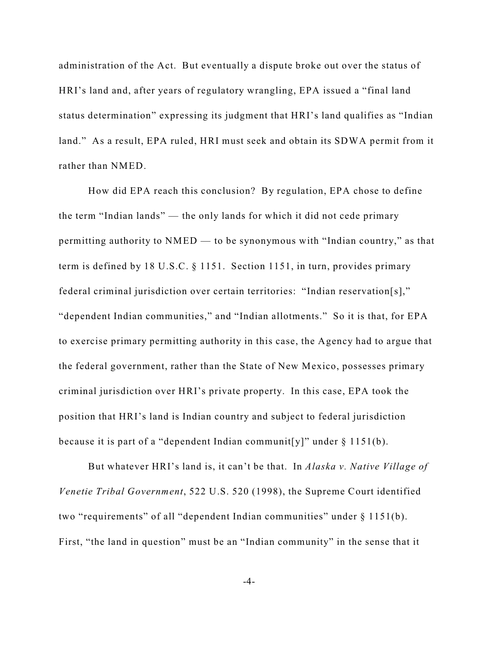administration of the Act. But eventually a dispute broke out over the status of HRI's land and, after years of regulatory wrangling, EPA issued a "final land status determination" expressing its judgment that HRI's land qualifies as "Indian land." As a result, EPA ruled, HRI must seek and obtain its SDWA permit from it rather than NMED.

How did EPA reach this conclusion? By regulation, EPA chose to define the term "Indian lands" — the only lands for which it did not cede primary permitting authority to NMED — to be synonymous with "Indian country," as that term is defined by 18 U.S.C. § 1151. Section 1151, in turn, provides primary federal criminal jurisdiction over certain territories: "Indian reservation[s]," "dependent Indian communities," and "Indian allotments." So it is that, for EPA to exercise primary permitting authority in this case, the Agency had to argue that the federal government, rather than the State of New Mexico, possesses primary criminal jurisdiction over HRI's private property. In this case, EPA took the position that HRI's land is Indian country and subject to federal jurisdiction because it is part of a "dependent Indian communit[y]" under  $\S 1151(b)$ .

But whatever HRI's land is, it can't be that. In *Alaska v. Native Village of Venetie Tribal Government*, 522 U.S. 520 (1998), the Supreme Court identified two "requirements" of all "dependent Indian communities" under § 1151(b). First, "the land in question" must be an "Indian community" in the sense that it

-4-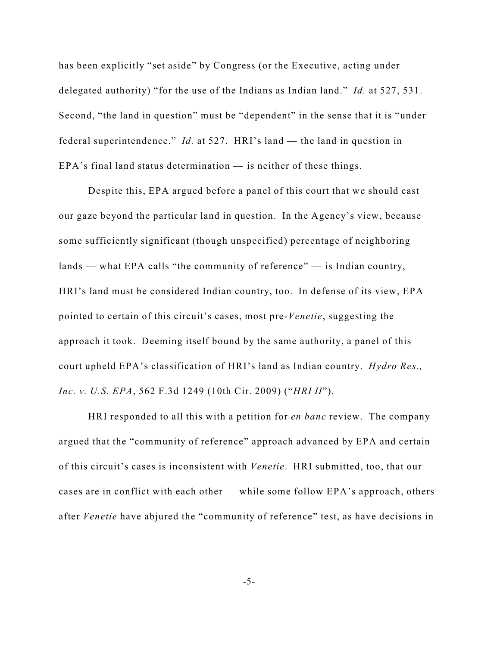has been explicitly "set aside" by Congress (or the Executive, acting under delegated authority) "for the use of the Indians as Indian land." *Id.* at 527, 531. Second, "the land in question" must be "dependent" in the sense that it is "under federal superintendence." *Id.* at 527. HRI's land — the land in question in EPA's final land status determination — is neither of these things.

Despite this, EPA argued before a panel of this court that we should cast our gaze beyond the particular land in question. In the Agency's view, because some sufficiently significant (though unspecified) percentage of neighboring lands — what EPA calls "the community of reference" — is Indian country, HRI's land must be considered Indian country, too. In defense of its view, EPA pointed to certain of this circuit's cases, most pre-*Venetie*, suggesting the approach it took. Deeming itself bound by the same authority, a panel of this court upheld EPA's classification of HRI's land as Indian country. *Hydro Res., Inc. v. U.S. EPA*, 562 F.3d 1249 (10th Cir. 2009) ("*HRI II*").

HRI responded to all this with a petition for *en banc* review. The company argued that the "community of reference" approach advanced by EPA and certain of this circuit's cases is inconsistent with *Venetie*. HRI submitted, too, that our cases are in conflict with each other — while some follow EPA's approach, others after *Venetie* have abjured the "community of reference" test, as have decisions in

-5-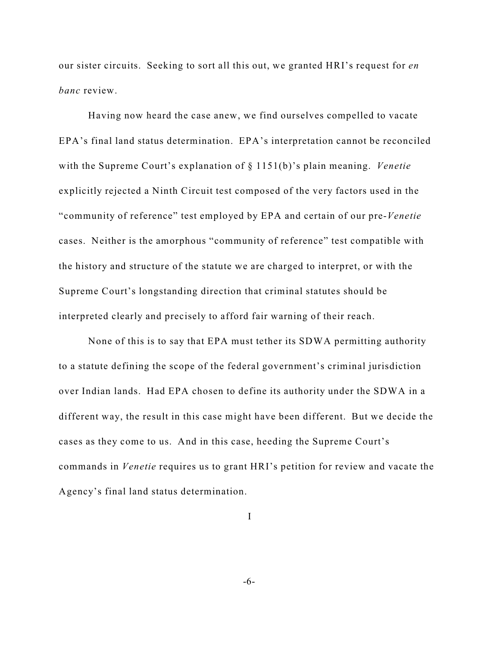our sister circuits. Seeking to sort all this out, we granted HRI's request for *en banc* review.

Having now heard the case anew, we find ourselves compelled to vacate EPA's final land status determination. EPA's interpretation cannot be reconciled with the Supreme Court's explanation of § 1151(b)'s plain meaning. *Venetie* explicitly rejected a Ninth Circuit test composed of the very factors used in the "community of reference" test employed by EPA and certain of our pre-*Venetie* cases. Neither is the amorphous "community of reference" test compatible with the history and structure of the statute we are charged to interpret, or with the Supreme Court's longstanding direction that criminal statutes should be interpreted clearly and precisely to afford fair warning of their reach.

None of this is to say that EPA must tether its SDWA permitting authority to a statute defining the scope of the federal government's criminal jurisdiction over Indian lands. Had EPA chosen to define its authority under the SDWA in a different way, the result in this case might have been different. But we decide the cases as they come to us. And in this case, heeding the Supreme Court's commands in *Venetie* requires us to grant HRI's petition for review and vacate the Agency's final land status determination.

I

-6-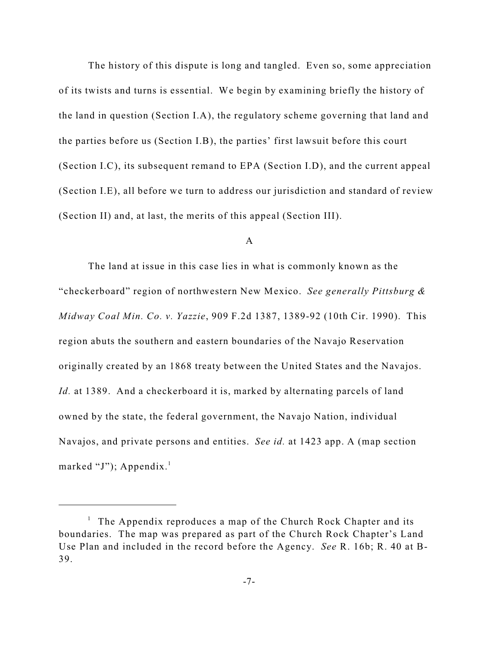The history of this dispute is long and tangled. Even so, some appreciation of its twists and turns is essential. We begin by examining briefly the history of the land in question (Section I.A), the regulatory scheme governing that land and the parties before us (Section I.B), the parties' first lawsuit before this court (Section I.C), its subsequent remand to EPA (Section I.D), and the current appeal (Section I.E), all before we turn to address our jurisdiction and standard of review (Section II) and, at last, the merits of this appeal (Section III).

A

The land at issue in this case lies in what is commonly known as the "checkerboard" region of northwestern New Mexico. *See generally Pittsburg & Midway Coal Min. Co. v. Yazzie*, 909 F.2d 1387, 1389-92 (10th Cir. 1990). This region abuts the southern and eastern boundaries of the Navajo Reservation originally created by an 1868 treaty between the United States and the Navajos. *Id.* at 1389. And a checkerboard it is, marked by alternating parcels of land owned by the state, the federal government, the Navajo Nation, individual Navajos, and private persons and entities. *See id.* at 1423 app. A (map section marked "J"); Appendix. 1

 $1$  The Appendix reproduces a map of the Church Rock Chapter and its boundaries. The map was prepared as part of the Church Rock Chapter's Land Use Plan and included in the record before the Agency. *See* R. 16b; R. 40 at B-39.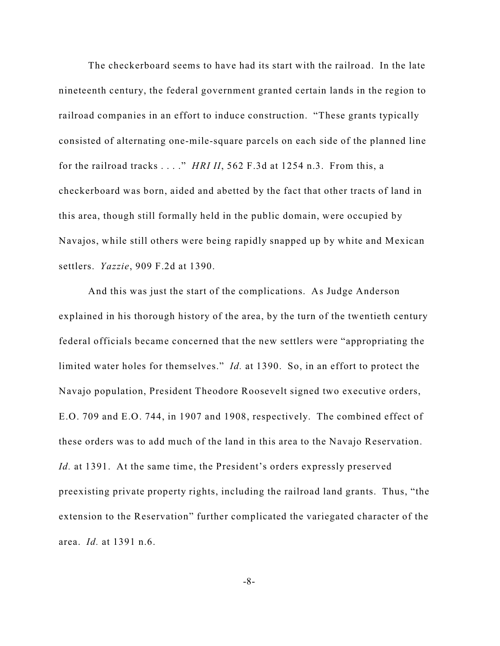The checkerboard seems to have had its start with the railroad. In the late nineteenth century, the federal government granted certain lands in the region to railroad companies in an effort to induce construction. "These grants typically consisted of alternating one-mile-square parcels on each side of the planned line for the railroad tracks . . . ." *HRI II*, 562 F.3d at 1254 n.3. From this, a checkerboard was born, aided and abetted by the fact that other tracts of land in this area, though still formally held in the public domain, were occupied by Navajos, while still others were being rapidly snapped up by white and Mexican settlers. *Yazzie*, 909 F.2d at 1390.

And this was just the start of the complications. As Judge Anderson explained in his thorough history of the area, by the turn of the twentieth century federal officials became concerned that the new settlers were "appropriating the limited water holes for themselves." *Id.* at 1390. So, in an effort to protect the Navajo population, President Theodore Roosevelt signed two executive orders, E.O. 709 and E.O. 744, in 1907 and 1908, respectively. The combined effect of these orders was to add much of the land in this area to the Navajo Reservation. *Id.* at 1391. At the same time, the President's orders expressly preserved preexisting private property rights, including the railroad land grants. Thus, "the extension to the Reservation" further complicated the variegated character of the area. *Id.* at 1391 n.6.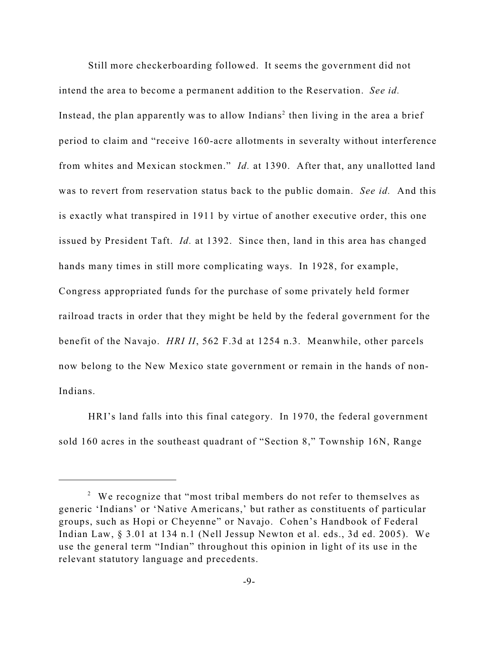Still more checkerboarding followed. It seems the government did not intend the area to become a permanent addition to the Reservation. *See id.* Instead, the plan apparently was to allow Indians<sup>2</sup> then living in the area a brief period to claim and "receive 160-acre allotments in severalty without interference from whites and Mexican stockmen." *Id.* at 1390. After that, any unallotted land was to revert from reservation status back to the public domain. *See id.* And this is exactly what transpired in 1911 by virtue of another executive order, this one issued by President Taft. *Id.* at 1392. Since then, land in this area has changed hands many times in still more complicating ways. In 1928, for example, Congress appropriated funds for the purchase of some privately held former railroad tracts in order that they might be held by the federal government for the benefit of the Navajo. *HRI II*, 562 F.3d at 1254 n.3. Meanwhile, other parcels now belong to the New Mexico state government or remain in the hands of non-Indians.

HRI's land falls into this final category. In 1970, the federal government sold 160 acres in the southeast quadrant of "Section 8," Township 16N, Range

 $2$  We recognize that "most tribal members do not refer to themselves as generic 'Indians' or 'Native Americans,' but rather as constituents of particular groups, such as Hopi or Cheyenne" or Navajo. Cohen's Handbook of Federal Indian Law, § 3.01 at 134 n.1 (Nell Jessup Newton et al. eds., 3d ed. 2005). We use the general term "Indian" throughout this opinion in light of its use in the relevant statutory language and precedents.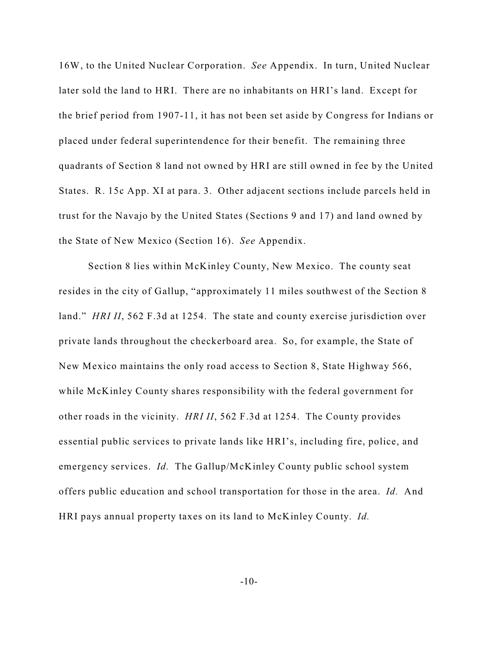16W, to the United Nuclear Corporation. *See* Appendix. In turn, United Nuclear later sold the land to HRI. There are no inhabitants on HRI's land. Except for the brief period from 1907-11, it has not been set aside by Congress for Indians or placed under federal superintendence for their benefit. The remaining three quadrants of Section 8 land not owned by HRI are still owned in fee by the United States. R. 15c App. XI at para. 3. Other adjacent sections include parcels held in trust for the Navajo by the United States (Sections 9 and 17) and land owned by the State of New Mexico (Section 16). *See* Appendix.

Section 8 lies within McKinley County, New Mexico. The county seat resides in the city of Gallup, "approximately 11 miles southwest of the Section 8 land." *HRI II*, 562 F.3d at 1254. The state and county exercise jurisdiction over private lands throughout the checkerboard area. So, for example, the State of New Mexico maintains the only road access to Section 8, State Highway 566, while McKinley County shares responsibility with the federal government for other roads in the vicinity. *HRI II*, 562 F.3d at 1254. The County provides essential public services to private lands like HRI's, including fire, police, and emergency services. *Id.* The Gallup/McKinley County public school system offers public education and school transportation for those in the area. *Id.* And HRI pays annual property taxes on its land to McKinley County. *Id.*

-10-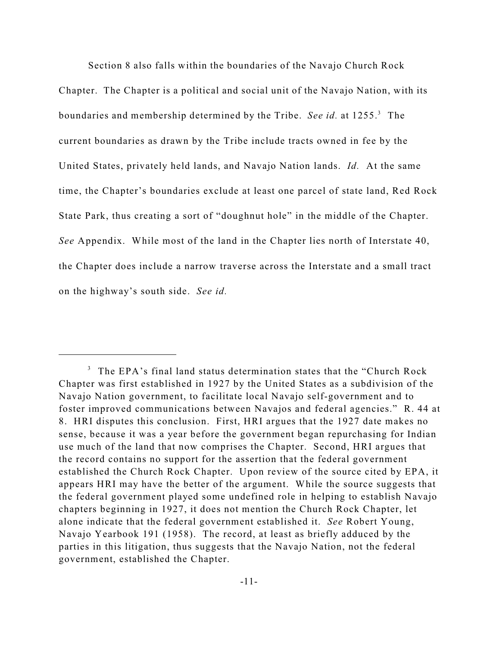Section 8 also falls within the boundaries of the Navajo Church Rock

Chapter. The Chapter is a political and social unit of the Navajo Nation, with its boundaries and membership determined by the Tribe. See id. at 1255.<sup>3</sup> The current boundaries as drawn by the Tribe include tracts owned in fee by the United States, privately held lands, and Navajo Nation lands. *Id.* At the same time, the Chapter's boundaries exclude at least one parcel of state land, Red Rock State Park, thus creating a sort of "doughnut hole" in the middle of the Chapter. *See* Appendix. While most of the land in the Chapter lies north of Interstate 40, the Chapter does include a narrow traverse across the Interstate and a small tract on the highway's south side. *See id.*

<sup>&</sup>lt;sup>3</sup> The EPA's final land status determination states that the "Church Rock Chapter was first established in 1927 by the United States as a subdivision of the Navajo Nation government, to facilitate local Navajo self-government and to foster improved communications between Navajos and federal agencies." R. 44 at 8. HRI disputes this conclusion. First, HRI argues that the 1927 date makes no sense, because it was a year before the government began repurchasing for Indian use much of the land that now comprises the Chapter. Second, HRI argues that the record contains no support for the assertion that the federal government established the Church Rock Chapter. Upon review of the source cited by EPA, it appears HRI may have the better of the argument. While the source suggests that the federal government played some undefined role in helping to establish Navajo chapters beginning in 1927, it does not mention the Church Rock Chapter, let alone indicate that the federal government established it. *See* Robert Young, Navajo Yearbook 191 (1958). The record, at least as briefly adduced by the parties in this litigation, thus suggests that the Navajo Nation, not the federal government, established the Chapter.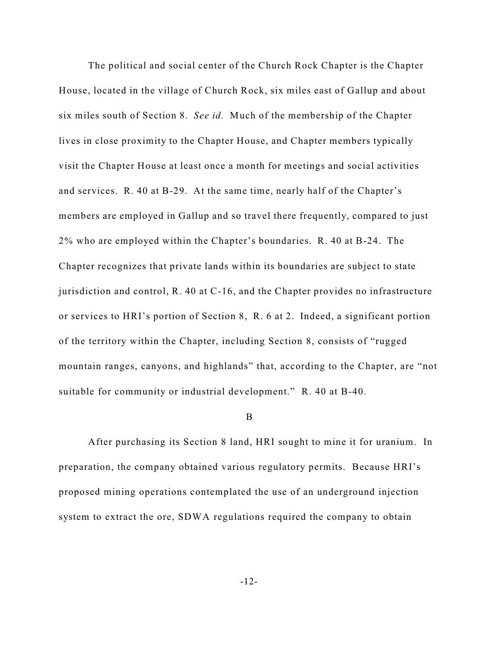The political and social center of the Church Rock Chapter is the Chapter House, located in the village of Church Rock, six miles east of Gallup and about six miles south of Section 8. *See id.* Much of the membership of the Chapter lives in close proximity to the Chapter House, and Chapter members typically visit the Chapter House at least once a month for meetings and social activities and services. R. 40 at B-29. At the same time, nearly half of the Chapter's members are employed in Gallup and so travel there frequently, compared to just 2% who are employed within the Chapter's boundaries. R. 40 at B-24. The Chapter recognizes that private lands within its boundaries are subject to state jurisdiction and control, R. 40 at C-16, and the Chapter provides no infrastructure or services to HRI's portion of Section 8, R. 6 at 2. Indeed, a significant portion of the territory within the Chapter, including Section 8, consists of "rugged mountain ranges, canyons, and highlands" that, according to the Chapter, are "not suitable for community or industrial development." R. 40 at B-40.

#### B

After purchasing its Section 8 land, HRI sought to mine it for uranium. In preparation, the company obtained various regulatory permits. Because HRI's proposed mining operations contemplated the use of an underground injection system to extract the ore, SDWA regulations required the company to obtain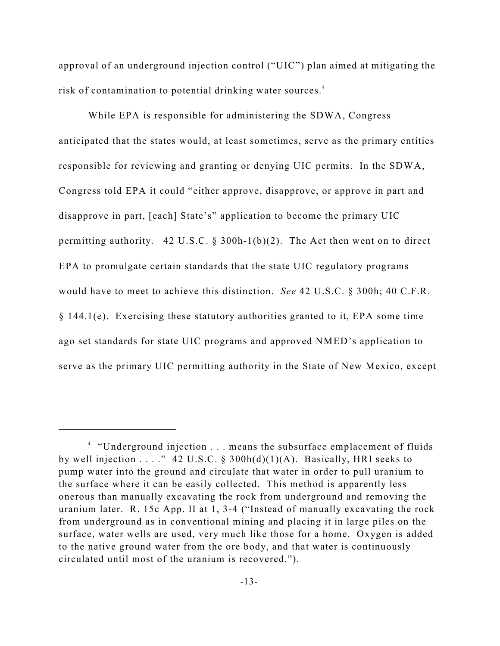approval of an underground injection control ("UIC") plan aimed at mitigating the risk of contamination to potential drinking water sources. 4

While EPA is responsible for administering the SDWA, Congress anticipated that the states would, at least sometimes, serve as the primary entities responsible for reviewing and granting or denying UIC permits. In the SDWA, Congress told EPA it could "either approve, disapprove, or approve in part and disapprove in part, [each] State's" application to become the primary UIC permitting authority. 42 U.S.C. § 300h-1(b)(2). The Act then went on to direct EPA to promulgate certain standards that the state UIC regulatory programs would have to meet to achieve this distinction. *See* 42 U.S.C. § 300h; 40 C.F.R.  $§$  144.1(e). Exercising these statutory authorities granted to it, EPA some time ago set standards for state UIC programs and approved NMED's application to serve as the primary UIC permitting authority in the State of New Mexico, except

<sup>&</sup>lt;sup>4</sup> "Underground injection  $\dots$  means the subsurface emplacement of fluids by well injection . . . ." 42 U.S.C. § 300h(d)(1)(A). Basically, HRI seeks to pump water into the ground and circulate that water in order to pull uranium to the surface where it can be easily collected. This method is apparently less onerous than manually excavating the rock from underground and removing the uranium later. R. 15c App. II at 1, 3-4 ("Instead of manually excavating the rock from underground as in conventional mining and placing it in large piles on the surface, water wells are used, very much like those for a home. Oxygen is added to the native ground water from the ore body, and that water is continuously circulated until most of the uranium is recovered.").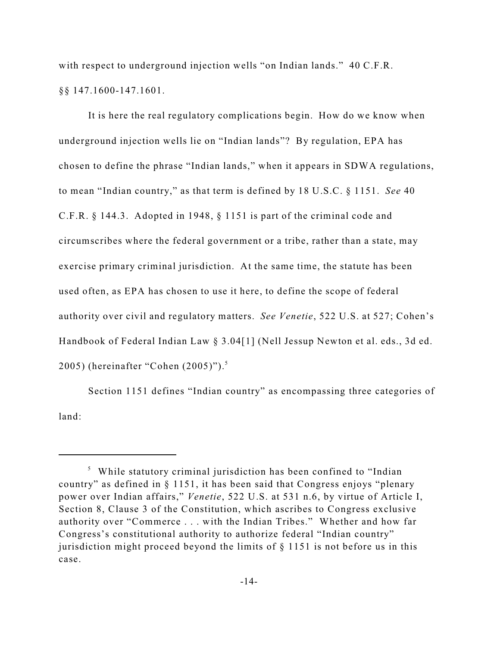with respect to underground injection wells "on Indian lands." 40 C.F.R. §§ 147.1600-147.1601.

It is here the real regulatory complications begin. How do we know when underground injection wells lie on "Indian lands"? By regulation, EPA has chosen to define the phrase "Indian lands," when it appears in SDWA regulations, to mean "Indian country," as that term is defined by 18 U.S.C. § 1151. *See* 40 C.F.R. § 144.3. Adopted in 1948, § 1151 is part of the criminal code and circumscribes where the federal government or a tribe, rather than a state, may exercise primary criminal jurisdiction. At the same time, the statute has been used often, as EPA has chosen to use it here, to define the scope of federal authority over civil and regulatory matters. *See Venetie*, 522 U.S. at 527; Cohen's Handbook of Federal Indian Law § 3.04[1] (Nell Jessup Newton et al. eds., 3d ed. 2005) (hereinafter "Cohen (2005)"). 5

Section 1151 defines "Indian country" as encompassing three categories of land:

<sup>&</sup>lt;sup>5</sup> While statutory criminal jurisdiction has been confined to "Indian country" as defined in § 1151, it has been said that Congress enjoys "plenary power over Indian affairs," *Venetie*, 522 U.S. at 531 n.6, by virtue of Article I, Section 8, Clause 3 of the Constitution, which ascribes to Congress exclusive authority over "Commerce . . . with the Indian Tribes." Whether and how far Congress's constitutional authority to authorize federal "Indian country" jurisdiction might proceed beyond the limits of § 1151 is not before us in this case.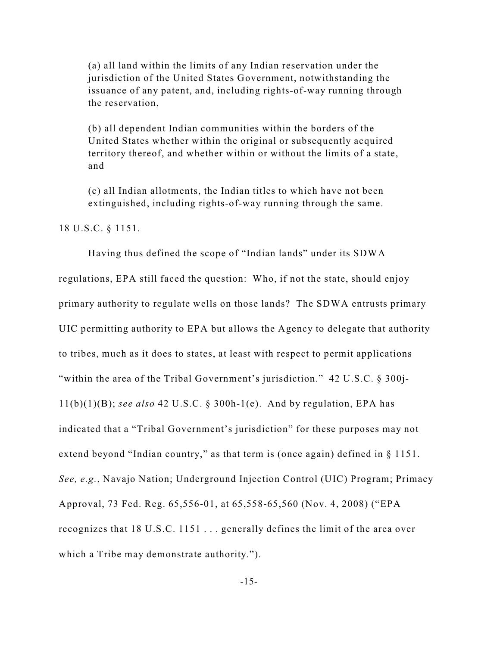(a) all land within the limits of any Indian reservation under the jurisdiction of the United States Government, notwithstanding the issuance of any patent, and, including rights-of-way running through the reservation,

(b) all dependent Indian communities within the borders of the United States whether within the original or subsequently acquired territory thereof, and whether within or without the limits of a state, and

(c) all Indian allotments, the Indian titles to which have not been extinguished, including rights-of-way running through the same.

18 U.S.C. § 1151.

Having thus defined the scope of "Indian lands" under its SDWA regulations, EPA still faced the question: Who, if not the state, should enjoy primary authority to regulate wells on those lands? The SDWA entrusts primary UIC permitting authority to EPA but allows the Agency to delegate that authority to tribes, much as it does to states, at least with respect to permit applications "within the area of the Tribal Government's jurisdiction." 42 U.S.C. § 300j-11(b)(1)(B); *see also* 42 U.S.C. § 300h-1(e). And by regulation, EPA has indicated that a "Tribal Government's jurisdiction" for these purposes may not extend beyond "Indian country," as that term is (once again) defined in § 1151. *See, e.g.*, Navajo Nation; Underground Injection Control (UIC) Program; Primacy Approval, 73 Fed. Reg. 65,556-01, at 65,558-65,560 (Nov. 4, 2008) ("EPA recognizes that 18 U.S.C. 1151 . . . generally defines the limit of the area over which a Tribe may demonstrate authority.").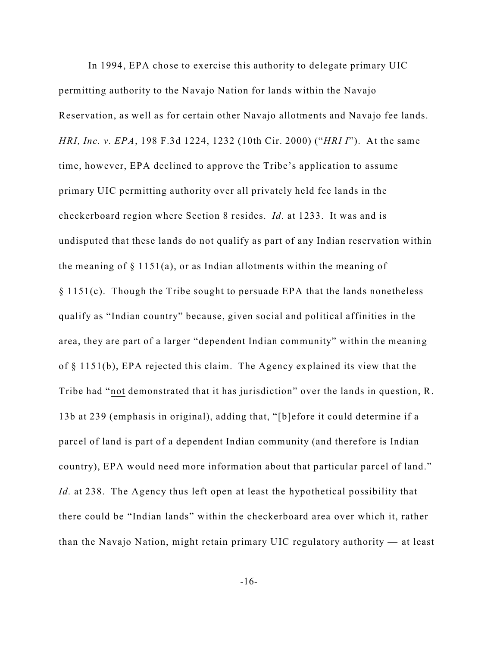In 1994, EPA chose to exercise this authority to delegate primary UIC permitting authority to the Navajo Nation for lands within the Navajo Reservation, as well as for certain other Navajo allotments and Navajo fee lands. *HRI, Inc. v. EPA*, 198 F.3d 1224, 1232 (10th Cir. 2000) ("*HRI I*"). At the same time, however, EPA declined to approve the Tribe's application to assume primary UIC permitting authority over all privately held fee lands in the checkerboard region where Section 8 resides. *Id.* at 1233. It was and is undisputed that these lands do not qualify as part of any Indian reservation within the meaning of  $\S 1151(a)$ , or as Indian allotments within the meaning of § 1151(c). Though the Tribe sought to persuade EPA that the lands nonetheless qualify as "Indian country" because, given social and political affinities in the area, they are part of a larger "dependent Indian community" within the meaning of § 1151(b), EPA rejected this claim. The Agency explained its view that the Tribe had "not demonstrated that it has jurisdiction" over the lands in question, R. 13b at 239 (emphasis in original), adding that, "[b]efore it could determine if a parcel of land is part of a dependent Indian community (and therefore is Indian country), EPA would need more information about that particular parcel of land." *Id.* at 238. The Agency thus left open at least the hypothetical possibility that there could be "Indian lands" within the checkerboard area over which it, rather than the Navajo Nation, might retain primary UIC regulatory authority — at least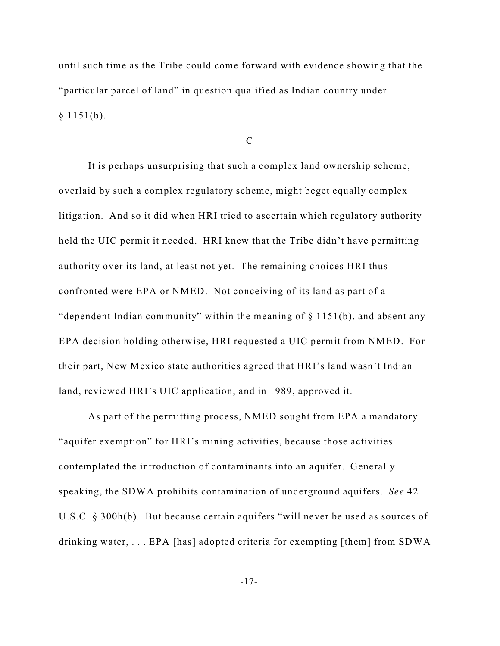until such time as the Tribe could come forward with evidence showing that the "particular parcel of land" in question qualified as Indian country under  $§ 1151(b).$ 

 $\mathcal{C}$ 

It is perhaps unsurprising that such a complex land ownership scheme, overlaid by such a complex regulatory scheme, might beget equally complex litigation. And so it did when HRI tried to ascertain which regulatory authority held the UIC permit it needed. HRI knew that the Tribe didn't have permitting authority over its land, at least not yet. The remaining choices HRI thus confronted were EPA or NMED. Not conceiving of its land as part of a "dependent Indian community" within the meaning of § 1151(b), and absent any EPA decision holding otherwise, HRI requested a UIC permit from NMED. For their part, New Mexico state authorities agreed that HRI's land wasn't Indian land, reviewed HRI's UIC application, and in 1989, approved it.

As part of the permitting process, NMED sought from EPA a mandatory "aquifer exemption" for HRI's mining activities, because those activities contemplated the introduction of contaminants into an aquifer. Generally speaking, the SDWA prohibits contamination of underground aquifers. *See* 42 U.S.C. § 300h(b). But because certain aquifers "will never be used as sources of drinking water, . . . EPA [has] adopted criteria for exempting [them] from SDWA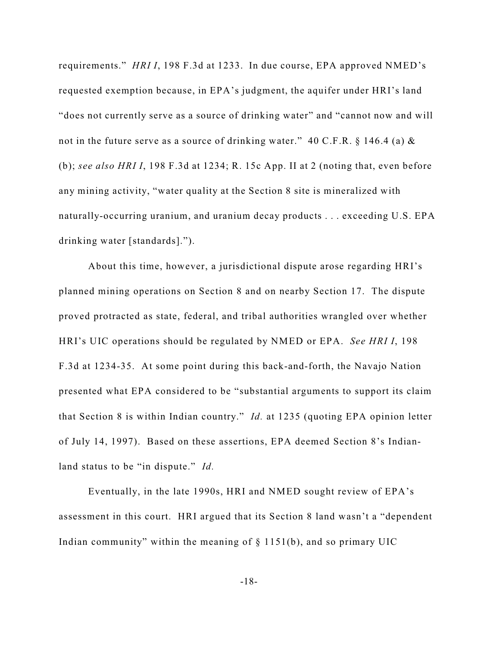requirements." *HRI I*, 198 F.3d at 1233. In due course, EPA approved NMED's requested exemption because, in EPA's judgment, the aquifer under HRI's land "does not currently serve as a source of drinking water" and "cannot now and will not in the future serve as a source of drinking water." 40 C.F.R. § 146.4 (a) & (b); *see also HRI I*, 198 F.3d at 1234; R. 15c App. II at 2 (noting that, even before any mining activity, "water quality at the Section 8 site is mineralized with naturally-occurring uranium, and uranium decay products . . . exceeding U.S. EPA drinking water [standards].").

About this time, however, a jurisdictional dispute arose regarding HRI's planned mining operations on Section 8 and on nearby Section 17. The dispute proved protracted as state, federal, and tribal authorities wrangled over whether HRI's UIC operations should be regulated by NMED or EPA. *See HRI I*, 198 F.3d at 1234-35. At some point during this back-and-forth, the Navajo Nation presented what EPA considered to be "substantial arguments to support its claim that Section 8 is within Indian country." *Id.* at 1235 (quoting EPA opinion letter of July 14, 1997). Based on these assertions, EPA deemed Section 8's Indianland status to be "in dispute." *Id.*

Eventually, in the late 1990s, HRI and NMED sought review of EPA's assessment in this court. HRI argued that its Section 8 land wasn't a "dependent Indian community" within the meaning of  $\S$  1151(b), and so primary UIC

-18-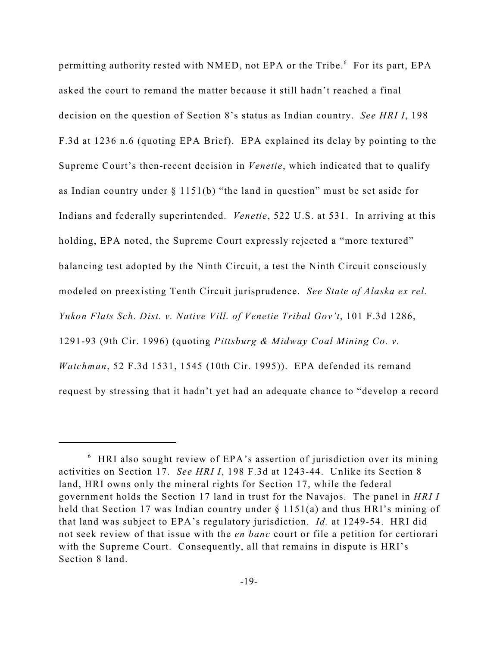permitting authority rested with NMED, not EPA or the Tribe.<sup>6</sup> For its part, EPA asked the court to remand the matter because it still hadn't reached a final decision on the question of Section 8's status as Indian country. *See HRI I*, 198 F.3d at 1236 n.6 (quoting EPA Brief). EPA explained its delay by pointing to the Supreme Court's then-recent decision in *Venetie*, which indicated that to qualify as Indian country under § 1151(b) "the land in question" must be set aside for Indians and federally superintended. *Venetie*, 522 U.S. at 531. In arriving at this holding, EPA noted, the Supreme Court expressly rejected a "more textured" balancing test adopted by the Ninth Circuit, a test the Ninth Circuit consciously modeled on preexisting Tenth Circuit jurisprudence. *See State of Alaska ex rel. Yukon Flats Sch. Dist. v. Native Vill. of Venetie Tribal Gov't*, 101 F.3d 1286, 1291-93 (9th Cir. 1996) (quoting *Pittsburg & Midway Coal Mining Co. v. Watchman*, 52 F.3d 1531, 1545 (10th Cir. 1995)). EPA defended its remand request by stressing that it hadn't yet had an adequate chance to "develop a record

 $6$  HRI also sought review of EPA's assertion of jurisdiction over its mining activities on Section 17. *See HRI I*, 198 F.3d at 1243-44. Unlike its Section 8 land, HRI owns only the mineral rights for Section 17, while the federal government holds the Section 17 land in trust for the Navajos. The panel in *HRI I* held that Section 17 was Indian country under § 1151(a) and thus HRI's mining of that land was subject to EPA's regulatory jurisdiction. *Id.* at 1249-54. HRI did not seek review of that issue with the *en banc* court or file a petition for certiorari with the Supreme Court. Consequently, all that remains in dispute is HRI's Section 8 land.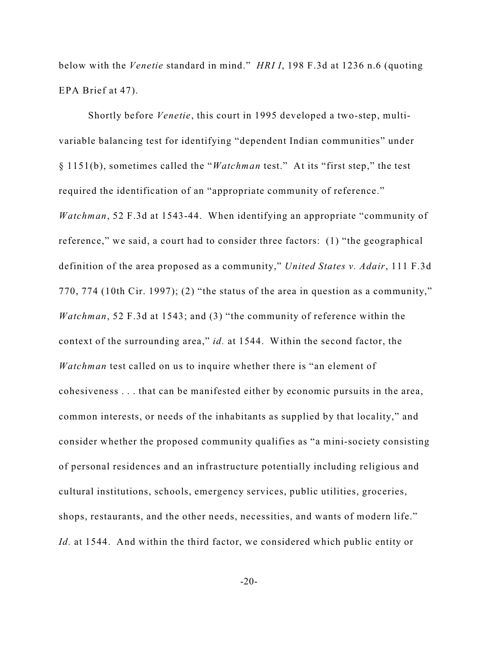below with the *Venetie* standard in mind." *HRI I*, 198 F.3d at 1236 n.6 (quoting EPA Brief at 47).

Shortly before *Venetie*, this court in 1995 developed a two-step, multivariable balancing test for identifying "dependent Indian communities" under § 1151(b), sometimes called the "*Watchman* test." At its "first step," the test required the identification of an "appropriate community of reference." *Watchman*, 52 F.3d at 1543-44. When identifying an appropriate "community of reference," we said, a court had to consider three factors: (1) "the geographical definition of the area proposed as a community," *United States v. Adair*, 111 F.3d 770, 774 (10th Cir. 1997); (2) "the status of the area in question as a community," *Watchman*, 52 F.3d at 1543; and (3) "the community of reference within the context of the surrounding area," *id.* at 1544. Within the second factor, the *Watchman* test called on us to inquire whether there is "an element of cohesiveness . . . that can be manifested either by economic pursuits in the area, common interests, or needs of the inhabitants as supplied by that locality," and consider whether the proposed community qualifies as "a mini-society consisting of personal residences and an infrastructure potentially including religious and cultural institutions, schools, emergency services, public utilities, groceries, shops, restaurants, and the other needs, necessities, and wants of modern life." *Id.* at 1544. And within the third factor, we considered which public entity or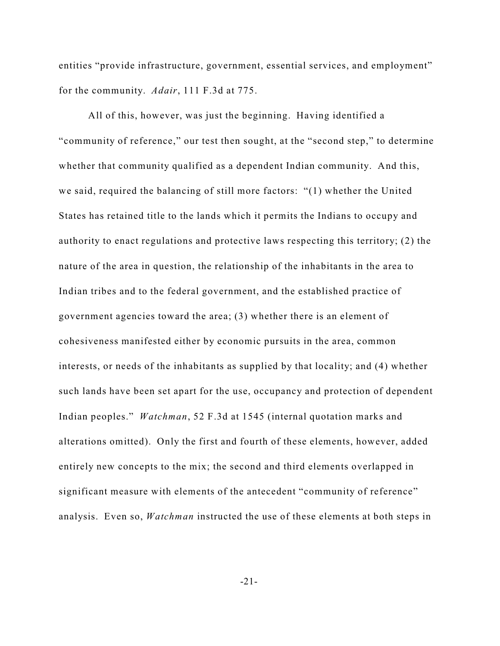entities "provide infrastructure, government, essential services, and employment" for the community. *Adair*, 111 F.3d at 775.

All of this, however, was just the beginning. Having identified a "community of reference," our test then sought, at the "second step," to determine whether that community qualified as a dependent Indian community. And this, we said, required the balancing of still more factors: "(1) whether the United States has retained title to the lands which it permits the Indians to occupy and authority to enact regulations and protective laws respecting this territory; (2) the nature of the area in question, the relationship of the inhabitants in the area to Indian tribes and to the federal government, and the established practice of government agencies toward the area; (3) whether there is an element of cohesiveness manifested either by economic pursuits in the area, common interests, or needs of the inhabitants as supplied by that locality; and (4) whether such lands have been set apart for the use, occupancy and protection of dependent Indian peoples." *Watchman*, 52 F.3d at 1545 (internal quotation marks and alterations omitted). Only the first and fourth of these elements, however, added entirely new concepts to the mix; the second and third elements overlapped in significant measure with elements of the antecedent "community of reference" analysis. Even so, *Watchman* instructed the use of these elements at both steps in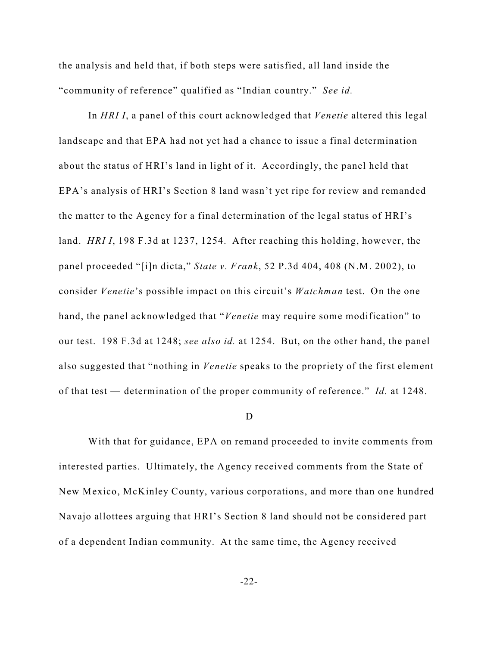the analysis and held that, if both steps were satisfied, all land inside the "community of reference" qualified as "Indian country." *See id.*

In *HRI I*, a panel of this court acknowledged that *Venetie* altered this legal landscape and that EPA had not yet had a chance to issue a final determination about the status of HRI's land in light of it. Accordingly, the panel held that EPA's analysis of HRI's Section 8 land wasn't yet ripe for review and remanded the matter to the Agency for a final determination of the legal status of HRI's land. *HRI I*, 198 F.3d at 1237, 1254. After reaching this holding, however, the panel proceeded "[i]n dicta," *State v. Frank*, 52 P.3d 404, 408 (N.M. 2002), to consider *Venetie*'s possible impact on this circuit's *Watchman* test. On the one hand, the panel acknowledged that "*Venetie* may require some modification" to our test. 198 F.3d at 1248; *see also id.* at 1254. But, on the other hand, the panel also suggested that "nothing in *Venetie* speaks to the propriety of the first element of that test — determination of the proper community of reference." *Id.* at 1248.

#### D

With that for guidance, EPA on remand proceeded to invite comments from interested parties. Ultimately, the Agency received comments from the State of New Mexico, McKinley County, various corporations, and more than one hundred Navajo allottees arguing that HRI's Section 8 land should not be considered part of a dependent Indian community. At the same time, the Agency received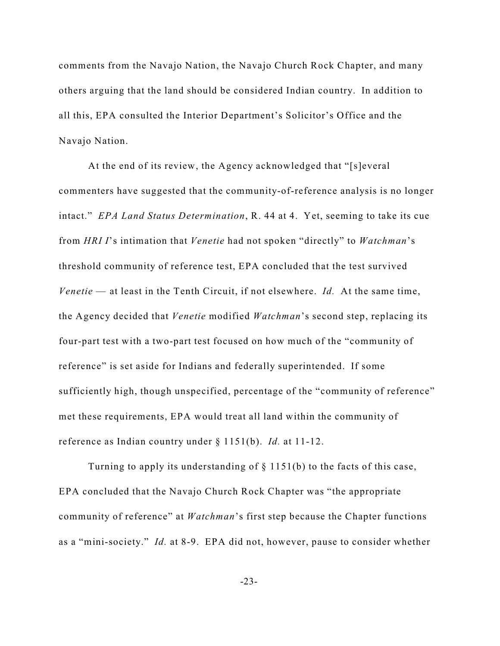comments from the Navajo Nation, the Navajo Church Rock Chapter, and many others arguing that the land should be considered Indian country. In addition to all this, EPA consulted the Interior Department's Solicitor's Office and the Navajo Nation.

At the end of its review, the Agency acknowledged that "[s]everal commenters have suggested that the community-of-reference analysis is no longer intact." *EPA Land Status Determination*, R. 44 at 4. Yet, seeming to take its cue from *HRI I*'s intimation that *Venetie* had not spoken "directly" to *Watchman*'s threshold community of reference test, EPA concluded that the test survived *Venetie* — at least in the Tenth Circuit, if not elsewhere. *Id.* At the same time, the Agency decided that *Venetie* modified *Watchman*'s second step, replacing its four-part test with a two-part test focused on how much of the "community of reference" is set aside for Indians and federally superintended. If some sufficiently high, though unspecified, percentage of the "community of reference" met these requirements, EPA would treat all land within the community of reference as Indian country under § 1151(b). *Id.* at 11-12.

Turning to apply its understanding of § 1151(b) to the facts of this case, EPA concluded that the Navajo Church Rock Chapter was "the appropriate community of reference" at *Watchman*'s first step because the Chapter functions as a "mini-society." *Id.* at 8-9. EPA did not, however, pause to consider whether

-23-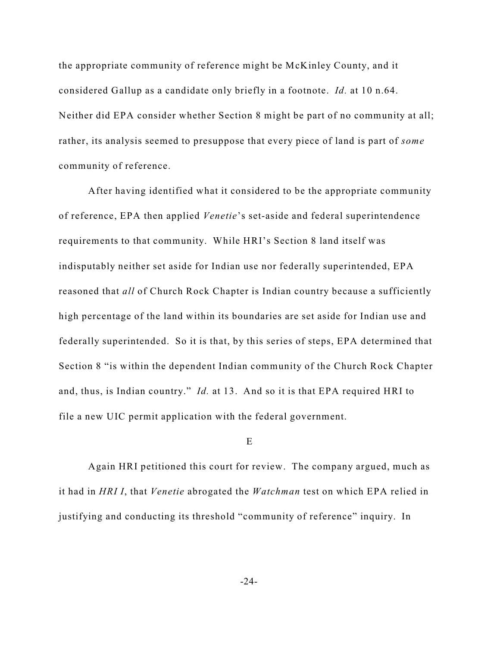the appropriate community of reference might be McKinley County, and it considered Gallup as a candidate only briefly in a footnote. *Id.* at 10 n.64. Neither did EPA consider whether Section 8 might be part of no community at all; rather, its analysis seemed to presuppose that every piece of land is part of *some* community of reference.

After having identified what it considered to be the appropriate community of reference, EPA then applied *Venetie*'s set-aside and federal superintendence requirements to that community. While HRI's Section 8 land itself was indisputably neither set aside for Indian use nor federally superintended, EPA reasoned that *all* of Church Rock Chapter is Indian country because a sufficiently high percentage of the land within its boundaries are set aside for Indian use and federally superintended. So it is that, by this series of steps, EPA determined that Section 8 "is within the dependent Indian community of the Church Rock Chapter and, thus, is Indian country." *Id.* at 13. And so it is that EPA required HRI to file a new UIC permit application with the federal government.

#### E

Again HRI petitioned this court for review. The company argued, much as it had in *HRI I*, that *Venetie* abrogated the *Watchman* test on which EPA relied in justifying and conducting its threshold "community of reference" inquiry. In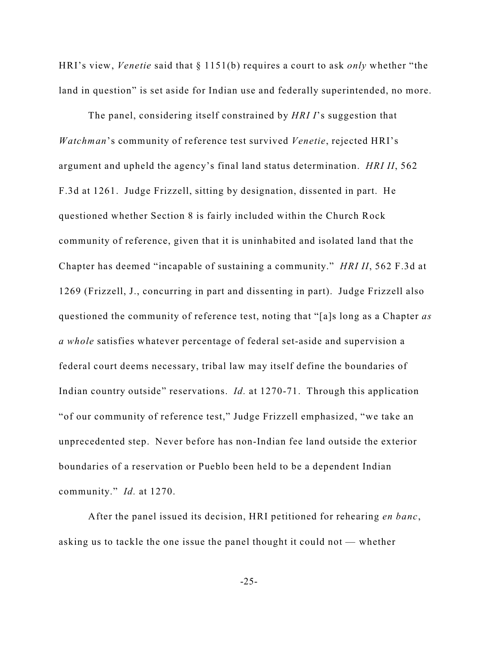HRI's view, *Venetie* said that § 1151(b) requires a court to ask *only* whether "the land in question" is set aside for Indian use and federally superintended, no more.

The panel, considering itself constrained by *HRI I*'s suggestion that *Watchman*'s community of reference test survived *Venetie*, rejected HRI's argument and upheld the agency's final land status determination. *HRI II*, 562 F.3d at 1261. Judge Frizzell, sitting by designation, dissented in part. He questioned whether Section 8 is fairly included within the Church Rock community of reference, given that it is uninhabited and isolated land that the Chapter has deemed "incapable of sustaining a community." *HRI II*, 562 F.3d at 1269 (Frizzell, J., concurring in part and dissenting in part). Judge Frizzell also questioned the community of reference test, noting that "[a]s long as a Chapter *as a whole* satisfies whatever percentage of federal set-aside and supervision a federal court deems necessary, tribal law may itself define the boundaries of Indian country outside" reservations. *Id.* at 1270-71. Through this application "of our community of reference test," Judge Frizzell emphasized, "we take an unprecedented step. Never before has non-Indian fee land outside the exterior boundaries of a reservation or Pueblo been held to be a dependent Indian community." *Id.* at 1270.

After the panel issued its decision, HRI petitioned for rehearing *en banc*, asking us to tackle the one issue the panel thought it could not — whether

-25-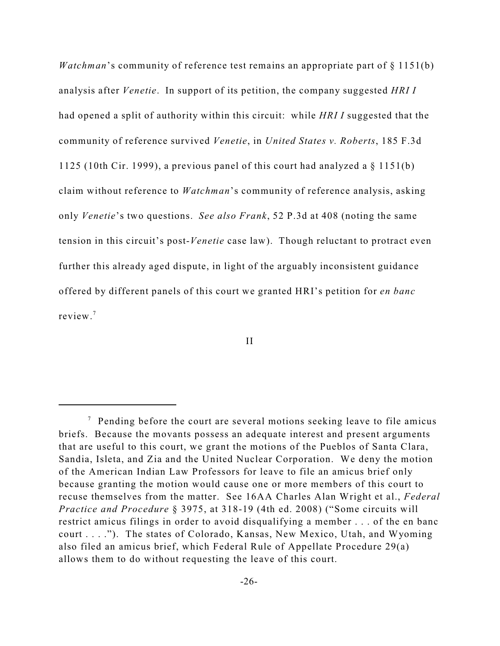*Watchman*'s community of reference test remains an appropriate part of § 1151(b) analysis after *Venetie*. In support of its petition, the company suggested *HRI I* had opened a split of authority within this circuit: while *HRI I* suggested that the community of reference survived *Venetie*, in *United States v. Roberts*, 185 F.3d 1125 (10th Cir. 1999), a previous panel of this court had analyzed a § 1151(b) claim without reference to *Watchman*'s community of reference analysis, asking only *Venetie*'s two questions. *See also Frank*, 52 P.3d at 408 (noting the same tension in this circuit's post-*Venetie* case law). Though reluctant to protract even further this already aged dispute, in light of the arguably inconsistent guidance offered by different panels of this court we granted HRI's petition for *en banc* review. 7

II

 $\sigma$  Pending before the court are several motions seeking leave to file amicus briefs. Because the movants possess an adequate interest and present arguments that are useful to this court, we grant the motions of the Pueblos of Santa Clara, Sandia, Isleta, and Zia and the United Nuclear Corporation. We deny the motion of the American Indian Law Professors for leave to file an amicus brief only because granting the motion would cause one or more members of this court to recuse themselves from the matter. See 16AA Charles Alan Wright et al., *Federal Practice and Procedure* § 3975, at 318-19 (4th ed. 2008) ("Some circuits will restrict amicus filings in order to avoid disqualifying a member . . . of the en banc court . . . ."). The states of Colorado, Kansas, New Mexico, Utah, and Wyoming also filed an amicus brief, which Federal Rule of Appellate Procedure 29(a) allows them to do without requesting the leave of this court.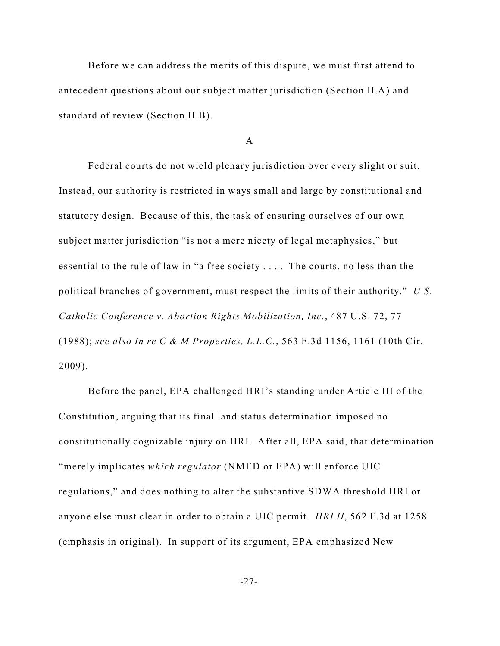Before we can address the merits of this dispute, we must first attend to antecedent questions about our subject matter jurisdiction (Section II.A) and standard of review (Section II.B).

A

Federal courts do not wield plenary jurisdiction over every slight or suit. Instead, our authority is restricted in ways small and large by constitutional and statutory design. Because of this, the task of ensuring ourselves of our own subject matter jurisdiction "is not a mere nicety of legal metaphysics," but essential to the rule of law in "a free society . . . . The courts, no less than the political branches of government, must respect the limits of their authority." *U.S. Catholic Conference v. Abortion Rights Mobilization, Inc.*, 487 U.S. 72, 77 (1988); *see also In re C & M Properties, L.L.C.*, 563 F.3d 1156, 1161 (10th Cir. 2009).

Before the panel, EPA challenged HRI's standing under Article III of the Constitution, arguing that its final land status determination imposed no constitutionally cognizable injury on HRI. After all, EPA said, that determination "merely implicates *which regulator* (NMED or EPA) will enforce UIC regulations," and does nothing to alter the substantive SDWA threshold HRI or anyone else must clear in order to obtain a UIC permit. *HRI II*, 562 F.3d at 1258 (emphasis in original). In support of its argument, EPA emphasized New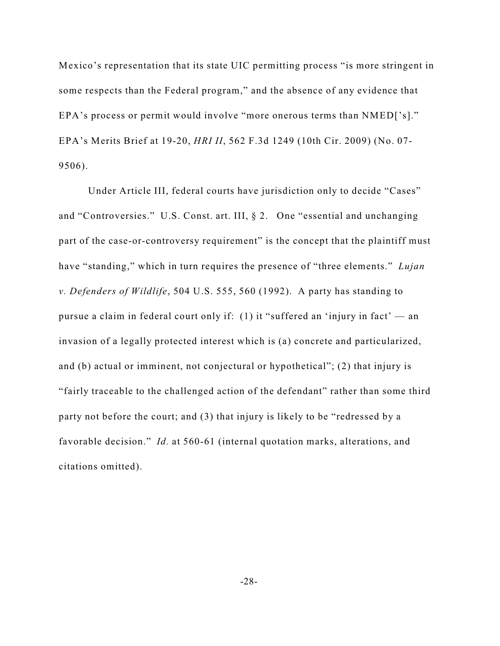Mexico's representation that its state UIC permitting process "is more stringent in some respects than the Federal program," and the absence of any evidence that EPA's process or permit would involve "more onerous terms than NMED['s]." EPA's Merits Brief at 19-20, *HRI II*, 562 F.3d 1249 (10th Cir. 2009) (No. 07- 9506).

Under Article III, federal courts have jurisdiction only to decide "Cases" and "Controversies." U.S. Const. art. III, § 2. One "essential and unchanging part of the case-or-controversy requirement" is the concept that the plaintiff must have "standing," which in turn requires the presence of "three elements." *Lujan v. Defenders of Wildlife*, 504 U.S. 555, 560 (1992). A party has standing to pursue a claim in federal court only if: (1) it "suffered an 'injury in fact' — an invasion of a legally protected interest which is (a) concrete and particularized, and (b) actual or imminent, not conjectural or hypothetical"; (2) that injury is "fairly traceable to the challenged action of the defendant" rather than some third party not before the court; and (3) that injury is likely to be "redressed by a favorable decision." *Id.* at 560-61 (internal quotation marks, alterations, and citations omitted).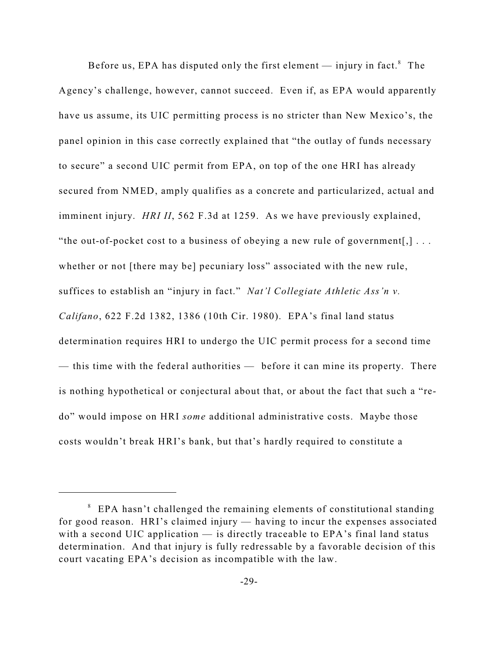Before us, EPA has disputed only the first element  $-$  injury in fact.<sup>8</sup> The Agency's challenge, however, cannot succeed. Even if, as EPA would apparently have us assume, its UIC permitting process is no stricter than New Mexico's, the panel opinion in this case correctly explained that "the outlay of funds necessary to secure" a second UIC permit from EPA, on top of the one HRI has already secured from NMED, amply qualifies as a concrete and particularized, actual and imminent injury. *HRI II*, 562 F.3d at 1259. As we have previously explained, "the out-of-pocket cost to a business of obeying a new rule of government[,]  $\ldots$ whether or not [there may be] pecuniary loss" associated with the new rule, suffices to establish an "injury in fact." *Nat'l Collegiate Athletic Ass'n v. Califano*, 622 F.2d 1382, 1386 (10th Cir. 1980). EPA's final land status determination requires HRI to undergo the UIC permit process for a second time — this time with the federal authorities — before it can mine its property. There is nothing hypothetical or conjectural about that, or about the fact that such a "redo" would impose on HRI *some* additional administrative costs. Maybe those costs wouldn't break HRI's bank, but that's hardly required to constitute a

 $8$  EPA hasn't challenged the remaining elements of constitutional standing for good reason. HRI's claimed injury — having to incur the expenses associated with a second UIC application — is directly traceable to EPA's final land status determination. And that injury is fully redressable by a favorable decision of this court vacating EPA's decision as incompatible with the law.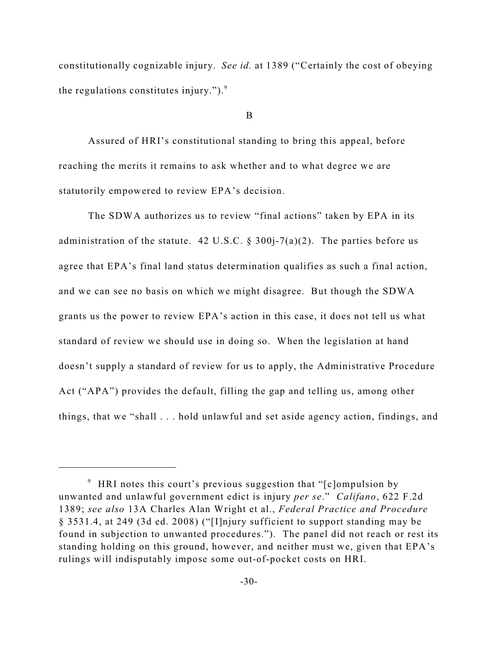constitutionally cognizable injury. *See id.* at 1389 ("Certainly the cost of obeying the regulations constitutes injury."). $9$ 

B

Assured of HRI's constitutional standing to bring this appeal, before reaching the merits it remains to ask whether and to what degree we are statutorily empowered to review EPA's decision.

The SDWA authorizes us to review "final actions" taken by EPA in its administration of the statute. 42 U.S.C.  $\S 300j-7(a)(2)$ . The parties before us agree that EPA's final land status determination qualifies as such a final action, and we can see no basis on which we might disagree. But though the SDWA grants us the power to review EPA's action in this case, it does not tell us what standard of review we should use in doing so. When the legislation at hand doesn't supply a standard of review for us to apply, the Administrative Procedure Act ("APA") provides the default, filling the gap and telling us, among other things, that we "shall . . . hold unlawful and set aside agency action, findings, and

<sup>&</sup>lt;sup>9</sup> HRI notes this court's previous suggestion that "[c]ompulsion by unwanted and unlawful government edict is injury *per se*." *Califano*, 622 F.2d 1389; *see also* 13A Charles Alan Wright et al., *Federal Practice and Procedure* § 3531.4, at 249 (3d ed. 2008) ("[I]njury sufficient to support standing may be found in subjection to unwanted procedures."). The panel did not reach or rest its standing holding on this ground, however, and neither must we, given that EPA's rulings will indisputably impose some out-of-pocket costs on HRI.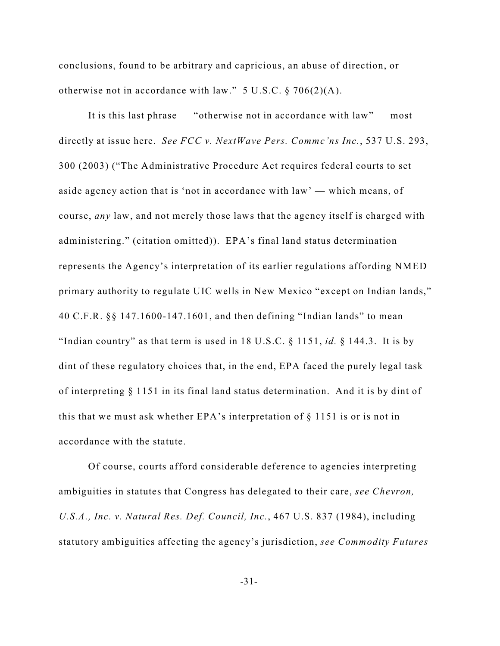conclusions, found to be arbitrary and capricious, an abuse of direction, or otherwise not in accordance with law."  $5 \text{ U.S.C.} \S 706(2)(\text{A}).$ 

It is this last phrase — "otherwise not in accordance with law" — most directly at issue here. *See FCC v. NextWave Pers. Commc'ns Inc.*, 537 U.S. 293, 300 (2003) ("The Administrative Procedure Act requires federal courts to set aside agency action that is 'not in accordance with law' — which means, of course, *any* law, and not merely those laws that the agency itself is charged with administering." (citation omitted)). EPA's final land status determination represents the Agency's interpretation of its earlier regulations affording NMED primary authority to regulate UIC wells in New Mexico "except on Indian lands," 40 C.F.R. §§ 147.1600-147.1601, and then defining "Indian lands" to mean "Indian country" as that term is used in 18 U.S.C. § 1151, *id.* § 144.3. It is by dint of these regulatory choices that, in the end, EPA faced the purely legal task of interpreting § 1151 in its final land status determination. And it is by dint of this that we must ask whether EPA's interpretation of  $\S$  1151 is or is not in accordance with the statute.

Of course, courts afford considerable deference to agencies interpreting ambiguities in statutes that Congress has delegated to their care, *see Chevron, U.S.A., Inc. v. Natural Res. Def. Council, Inc.*, 467 U.S. 837 (1984), including statutory ambiguities affecting the agency's jurisdiction, *see Commodity Futures*

-31-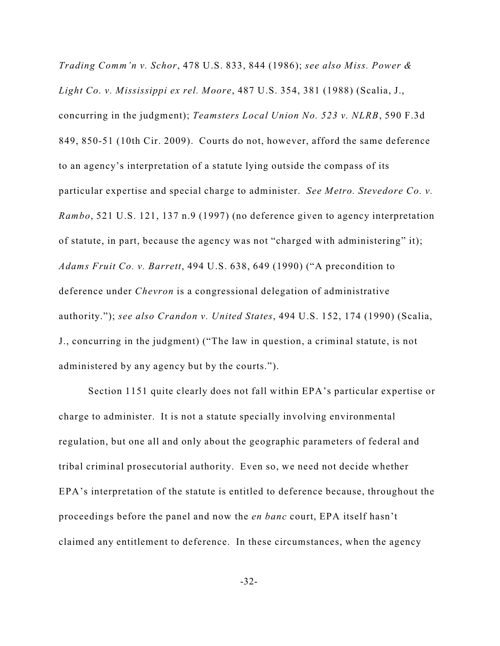*Trading Comm'n v. Schor*, 478 U.S. 833, 844 (1986); *see also Miss. Power & Light Co. v. Mississippi ex rel. Moore*, 487 U.S. 354, 381 (1988) (Scalia, J., concurring in the judgment); *Teamsters Local Union No. 523 v. NLRB*, 590 F.3d 849, 850-51 (10th Cir. 2009). Courts do not, however, afford the same deference to an agency's interpretation of a statute lying outside the compass of its particular expertise and special charge to administer. *See Metro. Stevedore Co. v. Rambo*, 521 U.S. 121, 137 n.9 (1997) (no deference given to agency interpretation of statute, in part, because the agency was not "charged with administering" it); *Adams Fruit Co. v. Barrett*, 494 U.S. 638, 649 (1990) ("A precondition to deference under *Chevron* is a congressional delegation of administrative authority."); *see also Crandon v. United States*, 494 U.S. 152, 174 (1990) (Scalia, J., concurring in the judgment) ("The law in question, a criminal statute, is not administered by any agency but by the courts.").

Section 1151 quite clearly does not fall within EPA's particular expertise or charge to administer. It is not a statute specially involving environmental regulation, but one all and only about the geographic parameters of federal and tribal criminal prosecutorial authority. Even so, we need not decide whether EPA's interpretation of the statute is entitled to deference because, throughout the proceedings before the panel and now the *en banc* court, EPA itself hasn't claimed any entitlement to deference. In these circumstances, when the agency

-32-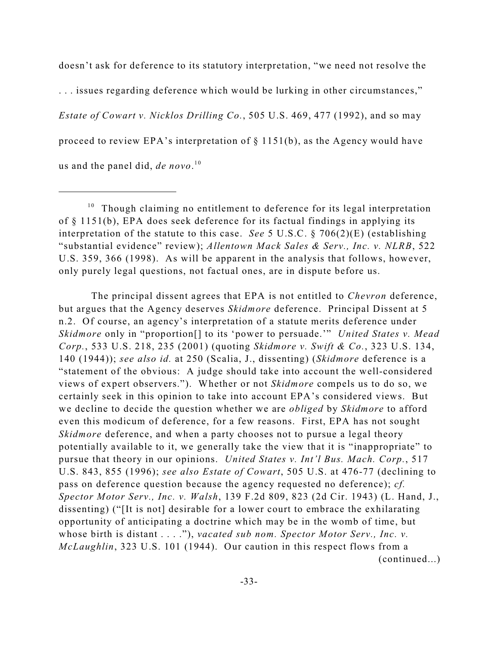doesn't ask for deference to its statutory interpretation, "we need not resolve the . . . issues regarding deference which would be lurking in other circumstances," *Estate of Cowart v. Nicklos Drilling Co.*, 505 U.S. 469, 477 (1992), and so may proceed to review EPA's interpretation of § 1151(b), as the Agency would have us and the panel did, *de novo*. 10

The principal dissent agrees that EPA is not entitled to *Chevron* deference, but argues that the Agency deserves *Skidmore* deference. Principal Dissent at 5 n.2. Of course, an agency's interpretation of a statute merits deference under *Skidmore* only in "proportion[] to its 'power to persuade.'" *United States v. Mead Corp.*, 533 U.S. 218, 235 (2001) (quoting *Skidmore v. Swift & Co.*, 323 U.S. 134, 140 (1944)); *see also id.* at 250 (Scalia, J., dissenting) (*Skidmore* deference is a "statement of the obvious: A judge should take into account the well-considered views of expert observers."). Whether or not *Skidmore* compels us to do so, we certainly seek in this opinion to take into account EPA's considered views. But we decline to decide the question whether we are *obliged* by *Skidmore* to afford even this modicum of deference, for a few reasons. First, EPA has not sought *Skidmore* deference, and when a party chooses not to pursue a legal theory potentially available to it, we generally take the view that it is "inappropriate" to pursue that theory in our opinions. *United States v. Int'l Bus. Mach. Corp.*, 517 U.S. 843, 855 (1996); *see also Estate of Cowart*, 505 U.S. at 476-77 (declining to pass on deference question because the agency requested no deference); *cf. Spector Motor Serv., Inc. v. Walsh*, 139 F.2d 809, 823 (2d Cir. 1943) (L. Hand, J., dissenting) ("[It is not] desirable for a lower court to embrace the exhilarating opportunity of anticipating a doctrine which may be in the womb of time, but whose birth is distant . . . ."), *vacated sub nom. Spector Motor Serv., Inc. v. McLaughlin*, 323 U.S. 101 (1944). Our caution in this respect flows from a (continued...)

 $10$  Though claiming no entitlement to deference for its legal interpretation of § 1151(b), EPA does seek deference for its factual findings in applying its interpretation of the statute to this case. *See* 5 U.S.C. § 706(2)(E) (establishing "substantial evidence" review); *Allentown Mack Sales & Serv., Inc. v. NLRB*, 522 U.S. 359, 366 (1998). As will be apparent in the analysis that follows, however, only purely legal questions, not factual ones, are in dispute before us.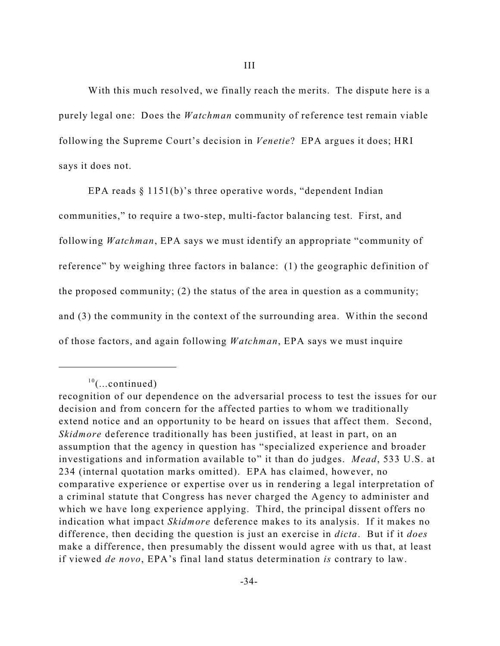With this much resolved, we finally reach the merits. The dispute here is a purely legal one: Does the *Watchman* community of reference test remain viable following the Supreme Court's decision in *Venetie*? EPA argues it does; HRI says it does not.

EPA reads § 1151(b)'s three operative words, "dependent Indian communities," to require a two-step, multi-factor balancing test. First, and following *Watchman*, EPA says we must identify an appropriate "community of reference" by weighing three factors in balance: (1) the geographic definition of the proposed community; (2) the status of the area in question as a community; and (3) the community in the context of the surrounding area. Within the second of those factors, and again following *Watchman*, EPA says we must inquire

 $10$ (...continued)

recognition of our dependence on the adversarial process to test the issues for our decision and from concern for the affected parties to whom we traditionally extend notice and an opportunity to be heard on issues that affect them. Second, *Skidmore* deference traditionally has been justified, at least in part, on an assumption that the agency in question has "specialized experience and broader investigations and information available to" it than do judges. *Mead*, 533 U.S. at 234 (internal quotation marks omitted). EPA has claimed, however, no comparative experience or expertise over us in rendering a legal interpretation of a criminal statute that Congress has never charged the Agency to administer and which we have long experience applying. Third, the principal dissent offers no indication what impact *Skidmore* deference makes to its analysis. If it makes no difference, then deciding the question is just an exercise in *dicta*. But if it *does* make a difference, then presumably the dissent would agree with us that, at least if viewed *de novo*, EPA's final land status determination *is* contrary to law.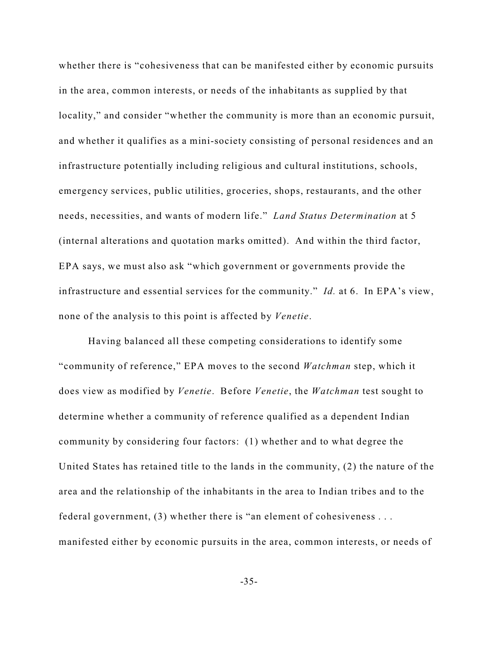whether there is "cohesiveness that can be manifested either by economic pursuits in the area, common interests, or needs of the inhabitants as supplied by that locality," and consider "whether the community is more than an economic pursuit, and whether it qualifies as a mini-society consisting of personal residences and an infrastructure potentially including religious and cultural institutions, schools, emergency services, public utilities, groceries, shops, restaurants, and the other needs, necessities, and wants of modern life." *Land Status Determination* at 5 (internal alterations and quotation marks omitted). And within the third factor, EPA says, we must also ask "which government or governments provide the infrastructure and essential services for the community." *Id.* at 6. In EPA's view, none of the analysis to this point is affected by *Venetie*.

Having balanced all these competing considerations to identify some "community of reference," EPA moves to the second *Watchman* step, which it does view as modified by *Venetie*. Before *Venetie*, the *Watchman* test sought to determine whether a community of reference qualified as a dependent Indian community by considering four factors: (1) whether and to what degree the United States has retained title to the lands in the community, (2) the nature of the area and the relationship of the inhabitants in the area to Indian tribes and to the federal government, (3) whether there is "an element of cohesiveness . . . manifested either by economic pursuits in the area, common interests, or needs of

-35-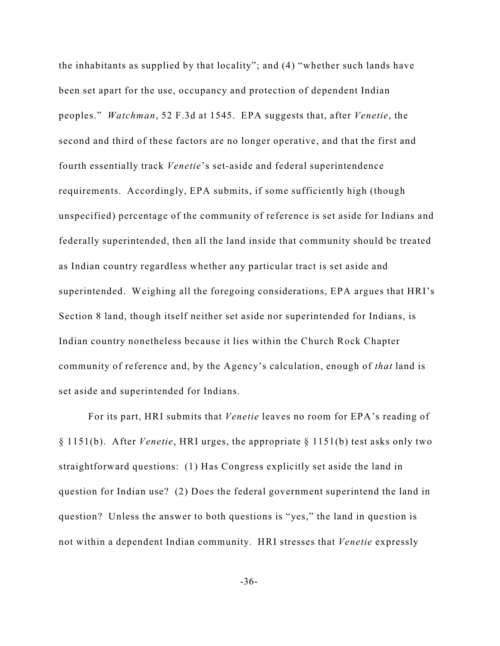the inhabitants as supplied by that locality"; and (4) "whether such lands have been set apart for the use, occupancy and protection of dependent Indian peoples." *Watchman*, 52 F.3d at 1545. EPA suggests that, after *Venetie*, the second and third of these factors are no longer operative, and that the first and fourth essentially track *Venetie*'s set-aside and federal superintendence requirements. Accordingly, EPA submits, if some sufficiently high (though unspecified) percentage of the community of reference is set aside for Indians and federally superintended, then all the land inside that community should be treated as Indian country regardless whether any particular tract is set aside and superintended. Weighing all the foregoing considerations, EPA argues that HRI's Section 8 land, though itself neither set aside nor superintended for Indians, is Indian country nonetheless because it lies within the Church Rock Chapter community of reference and, by the Agency's calculation, enough of *that* land is set aside and superintended for Indians.

For its part, HRI submits that *Venetie* leaves no room for EPA's reading of § 1151(b). After *Venetie*, HRI urges, the appropriate § 1151(b) test asks only two straightforward questions: (1) Has Congress explicitly set aside the land in question for Indian use? (2) Does the federal government superintend the land in question? Unless the answer to both questions is "yes," the land in question is not within a dependent Indian community. HRI stresses that *Venetie* expressly

-36-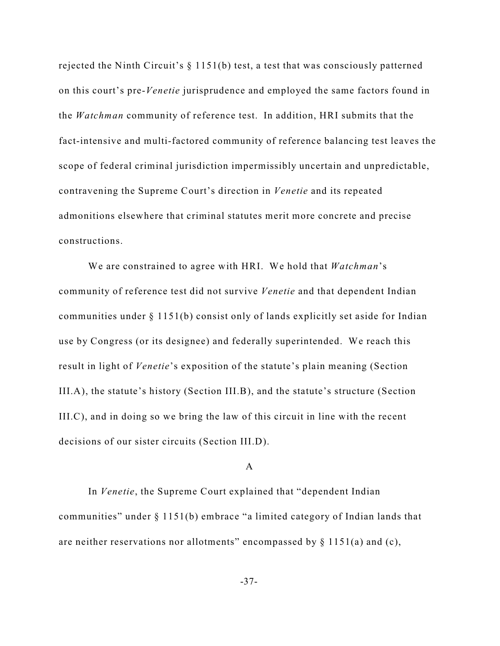rejected the Ninth Circuit's § 1151(b) test, a test that was consciously patterned on this court's pre-*Venetie* jurisprudence and employed the same factors found in the *Watchman* community of reference test. In addition, HRI submits that the fact-intensive and multi-factored community of reference balancing test leaves the scope of federal criminal jurisdiction impermissibly uncertain and unpredictable, contravening the Supreme Court's direction in *Venetie* and its repeated admonitions elsewhere that criminal statutes merit more concrete and precise constructions.

We are constrained to agree with HRI. We hold that *Watchman*'s community of reference test did not survive *Venetie* and that dependent Indian communities under § 1151(b) consist only of lands explicitly set aside for Indian use by Congress (or its designee) and federally superintended. We reach this result in light of *Venetie*'s exposition of the statute's plain meaning (Section III.A), the statute's history (Section III.B), and the statute's structure (Section III.C), and in doing so we bring the law of this circuit in line with the recent decisions of our sister circuits (Section III.D).

## A

In *Venetie*, the Supreme Court explained that "dependent Indian communities" under § 1151(b) embrace "a limited category of Indian lands that are neither reservations nor allotments" encompassed by  $\S 1151(a)$  and (c),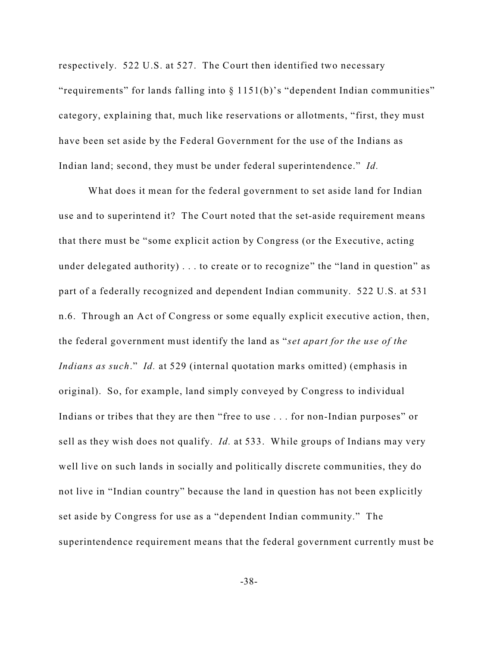respectively. 522 U.S. at 527. The Court then identified two necessary "requirements" for lands falling into § 1151(b)'s "dependent Indian communities" category, explaining that, much like reservations or allotments, "first, they must have been set aside by the Federal Government for the use of the Indians as Indian land; second, they must be under federal superintendence." *Id.*

What does it mean for the federal government to set aside land for Indian use and to superintend it? The Court noted that the set-aside requirement means that there must be "some explicit action by Congress (or the Executive, acting under delegated authority) . . . to create or to recognize" the "land in question" as part of a federally recognized and dependent Indian community. 522 U.S. at 531 n.6. Through an Act of Congress or some equally explicit executive action, then, the federal government must identify the land as "*set apart for the use of the Indians as such*." *Id.* at 529 (internal quotation marks omitted) (emphasis in original). So, for example, land simply conveyed by Congress to individual Indians or tribes that they are then "free to use . . . for non-Indian purposes" or sell as they wish does not qualify. *Id.* at 533. While groups of Indians may very well live on such lands in socially and politically discrete communities, they do not live in "Indian country" because the land in question has not been explicitly set aside by Congress for use as a "dependent Indian community." The superintendence requirement means that the federal government currently must be

-38-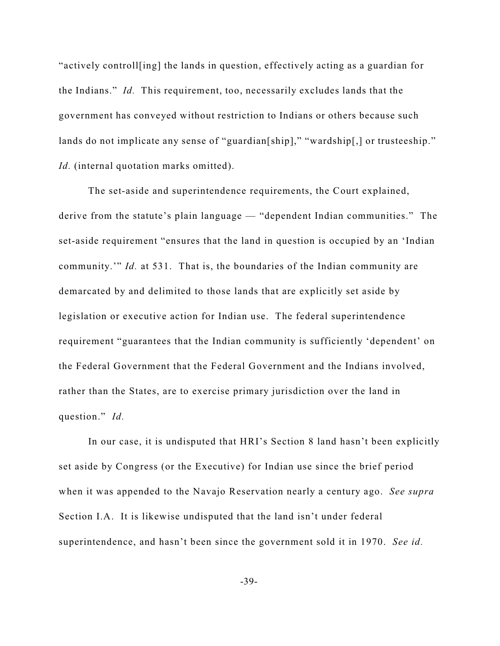"actively controll[ing] the lands in question, effectively acting as a guardian for the Indians." *Id.* This requirement, too, necessarily excludes lands that the government has conveyed without restriction to Indians or others because such lands do not implicate any sense of "guardian[ship]," "wardship[,] or trusteeship." *Id.* (internal quotation marks omitted).

The set-aside and superintendence requirements, the Court explained, derive from the statute's plain language — "dependent Indian communities." The set-aside requirement "ensures that the land in question is occupied by an 'Indian community.'" *Id.* at 531. That is, the boundaries of the Indian community are demarcated by and delimited to those lands that are explicitly set aside by legislation or executive action for Indian use. The federal superintendence requirement "guarantees that the Indian community is sufficiently 'dependent' on the Federal Government that the Federal Government and the Indians involved, rather than the States, are to exercise primary jurisdiction over the land in question." *Id.*

In our case, it is undisputed that HRI's Section 8 land hasn't been explicitly set aside by Congress (or the Executive) for Indian use since the brief period when it was appended to the Navajo Reservation nearly a century ago. *See supra* Section I.A. It is likewise undisputed that the land isn't under federal superintendence, and hasn't been since the government sold it in 1970. *See id.*

-39-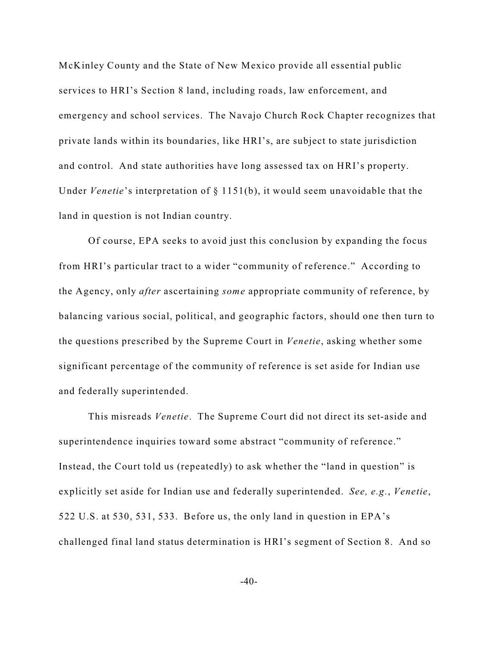McKinley County and the State of New Mexico provide all essential public services to HRI's Section 8 land, including roads, law enforcement, and emergency and school services. The Navajo Church Rock Chapter recognizes that private lands within its boundaries, like HRI's, are subject to state jurisdiction and control. And state authorities have long assessed tax on HRI's property. Under *Venetie*'s interpretation of § 1151(b), it would seem unavoidable that the land in question is not Indian country.

Of course, EPA seeks to avoid just this conclusion by expanding the focus from HRI's particular tract to a wider "community of reference." According to the Agency, only *after* ascertaining *some* appropriate community of reference, by balancing various social, political, and geographic factors, should one then turn to the questions prescribed by the Supreme Court in *Venetie*, asking whether some significant percentage of the community of reference is set aside for Indian use and federally superintended.

This misreads *Venetie*. The Supreme Court did not direct its set-aside and superintendence inquiries toward some abstract "community of reference." Instead, the Court told us (repeatedly) to ask whether the "land in question" is explicitly set aside for Indian use and federally superintended. *See, e.g.*, *Venetie*, 522 U.S. at 530, 531, 533. Before us, the only land in question in EPA's challenged final land status determination is HRI's segment of Section 8. And so

 $-40-$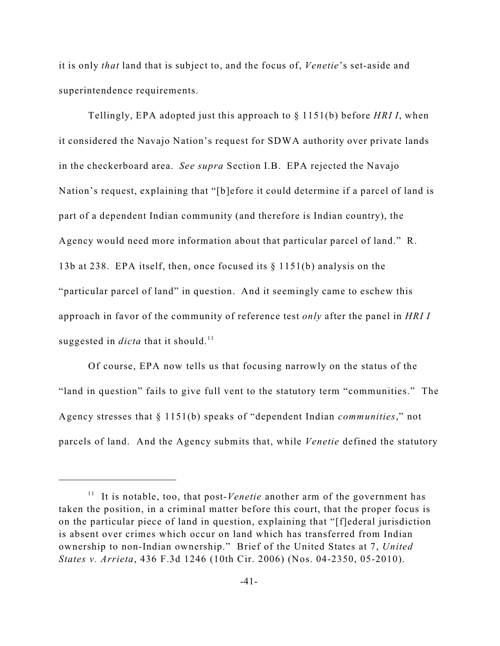it is only *that* land that is subject to, and the focus of, *Venetie*'s set-aside and superintendence requirements.

Tellingly, EPA adopted just this approach to § 1151(b) before *HRI I*, when it considered the Navajo Nation's request for SDWA authority over private lands in the checkerboard area. *See supra* Section I.B. EPA rejected the Navajo Nation's request, explaining that "[b]efore it could determine if a parcel of land is part of a dependent Indian community (and therefore is Indian country), the Agency would need more information about that particular parcel of land." R. 13b at 238. EPA itself, then, once focused its § 1151(b) analysis on the "particular parcel of land" in question. And it seemingly came to eschew this approach in favor of the community of reference test *only* after the panel in *HRI I* suggested in *dicta* that it should.<sup>11</sup>

Of course, EPA now tells us that focusing narrowly on the status of the "land in question" fails to give full vent to the statutory term "communities." The Agency stresses that § 1151(b) speaks of "dependent Indian *communities*," not parcels of land. And the Agency submits that, while *Venetie* defined the statutory

<sup>&</sup>lt;sup>11</sup> It is notable, too, that post-Venetie another arm of the government has taken the position, in a criminal matter before this court, that the proper focus is on the particular piece of land in question, explaining that "[f]ederal jurisdiction is absent over crimes which occur on land which has transferred from Indian ownership to non-Indian ownership." Brief of the United States at 7, *United States v. Arrieta*, 436 F.3d 1246 (10th Cir. 2006) (Nos. 04-2350, 05-2010).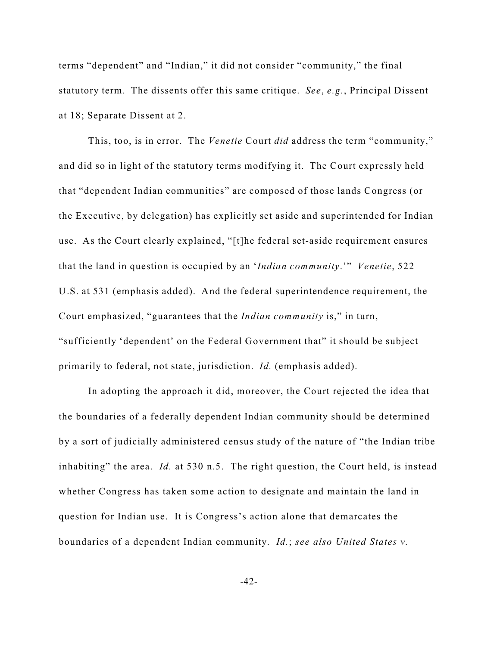terms "dependent" and "Indian," it did not consider "community," the final statutory term. The dissents offer this same critique. *See*, *e.g.*, Principal Dissent at 18; Separate Dissent at 2.

This, too, is in error. The *Venetie* Court *did* address the term "community," and did so in light of the statutory terms modifying it. The Court expressly held that "dependent Indian communities" are composed of those lands Congress (or the Executive, by delegation) has explicitly set aside and superintended for Indian use. As the Court clearly explained, "[t]he federal set-aside requirement ensures that the land in question is occupied by an '*Indian community*.'" *Venetie*, 522 U.S. at 531 (emphasis added). And the federal superintendence requirement, the Court emphasized, "guarantees that the *Indian community* is," in turn, "sufficiently 'dependent' on the Federal Government that" it should be subject primarily to federal, not state, jurisdiction. *Id.* (emphasis added).

In adopting the approach it did, moreover, the Court rejected the idea that the boundaries of a federally dependent Indian community should be determined by a sort of judicially administered census study of the nature of "the Indian tribe inhabiting" the area. *Id.* at 530 n.5. The right question, the Court held, is instead whether Congress has taken some action to designate and maintain the land in question for Indian use. It is Congress's action alone that demarcates the boundaries of a dependent Indian community. *Id.*; *see also United States v.*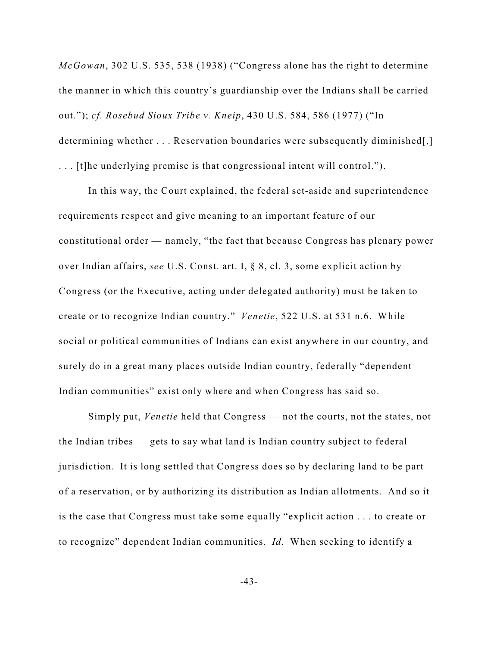*McGowan*, 302 U.S. 535, 538 (1938) ("Congress alone has the right to determine the manner in which this country's guardianship over the Indians shall be carried out."); *cf. Rosebud Sioux Tribe v. Kneip*, 430 U.S. 584, 586 (1977) ("In determining whether ... Reservation boundaries were subsequently diminished[,] . . . [t]he underlying premise is that congressional intent will control.").

In this way, the Court explained, the federal set-aside and superintendence requirements respect and give meaning to an important feature of our constitutional order — namely, "the fact that because Congress has plenary power over Indian affairs, *see* U.S. Const. art. I, § 8, cl. 3, some explicit action by Congress (or the Executive, acting under delegated authority) must be taken to create or to recognize Indian country." *Venetie*, 522 U.S. at 531 n.6. While social or political communities of Indians can exist anywhere in our country, and surely do in a great many places outside Indian country, federally "dependent Indian communities" exist only where and when Congress has said so.

Simply put, *Venetie* held that Congress — not the courts, not the states, not the Indian tribes — gets to say what land is Indian country subject to federal jurisdiction. It is long settled that Congress does so by declaring land to be part of a reservation, or by authorizing its distribution as Indian allotments. And so it is the case that Congress must take some equally "explicit action . . . to create or to recognize" dependent Indian communities. *Id.* When seeking to identify a

-43-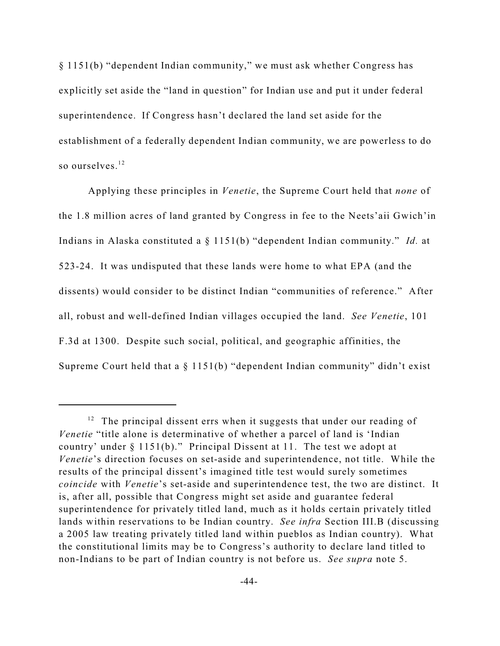§ 1151(b) "dependent Indian community," we must ask whether Congress has explicitly set aside the "land in question" for Indian use and put it under federal superintendence. If Congress hasn't declared the land set aside for the establishment of a federally dependent Indian community, we are powerless to do so ourselves. 12

Applying these principles in *Venetie*, the Supreme Court held that *none* of the 1.8 million acres of land granted by Congress in fee to the Neets'aii Gwich'in Indians in Alaska constituted a § 1151(b) "dependent Indian community." *Id.* at 523-24. It was undisputed that these lands were home to what EPA (and the dissents) would consider to be distinct Indian "communities of reference." After all, robust and well-defined Indian villages occupied the land. *See Venetie*, 101 F.3d at 1300. Despite such social, political, and geographic affinities, the Supreme Court held that a § 1151(b) "dependent Indian community" didn't exist

 $12$  The principal dissent errs when it suggests that under our reading of *Venetie* "title alone is determinative of whether a parcel of land is 'Indian country' under § 1151(b)." Principal Dissent at 11. The test we adopt at *Venetie*'s direction focuses on set-aside and superintendence, not title. While the results of the principal dissent's imagined title test would surely sometimes *coincide* with *Venetie*'s set-aside and superintendence test, the two are distinct. It is, after all, possible that Congress might set aside and guarantee federal superintendence for privately titled land, much as it holds certain privately titled lands within reservations to be Indian country. *See infra* Section III.B (discussing a 2005 law treating privately titled land within pueblos as Indian country). What the constitutional limits may be to Congress's authority to declare land titled to non-Indians to be part of Indian country is not before us. *See supra* note 5.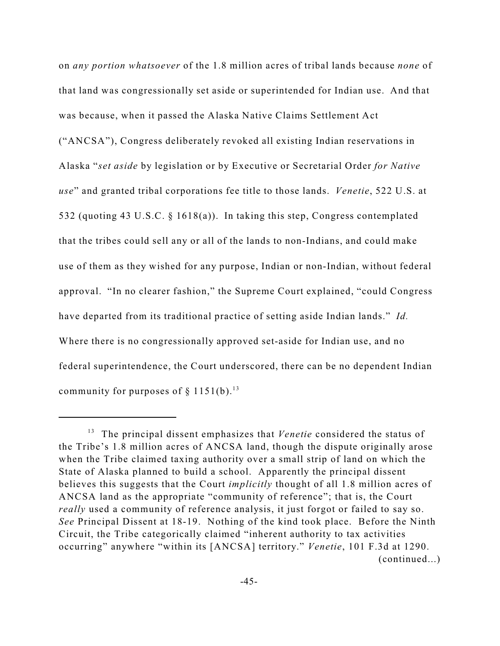on *any portion whatsoever* of the 1.8 million acres of tribal lands because *none* of that land was congressionally set aside or superintended for Indian use. And that was because, when it passed the Alaska Native Claims Settlement Act ("ANCSA"), Congress deliberately revoked all existing Indian reservations in Alaska "*set aside* by legislation or by Executive or Secretarial Order *for Native use*" and granted tribal corporations fee title to those lands. *Venetie*, 522 U.S. at 532 (quoting 43 U.S.C. § 1618(a)). In taking this step, Congress contemplated that the tribes could sell any or all of the lands to non-Indians, and could make use of them as they wished for any purpose, Indian or non-Indian, without federal approval. "In no clearer fashion," the Supreme Court explained, "could Congress have departed from its traditional practice of setting aside Indian lands." *Id.* Where there is no congressionally approved set-aside for Indian use, and no federal superintendence, the Court underscored, there can be no dependent Indian community for purposes of  $\S 1151(b)$ .<sup>13</sup>

<sup>&</sup>lt;sup>13</sup> The principal dissent emphasizes that *Venetie* considered the status of the Tribe's 1.8 million acres of ANCSA land, though the dispute originally arose when the Tribe claimed taxing authority over a small strip of land on which the State of Alaska planned to build a school. Apparently the principal dissent believes this suggests that the Court *implicitly* thought of all 1.8 million acres of ANCSA land as the appropriate "community of reference"; that is, the Court *really* used a community of reference analysis, it just forgot or failed to say so. *See* Principal Dissent at 18-19. Nothing of the kind took place. Before the Ninth Circuit, the Tribe categorically claimed "inherent authority to tax activities occurring" anywhere "within its [ANCSA] territory." *Venetie*, 101 F.3d at 1290. (continued...)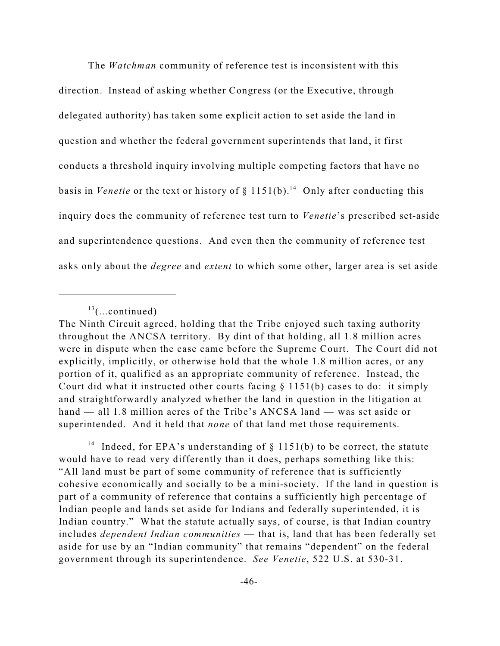The *Watchman* community of reference test is inconsistent with this direction. Instead of asking whether Congress (or the Executive, through delegated authority) has taken some explicit action to set aside the land in question and whether the federal government superintends that land, it first conducts a threshold inquiry involving multiple competing factors that have no basis in *Venetie* or the text or history of  $\S 1151(b).$ <sup>14</sup> Only after conducting this inquiry does the community of reference test turn to *Venetie*'s prescribed set-aside and superintendence questions. And even then the community of reference test asks only about the *degree* and *extent* to which some other, larger area is set aside

<sup>14</sup> Indeed, for EPA's understanding of  $\S$  1151(b) to be correct, the statute would have to read very differently than it does, perhaps something like this: "All land must be part of some community of reference that is sufficiently cohesive economically and socially to be a mini-society. If the land in question is part of a community of reference that contains a sufficiently high percentage of Indian people and lands set aside for Indians and federally superintended, it is Indian country." What the statute actually says, of course, is that Indian country includes *dependent Indian communities* — that is, land that has been federally set aside for use by an "Indian community" that remains "dependent" on the federal government through its superintendence. *See Venetie*, 522 U.S. at 530-31.

 $13$ (...continued)

The Ninth Circuit agreed, holding that the Tribe enjoyed such taxing authority throughout the ANCSA territory. By dint of that holding, all 1.8 million acres were in dispute when the case came before the Supreme Court. The Court did not explicitly, implicitly, or otherwise hold that the whole 1.8 million acres, or any portion of it, qualified as an appropriate community of reference. Instead, the Court did what it instructed other courts facing  $\S 1151(b)$  cases to do: it simply and straightforwardly analyzed whether the land in question in the litigation at hand — all 1.8 million acres of the Tribe's ANCSA land — was set aside or superintended. And it held that *none* of that land met those requirements.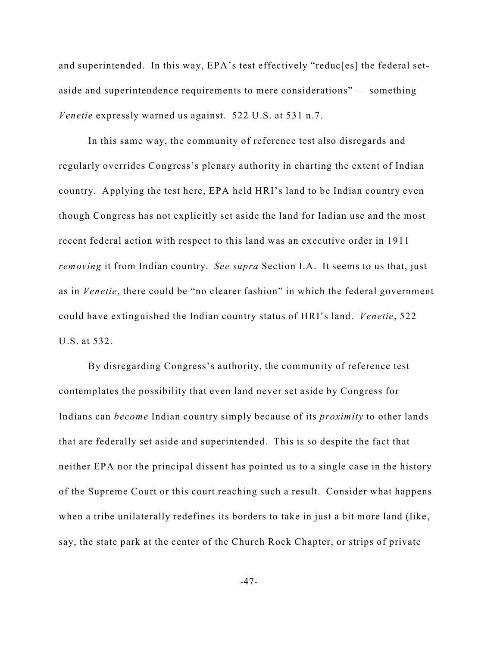and superintended. In this way, EPA's test effectively "reduc[es] the federal setaside and superintendence requirements to mere considerations" — something *Venetie* expressly warned us against. 522 U.S. at 531 n.7.

In this same way, the community of reference test also disregards and regularly overrides Congress's plenary authority in charting the extent of Indian country. Applying the test here, EPA held HRI's land to be Indian country even though Congress has not explicitly set aside the land for Indian use and the most recent federal action with respect to this land was an executive order in 1911 *removing* it from Indian country. *See supra* Section I.A. It seems to us that, just as in *Venetie*, there could be "no clearer fashion" in which the federal government could have extinguished the Indian country status of HRI's land. *Venetie*, 522 U.S. at 532.

By disregarding Congress's authority, the community of reference test contemplates the possibility that even land never set aside by Congress for Indians can *become* Indian country simply because of its *proximity* to other lands that are federally set aside and superintended. This is so despite the fact that neither EPA nor the principal dissent has pointed us to a single case in the history of the Supreme Court or this court reaching such a result. Consider what happens when a tribe unilaterally redefines its borders to take in just a bit more land (like, say, the state park at the center of the Church Rock Chapter, or strips of private

-47-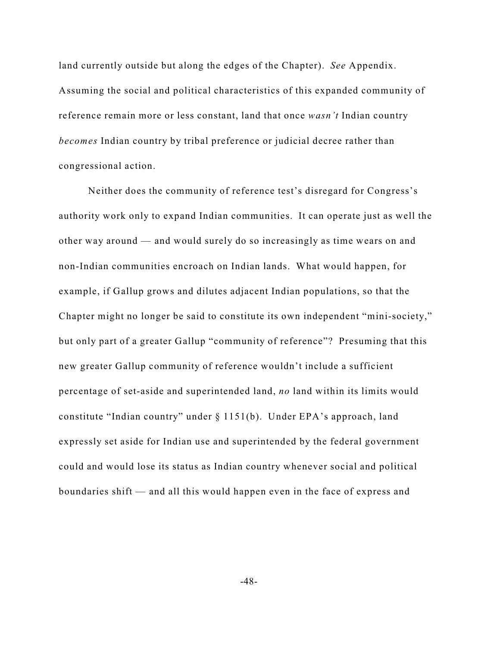land currently outside but along the edges of the Chapter). *See* Appendix. Assuming the social and political characteristics of this expanded community of reference remain more or less constant, land that once *wasn't* Indian country *becomes* Indian country by tribal preference or judicial decree rather than congressional action.

Neither does the community of reference test's disregard for Congress's authority work only to expand Indian communities. It can operate just as well the other way around — and would surely do so increasingly as time wears on and non-Indian communities encroach on Indian lands. What would happen, for example, if Gallup grows and dilutes adjacent Indian populations, so that the Chapter might no longer be said to constitute its own independent "mini-society," but only part of a greater Gallup "community of reference"? Presuming that this new greater Gallup community of reference wouldn't include a sufficient percentage of set-aside and superintended land, *no* land within its limits would constitute "Indian country" under § 1151(b). Under EPA's approach, land expressly set aside for Indian use and superintended by the federal government could and would lose its status as Indian country whenever social and political boundaries shift — and all this would happen even in the face of express and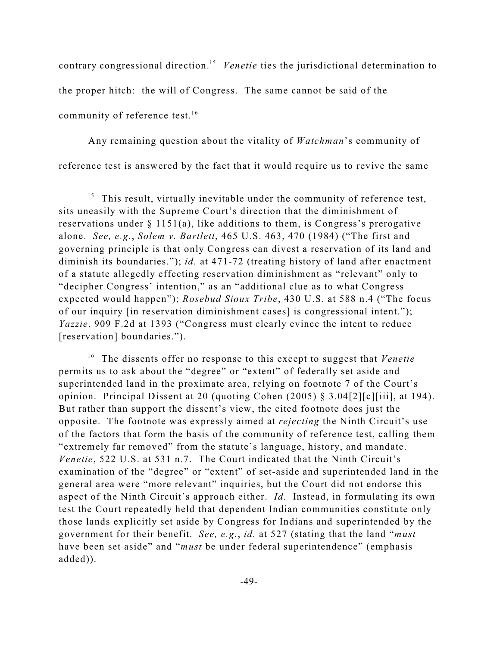contrary congressional direction.<sup>15</sup> Venetie ties the jurisdictional determination to the proper hitch: the will of Congress. The same cannot be said of the community of reference test.<sup>16</sup>

Any remaining question about the vitality of *Watchman*'s community of reference test is answered by the fact that it would require us to revive the same

<sup>16</sup> The dissents offer no response to this except to suggest that *Venetie* permits us to ask about the "degree" or "extent" of federally set aside and superintended land in the proximate area, relying on footnote 7 of the Court's opinion. Principal Dissent at 20 (quoting Cohen (2005) § 3.04[2][c][iii], at 194). But rather than support the dissent's view, the cited footnote does just the opposite. The footnote was expressly aimed at *rejecting* the Ninth Circuit's use of the factors that form the basis of the community of reference test, calling them "extremely far removed" from the statute's language, history, and mandate. *Venetie*, 522 U.S. at 531 n.7. The Court indicated that the Ninth Circuit's examination of the "degree" or "extent" of set-aside and superintended land in the general area were "more relevant" inquiries, but the Court did not endorse this aspect of the Ninth Circuit's approach either. *Id.* Instead, in formulating its own test the Court repeatedly held that dependent Indian communities constitute only those lands explicitly set aside by Congress for Indians and superintended by the government for their benefit. *See, e.g.*, *id.* at 527 (stating that the land "*must* have been set aside" and "*must* be under federal superintendence" (emphasis added)).

 $15$  This result, virtually inevitable under the community of reference test, sits uneasily with the Supreme Court's direction that the diminishment of reservations under § 1151(a), like additions to them, is Congress's prerogative alone. *See, e.g.*, *Solem v. Bartlett*, 465 U.S. 463, 470 (1984) ("The first and governing principle is that only Congress can divest a reservation of its land and diminish its boundaries."); *id.* at 471-72 (treating history of land after enactment of a statute allegedly effecting reservation diminishment as "relevant" only to "decipher Congress' intention," as an "additional clue as to what Congress expected would happen"); *Rosebud Sioux Tribe*, 430 U.S. at 588 n.4 ("The focus of our inquiry [in reservation diminishment cases] is congressional intent."); *Yazzie*, 909 F.2d at 1393 ("Congress must clearly evince the intent to reduce [reservation] boundaries.").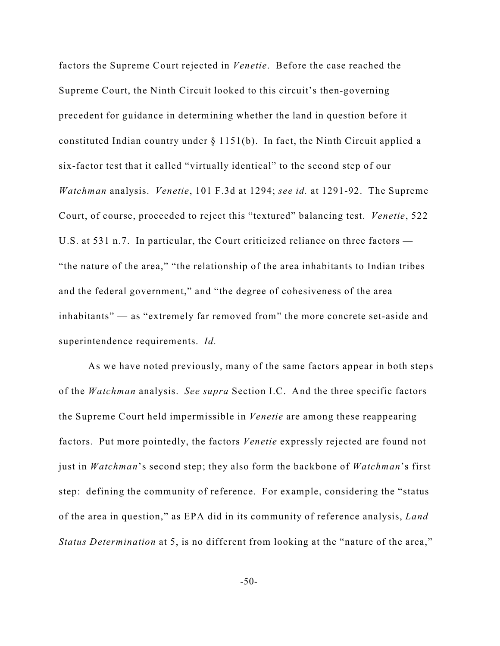factors the Supreme Court rejected in *Venetie*. Before the case reached the Supreme Court, the Ninth Circuit looked to this circuit's then-governing precedent for guidance in determining whether the land in question before it constituted Indian country under § 1151(b). In fact, the Ninth Circuit applied a six-factor test that it called "virtually identical" to the second step of our *Watchman* analysis. *Venetie*, 101 F.3d at 1294; *see id.* at 1291-92. The Supreme Court, of course, proceeded to reject this "textured" balancing test. *Venetie*, 522 U.S. at 531 n.7. In particular, the Court criticized reliance on three factors — "the nature of the area," "the relationship of the area inhabitants to Indian tribes and the federal government," and "the degree of cohesiveness of the area inhabitants" — as "extremely far removed from" the more concrete set-aside and superintendence requirements. *Id.*

As we have noted previously, many of the same factors appear in both steps of the *Watchman* analysis. *See supra* Section I.C. And the three specific factors the Supreme Court held impermissible in *Venetie* are among these reappearing factors. Put more pointedly, the factors *Venetie* expressly rejected are found not just in *Watchman*'s second step; they also form the backbone of *Watchman*'s first step: defining the community of reference. For example, considering the "status of the area in question," as EPA did in its community of reference analysis, *Land Status Determination* at 5, is no different from looking at the "nature of the area,"

-50-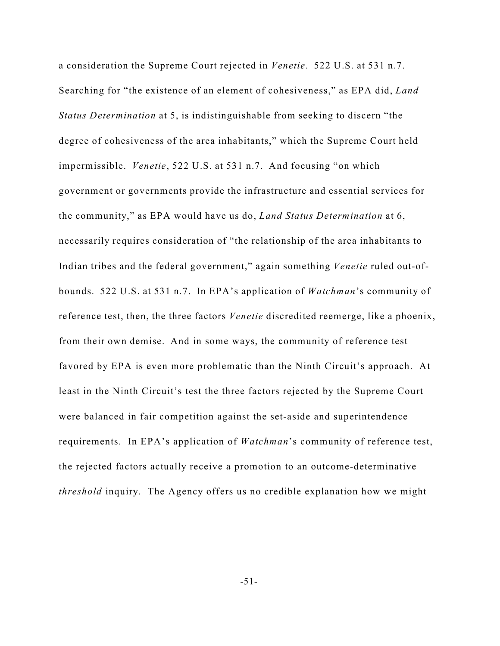a consideration the Supreme Court rejected in *Venetie*. 522 U.S. at 531 n.7. Searching for "the existence of an element of cohesiveness," as EPA did, *Land Status Determination* at 5, is indistinguishable from seeking to discern "the degree of cohesiveness of the area inhabitants," which the Supreme Court held impermissible. *Venetie*, 522 U.S. at 531 n.7. And focusing "on which government or governments provide the infrastructure and essential services for the community," as EPA would have us do, *Land Status Determination* at 6, necessarily requires consideration of "the relationship of the area inhabitants to Indian tribes and the federal government," again something *Venetie* ruled out-ofbounds. 522 U.S. at 531 n.7. In EPA's application of *Watchman*'s community of reference test, then, the three factors *Venetie* discredited reemerge, like a phoenix, from their own demise. And in some ways, the community of reference test favored by EPA is even more problematic than the Ninth Circuit's approach. At least in the Ninth Circuit's test the three factors rejected by the Supreme Court were balanced in fair competition against the set-aside and superintendence requirements. In EPA's application of *Watchman*'s community of reference test, the rejected factors actually receive a promotion to an outcome-determinative *threshold* inquiry. The Agency offers us no credible explanation how we might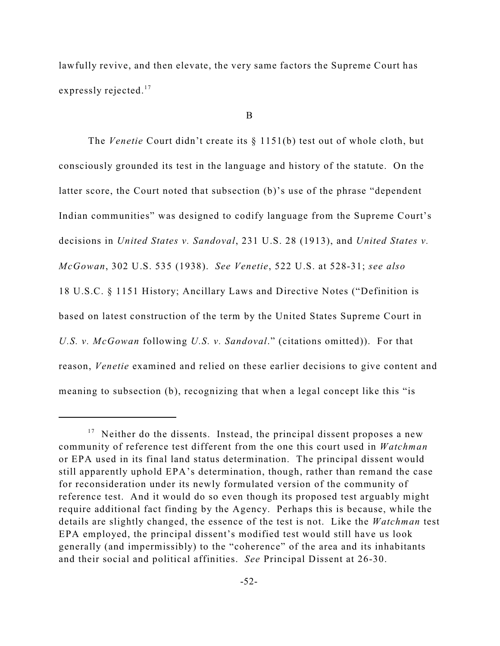lawfully revive, and then elevate, the very same factors the Supreme Court has expressly rejected. 17

## B

The *Venetie* Court didn't create its § 1151(b) test out of whole cloth, but consciously grounded its test in the language and history of the statute. On the latter score, the Court noted that subsection (b)'s use of the phrase "dependent Indian communities" was designed to codify language from the Supreme Court's decisions in *United States v. Sandoval*, 231 U.S. 28 (1913), and *United States v. McGowan*, 302 U.S. 535 (1938). *See Venetie*, 522 U.S. at 528-31; *see also* 18 U.S.C. § 1151 History; Ancillary Laws and Directive Notes ("Definition is based on latest construction of the term by the United States Supreme Court in *U.S. v. McGowan* following *U.S. v. Sandoval*." (citations omitted)). For that reason, *Venetie* examined and relied on these earlier decisions to give content and meaning to subsection (b), recognizing that when a legal concept like this "is

 $17$  Neither do the dissents. Instead, the principal dissent proposes a new community of reference test different from the one this court used in *Watchman* or EPA used in its final land status determination. The principal dissent would still apparently uphold EPA's determination, though, rather than remand the case for reconsideration under its newly formulated version of the community of reference test. And it would do so even though its proposed test arguably might require additional fact finding by the Agency. Perhaps this is because, while the details are slightly changed, the essence of the test is not. Like the *Watchman* test EPA employed, the principal dissent's modified test would still have us look generally (and impermissibly) to the "coherence" of the area and its inhabitants and their social and political affinities. *See* Principal Dissent at 26-30.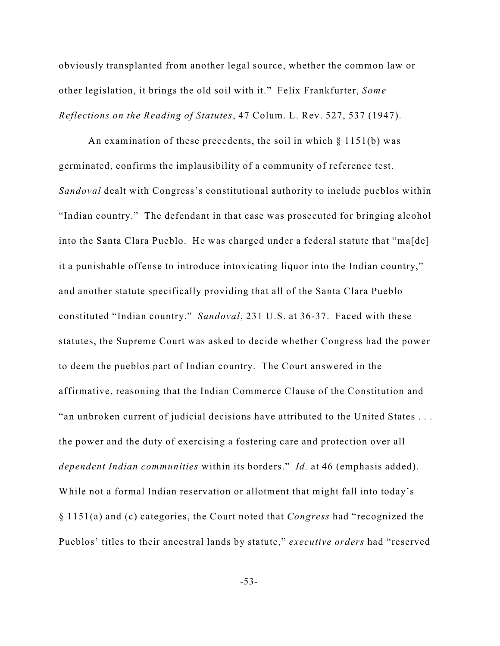obviously transplanted from another legal source, whether the common law or other legislation, it brings the old soil with it." Felix Frankfurter, *Some Reflections on the Reading of Statutes*, 47 Colum. L. Rev. 527, 537 (1947).

An examination of these precedents, the soil in which  $\S 1151(b)$  was germinated, confirms the implausibility of a community of reference test. *Sandoval* dealt with Congress's constitutional authority to include pueblos within "Indian country." The defendant in that case was prosecuted for bringing alcohol into the Santa Clara Pueblo. He was charged under a federal statute that "ma[de] it a punishable offense to introduce intoxicating liquor into the Indian country," and another statute specifically providing that all of the Santa Clara Pueblo constituted "Indian country." *Sandoval*, 231 U.S. at 36-37. Faced with these statutes, the Supreme Court was asked to decide whether Congress had the power to deem the pueblos part of Indian country. The Court answered in the affirmative, reasoning that the Indian Commerce Clause of the Constitution and "an unbroken current of judicial decisions have attributed to the United States . . . the power and the duty of exercising a fostering care and protection over all *dependent Indian communities* within its borders." *Id.* at 46 (emphasis added). While not a formal Indian reservation or allotment that might fall into today's § 1151(a) and (c) categories, the Court noted that *Congress* had "recognized the Pueblos' titles to their ancestral lands by statute," *executive orders* had "reserved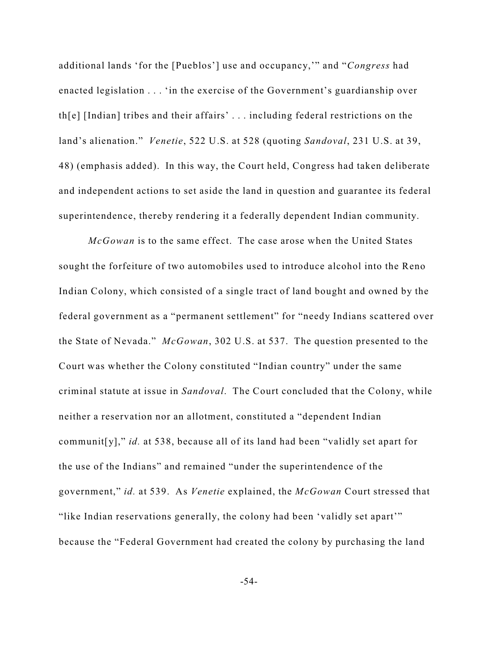additional lands 'for the [Pueblos'] use and occupancy,'" and "*Congress* had enacted legislation . . . 'in the exercise of the Government's guardianship over th[e] [Indian] tribes and their affairs' . . . including federal restrictions on the land's alienation." *Venetie*, 522 U.S. at 528 (quoting *Sandoval*, 231 U.S. at 39, 48) (emphasis added). In this way, the Court held, Congress had taken deliberate and independent actions to set aside the land in question and guarantee its federal superintendence, thereby rendering it a federally dependent Indian community.

*McGowan* is to the same effect. The case arose when the United States sought the forfeiture of two automobiles used to introduce alcohol into the Reno Indian Colony, which consisted of a single tract of land bought and owned by the federal government as a "permanent settlement" for "needy Indians scattered over the State of Nevada." *McGowan*, 302 U.S. at 537. The question presented to the Court was whether the Colony constituted "Indian country" under the same criminal statute at issue in *Sandoval*. The Court concluded that the Colony, while neither a reservation nor an allotment, constituted a "dependent Indian communit[y]," *id.* at 538, because all of its land had been "validly set apart for the use of the Indians" and remained "under the superintendence of the government," *id.* at 539. As *Venetie* explained, the *McGowan* Court stressed that "like Indian reservations generally, the colony had been 'validly set apart'" because the "Federal Government had created the colony by purchasing the land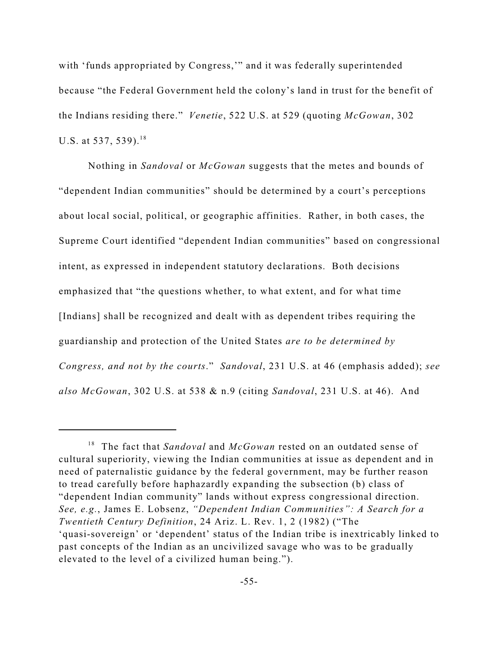with 'funds appropriated by Congress,'" and it was federally superintended because "the Federal Government held the colony's land in trust for the benefit of the Indians residing there." *Venetie*, 522 U.S. at 529 (quoting *McGowan*, 302 U.S. at 537, 539).<sup>18</sup>

Nothing in *Sandoval* or *McGowan* suggests that the metes and bounds of "dependent Indian communities" should be determined by a court's perceptions about local social, political, or geographic affinities. Rather, in both cases, the Supreme Court identified "dependent Indian communities" based on congressional intent, as expressed in independent statutory declarations. Both decisions emphasized that "the questions whether, to what extent, and for what time [Indians] shall be recognized and dealt with as dependent tribes requiring the guardianship and protection of the United States *are to be determined by Congress, and not by the courts*." *Sandoval*, 231 U.S. at 46 (emphasis added); *see also McGowan*, 302 U.S. at 538 & n.9 (citing *Sandoval*, 231 U.S. at 46). And

<sup>&</sup>lt;sup>18</sup> The fact that *Sandoval* and *McGowan* rested on an outdated sense of cultural superiority, viewing the Indian communities at issue as dependent and in need of paternalistic guidance by the federal government, may be further reason to tread carefully before haphazardly expanding the subsection (b) class of "dependent Indian community" lands without express congressional direction. *See, e.g.*, James E. Lobsenz, *"Dependent Indian Communities": A Search for a Twentieth Century Definition*, 24 Ariz. L. Rev. 1, 2 (1982) ("The 'quasi-sovereign' or 'dependent' status of the Indian tribe is inextricably linked to past concepts of the Indian as an uncivilized savage who was to be gradually elevated to the level of a civilized human being.").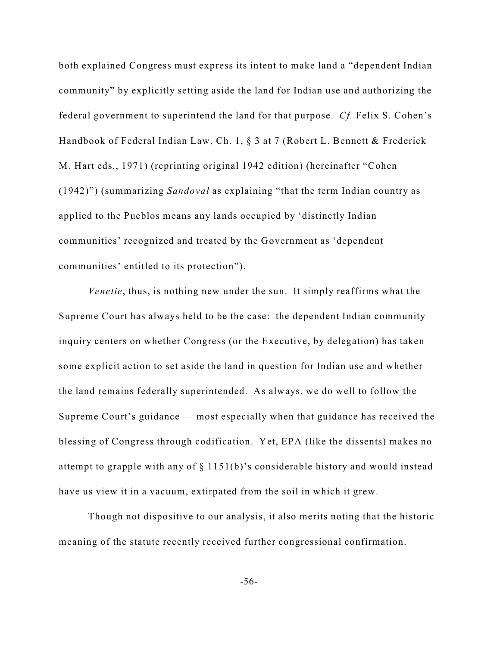both explained Congress must express its intent to make land a "dependent Indian community" by explicitly setting aside the land for Indian use and authorizing the federal government to superintend the land for that purpose. *Cf.* Felix S. Cohen's Handbook of Federal Indian Law, Ch. 1, § 3 at 7 (Robert L. Bennett & Frederick M. Hart eds., 1971) (reprinting original 1942 edition) (hereinafter "Cohen (1942)") (summarizing *Sandoval* as explaining "that the term Indian country as applied to the Pueblos means any lands occupied by 'distinctly Indian communities' recognized and treated by the Government as 'dependent communities' entitled to its protection").

*Venetie*, thus, is nothing new under the sun. It simply reaffirms what the Supreme Court has always held to be the case: the dependent Indian community inquiry centers on whether Congress (or the Executive, by delegation) has taken some explicit action to set aside the land in question for Indian use and whether the land remains federally superintended. As always, we do well to follow the Supreme Court's guidance — most especially when that guidance has received the blessing of Congress through codification. Yet, EPA (like the dissents) makes no attempt to grapple with any of § 1151(b)'s considerable history and would instead have us view it in a vacuum, extirpated from the soil in which it grew.

Though not dispositive to our analysis, it also merits noting that the historic meaning of the statute recently received further congressional confirmation.

-56-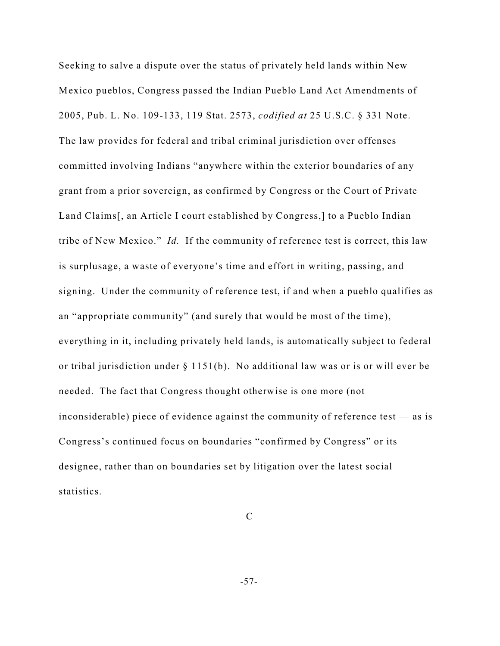Seeking to salve a dispute over the status of privately held lands within New Mexico pueblos, Congress passed the Indian Pueblo Land Act Amendments of 2005, Pub. L. No. 109-133, 119 Stat. 2573, *codified at* 25 U.S.C. § 331 Note. The law provides for federal and tribal criminal jurisdiction over offenses committed involving Indians "anywhere within the exterior boundaries of any grant from a prior sovereign, as confirmed by Congress or the Court of Private Land Claims[, an Article I court established by Congress,] to a Pueblo Indian tribe of New Mexico." *Id.* If the community of reference test is correct, this law is surplusage, a waste of everyone's time and effort in writing, passing, and signing. Under the community of reference test, if and when a pueblo qualifies as an "appropriate community" (and surely that would be most of the time), everything in it, including privately held lands, is automatically subject to federal or tribal jurisdiction under § 1151(b). No additional law was or is or will ever be needed. The fact that Congress thought otherwise is one more (not inconsiderable) piece of evidence against the community of reference test — as is Congress's continued focus on boundaries "confirmed by Congress" or its designee, rather than on boundaries set by litigation over the latest social statistics.

C

-57-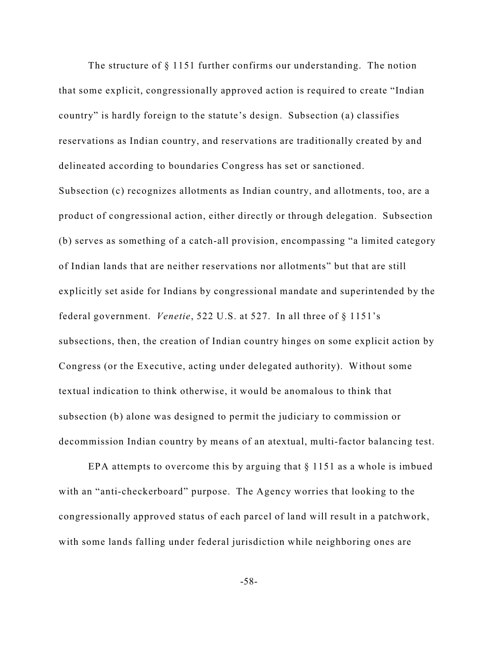The structure of § 1151 further confirms our understanding. The notion that some explicit, congressionally approved action is required to create "Indian country" is hardly foreign to the statute's design. Subsection (a) classifies reservations as Indian country, and reservations are traditionally created by and delineated according to boundaries Congress has set or sanctioned. Subsection (c) recognizes allotments as Indian country, and allotments, too, are a product of congressional action, either directly or through delegation. Subsection (b) serves as something of a catch-all provision, encompassing "a limited category of Indian lands that are neither reservations nor allotments" but that are still explicitly set aside for Indians by congressional mandate and superintended by the federal government. *Venetie*, 522 U.S. at 527. In all three of § 1151's subsections, then, the creation of Indian country hinges on some explicit action by Congress (or the Executive, acting under delegated authority). Without some textual indication to think otherwise, it would be anomalous to think that subsection (b) alone was designed to permit the judiciary to commission or decommission Indian country by means of an atextual, multi-factor balancing test.

EPA attempts to overcome this by arguing that  $\S 1151$  as a whole is imbued with an "anti-checkerboard" purpose. The Agency worries that looking to the congressionally approved status of each parcel of land will result in a patchwork, with some lands falling under federal jurisdiction while neighboring ones are

-58-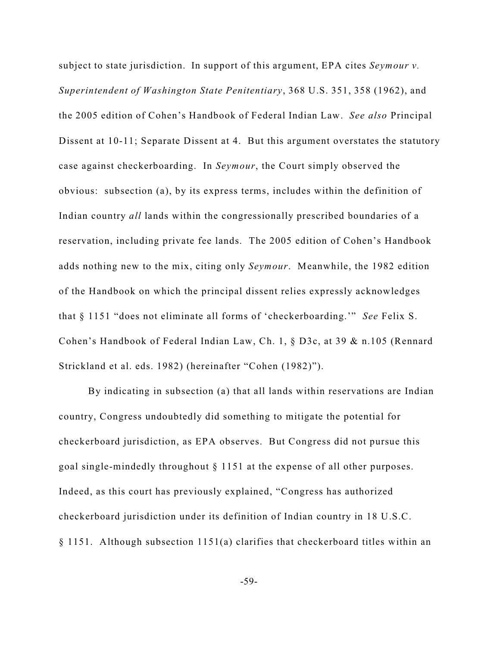subject to state jurisdiction. In support of this argument, EPA cites *Seymour v. Superintendent of Washington State Penitentiary*, 368 U.S. 351, 358 (1962), and the 2005 edition of Cohen's Handbook of Federal Indian Law. *See also* Principal Dissent at 10-11; Separate Dissent at 4. But this argument overstates the statutory case against checkerboarding. In *Seymour*, the Court simply observed the obvious: subsection (a), by its express terms, includes within the definition of Indian country *all* lands within the congressionally prescribed boundaries of a reservation, including private fee lands. The 2005 edition of Cohen's Handbook adds nothing new to the mix, citing only *Seymour*. Meanwhile, the 1982 edition of the Handbook on which the principal dissent relies expressly acknowledges that § 1151 "does not eliminate all forms of 'checkerboarding.'" *See* Felix S. Cohen's Handbook of Federal Indian Law, Ch. 1, § D3c, at 39 & n.105 (Rennard Strickland et al. eds. 1982) (hereinafter "Cohen (1982)").

By indicating in subsection (a) that all lands within reservations are Indian country, Congress undoubtedly did something to mitigate the potential for checkerboard jurisdiction, as EPA observes. But Congress did not pursue this goal single-mindedly throughout § 1151 at the expense of all other purposes. Indeed, as this court has previously explained, "Congress has authorized checkerboard jurisdiction under its definition of Indian country in 18 U.S.C. § 1151. Although subsection 1151(a) clarifies that checkerboard titles within an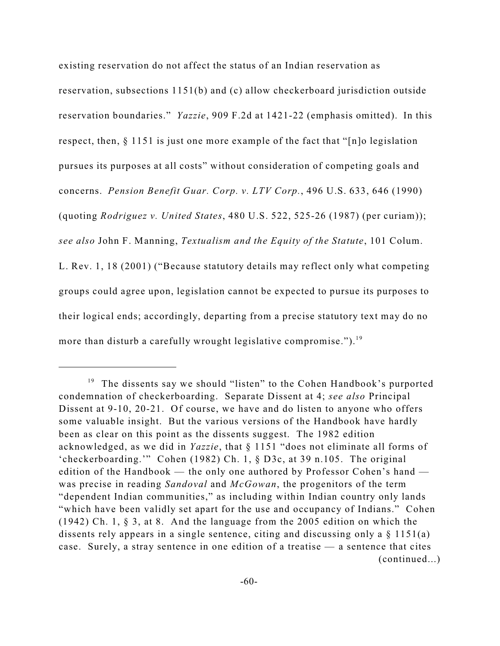existing reservation do not affect the status of an Indian reservation as reservation, subsections 1151(b) and (c) allow checkerboard jurisdiction outside reservation boundaries." *Yazzie*, 909 F.2d at 1421-22 (emphasis omitted). In this respect, then, § 1151 is just one more example of the fact that "[n]o legislation pursues its purposes at all costs" without consideration of competing goals and concerns. *Pension Benefit Guar. Corp. v. LTV Corp.*, 496 U.S. 633, 646 (1990) (quoting *Rodriguez v. United States*, 480 U.S. 522, 525-26 (1987) (per curiam)); *see also* John F. Manning, *Textualism and the Equity of the Statute*, 101 Colum. L. Rev. 1, 18 (2001) ("Because statutory details may reflect only what competing groups could agree upon, legislation cannot be expected to pursue its purposes to their logical ends; accordingly, departing from a precise statutory text may do no more than disturb a carefully wrought legislative compromise.").<sup>19</sup>

<sup>&</sup>lt;sup>19</sup> The dissents say we should "listen" to the Cohen Handbook's purported condemnation of checkerboarding. Separate Dissent at 4; *see also* Principal Dissent at 9-10, 20-21. Of course, we have and do listen to anyone who offers some valuable insight. But the various versions of the Handbook have hardly been as clear on this point as the dissents suggest. The 1982 edition acknowledged, as we did in *Yazzie*, that § 1151 "does not eliminate all forms of 'checkerboarding.'" Cohen (1982) Ch. 1, § D3c, at 39 n.105. The original edition of the Handbook — the only one authored by Professor Cohen's hand was precise in reading *Sandoval* and *McGowan*, the progenitors of the term "dependent Indian communities," as including within Indian country only lands "which have been validly set apart for the use and occupancy of Indians." Cohen (1942) Ch. 1, § 3, at 8. And the language from the 2005 edition on which the dissents rely appears in a single sentence, citing and discussing only a § 1151(a) case. Surely, a stray sentence in one edition of a treatise — a sentence that cites (continued...)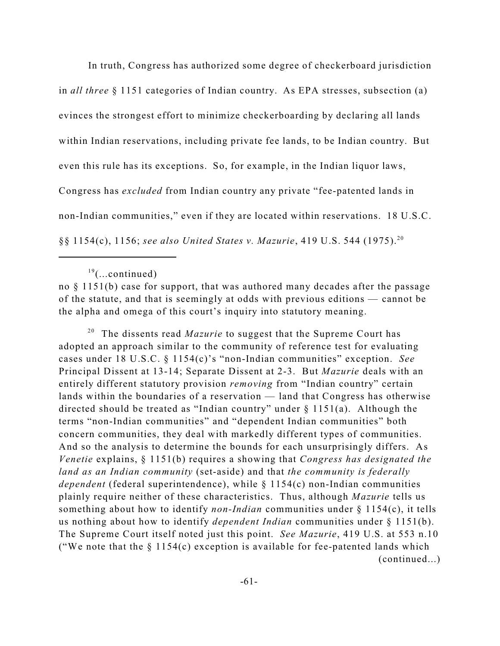In truth, Congress has authorized some degree of checkerboard jurisdiction in *all three* § 1151 categories of Indian country. As EPA stresses, subsection (a) evinces the strongest effort to minimize checkerboarding by declaring all lands within Indian reservations, including private fee lands, to be Indian country. But even this rule has its exceptions. So, for example, in the Indian liquor laws, Congress has *excluded* from Indian country any private "fee-patented lands in non-Indian communities," even if they are located within reservations. 18 U.S.C. §§ 1154(c), 1156; *see also United States v. Mazurie*, 419 U.S. 544 (1975). 20

no § 1151(b) case for support, that was authored many decades after the passage of the statute, and that is seemingly at odds with previous editions — cannot be the alpha and omega of this court's inquiry into statutory meaning.

<sup>20</sup> The dissents read *Mazurie* to suggest that the Supreme Court has adopted an approach similar to the community of reference test for evaluating cases under 18 U.S.C. § 1154(c)'s "non-Indian communities" exception. *See* Principal Dissent at 13-14; Separate Dissent at 2-3. But *Mazurie* deals with an entirely different statutory provision *removing* from "Indian country" certain lands within the boundaries of a reservation — land that Congress has otherwise directed should be treated as "Indian country" under  $\S$  1151(a). Although the terms "non-Indian communities" and "dependent Indian communities" both concern communities, they deal with markedly different types of communities. And so the analysis to determine the bounds for each unsurprisingly differs. As *Venetie* explains, § 1151(b) requires a showing that *Congress has designated the land as an Indian community* (set-aside) and that *the community is federally dependent* (federal superintendence), while § 1154(c) non-Indian communities plainly require neither of these characteristics. Thus, although *Mazurie* tells us something about how to identify *non-Indian* communities under § 1154(c), it tells us nothing about how to identify *dependent Indian* communities under § 1151(b). The Supreme Court itself noted just this point. *See Mazurie*, 419 U.S. at 553 n.10 ("We note that the  $\S 1154(c)$  exception is available for fee-patented lands which (continued...)

 $19$ (...continued)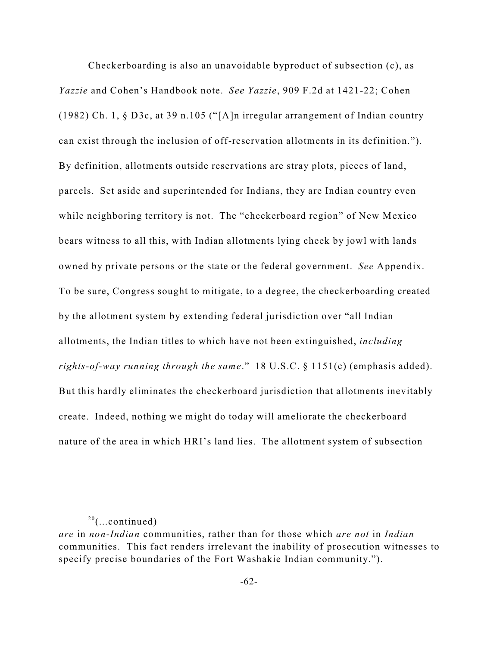Checkerboarding is also an unavoidable byproduct of subsection (c), as *Yazzie* and Cohen's Handbook note. *See Yazzie*, 909 F.2d at 1421-22; Cohen (1982) Ch. 1, § D3c, at 39 n.105 ("[A]n irregular arrangement of Indian country can exist through the inclusion of off-reservation allotments in its definition."). By definition, allotments outside reservations are stray plots, pieces of land, parcels. Set aside and superintended for Indians, they are Indian country even while neighboring territory is not. The "checkerboard region" of New Mexico bears witness to all this, with Indian allotments lying cheek by jowl with lands owned by private persons or the state or the federal government. *See* Appendix. To be sure, Congress sought to mitigate, to a degree, the checkerboarding created by the allotment system by extending federal jurisdiction over "all Indian allotments, the Indian titles to which have not been extinguished, *including rights-of-way running through the same*." 18 U.S.C. § 1151(c) (emphasis added). But this hardly eliminates the checkerboard jurisdiction that allotments inevitably create. Indeed, nothing we might do today will ameliorate the checkerboard nature of the area in which HRI's land lies. The allotment system of subsection

 $20$ (...continued)

*are* in *non-Indian* communities, rather than for those which *are not* in *Indian* communities. This fact renders irrelevant the inability of prosecution witnesses to specify precise boundaries of the Fort Washakie Indian community.").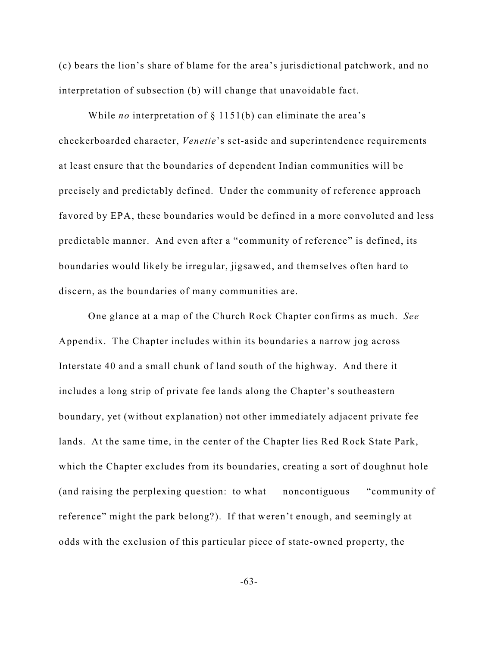(c) bears the lion's share of blame for the area's jurisdictional patchwork, and no interpretation of subsection (b) will change that unavoidable fact.

While *no* interpretation of § 1151(b) can eliminate the area's checkerboarded character, *Venetie*'s set-aside and superintendence requirements at least ensure that the boundaries of dependent Indian communities will be precisely and predictably defined. Under the community of reference approach favored by EPA, these boundaries would be defined in a more convoluted and less predictable manner. And even after a "community of reference" is defined, its boundaries would likely be irregular, jigsawed, and themselves often hard to discern, as the boundaries of many communities are.

One glance at a map of the Church Rock Chapter confirms as much. *See* Appendix. The Chapter includes within its boundaries a narrow jog across Interstate 40 and a small chunk of land south of the highway. And there it includes a long strip of private fee lands along the Chapter's southeastern boundary, yet (without explanation) not other immediately adjacent private fee lands. At the same time, in the center of the Chapter lies Red Rock State Park, which the Chapter excludes from its boundaries, creating a sort of doughnut hole (and raising the perplexing question: to what — noncontiguous — "community of reference" might the park belong?). If that weren't enough, and seemingly at odds with the exclusion of this particular piece of state-owned property, the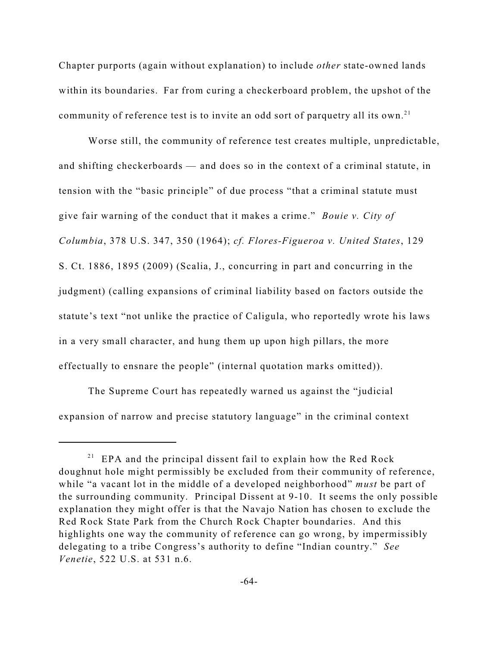Chapter purports (again without explanation) to include *other* state-owned lands within its boundaries. Far from curing a checkerboard problem, the upshot of the community of reference test is to invite an odd sort of parquetry all its own.<sup>21</sup>

Worse still, the community of reference test creates multiple, unpredictable, and shifting checkerboards — and does so in the context of a criminal statute, in tension with the "basic principle" of due process "that a criminal statute must give fair warning of the conduct that it makes a crime." *Bouie v. City of Columbia*, 378 U.S. 347, 350 (1964); *cf. Flores-Figueroa v. United States*, 129 S. Ct. 1886, 1895 (2009) (Scalia, J., concurring in part and concurring in the judgment) (calling expansions of criminal liability based on factors outside the statute's text "not unlike the practice of Caligula, who reportedly wrote his laws in a very small character, and hung them up upon high pillars, the more effectually to ensnare the people" (internal quotation marks omitted)).

The Supreme Court has repeatedly warned us against the "judicial expansion of narrow and precise statutory language" in the criminal context

 $21$  EPA and the principal dissent fail to explain how the Red Rock doughnut hole might permissibly be excluded from their community of reference, while "a vacant lot in the middle of a developed neighborhood" *must* be part of the surrounding community. Principal Dissent at 9-10. It seems the only possible explanation they might offer is that the Navajo Nation has chosen to exclude the Red Rock State Park from the Church Rock Chapter boundaries. And this highlights one way the community of reference can go wrong, by impermissibly delegating to a tribe Congress's authority to define "Indian country." *See Venetie*, 522 U.S. at 531 n.6.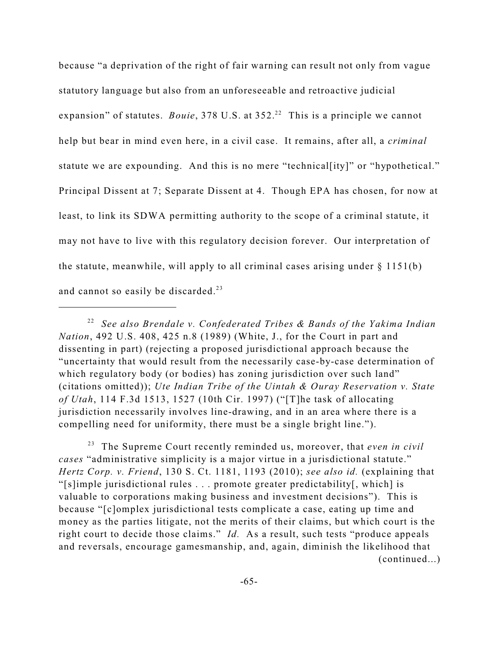because "a deprivation of the right of fair warning can result not only from vague statutory language but also from an unforeseeable and retroactive judicial expansion" of statutes. *Bouie*, 378 U.S. at 352.<sup>22</sup> This is a principle we cannot help but bear in mind even here, in a civil case. It remains, after all, a *criminal* statute we are expounding. And this is no mere "technical[ity]" or "hypothetical." Principal Dissent at 7; Separate Dissent at 4. Though EPA has chosen, for now at least, to link its SDWA permitting authority to the scope of a criminal statute, it may not have to live with this regulatory decision forever. Our interpretation of the statute, meanwhile, will apply to all criminal cases arising under  $\S$  1151(b) and cannot so easily be discarded.<sup>23</sup>

The Supreme Court recently reminded us, moreover, that *even in civil* 23 *cases* "administrative simplicity is a major virtue in a jurisdictional statute." *Hertz Corp. v. Friend*, 130 S. Ct. 1181, 1193 (2010); *see also id.* (explaining that "[s]imple jurisdictional rules . . . promote greater predictability[, which] is valuable to corporations making business and investment decisions"). This is because "[c]omplex jurisdictional tests complicate a case, eating up time and money as the parties litigate, not the merits of their claims, but which court is the right court to decide those claims." *Id.* As a result, such tests "produce appeals and reversals, encourage gamesmanship, and, again, diminish the likelihood that (continued...)

*See also Brendale v. Confederated Tribes & Bands of the Yakima Indian* 22 *Nation*, 492 U.S. 408, 425 n.8 (1989) (White, J., for the Court in part and dissenting in part) (rejecting a proposed jurisdictional approach because the "uncertainty that would result from the necessarily case-by-case determination of which regulatory body (or bodies) has zoning jurisdiction over such land" (citations omitted)); *Ute Indian Tribe of the Uintah & Ouray Reservation v. State of Utah*, 114 F.3d 1513, 1527 (10th Cir. 1997) ("[T]he task of allocating jurisdiction necessarily involves line-drawing, and in an area where there is a compelling need for uniformity, there must be a single bright line.").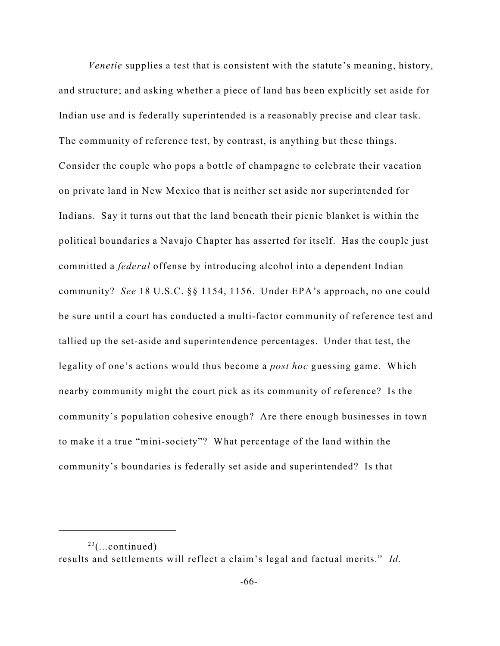*Venetie* supplies a test that is consistent with the statute's meaning, history, and structure; and asking whether a piece of land has been explicitly set aside for Indian use and is federally superintended is a reasonably precise and clear task. The community of reference test, by contrast, is anything but these things. Consider the couple who pops a bottle of champagne to celebrate their vacation on private land in New Mexico that is neither set aside nor superintended for Indians. Say it turns out that the land beneath their picnic blanket is within the political boundaries a Navajo Chapter has asserted for itself. Has the couple just committed a *federal* offense by introducing alcohol into a dependent Indian community? *See* 18 U.S.C. §§ 1154, 1156. Under EPA's approach, no one could be sure until a court has conducted a multi-factor community of reference test and tallied up the set-aside and superintendence percentages. Under that test, the legality of one's actions would thus become a *post hoc* guessing game. Which nearby community might the court pick as its community of reference? Is the community's population cohesive enough? Are there enough businesses in town to make it a true "mini-society"? What percentage of the land within the community's boundaries is federally set aside and superintended? Is that

 $23$ (...continued) results and settlements will reflect a claim's legal and factual merits." *Id.*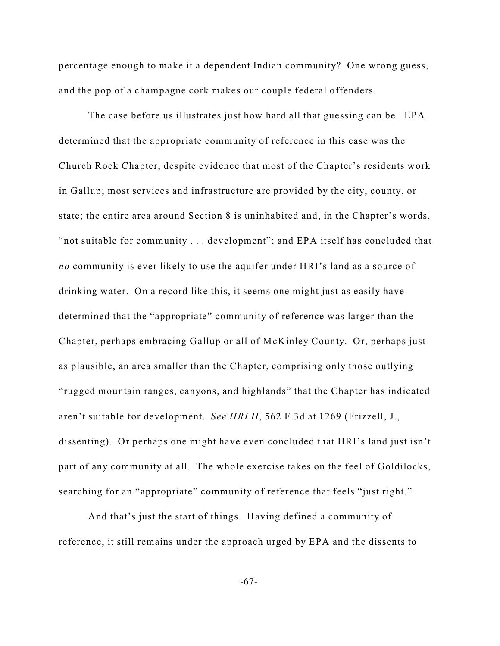percentage enough to make it a dependent Indian community? One wrong guess, and the pop of a champagne cork makes our couple federal offenders.

The case before us illustrates just how hard all that guessing can be. EPA determined that the appropriate community of reference in this case was the Church Rock Chapter, despite evidence that most of the Chapter's residents work in Gallup; most services and infrastructure are provided by the city, county, or state; the entire area around Section 8 is uninhabited and, in the Chapter's words, "not suitable for community . . . development"; and EPA itself has concluded that *no* community is ever likely to use the aquifer under HRI's land as a source of drinking water. On a record like this, it seems one might just as easily have determined that the "appropriate" community of reference was larger than the Chapter, perhaps embracing Gallup or all of McKinley County. Or, perhaps just as plausible, an area smaller than the Chapter, comprising only those outlying "rugged mountain ranges, canyons, and highlands" that the Chapter has indicated aren't suitable for development. *See HRI II*, 562 F.3d at 1269 (Frizzell, J., dissenting). Or perhaps one might have even concluded that HRI's land just isn't part of any community at all. The whole exercise takes on the feel of Goldilocks, searching for an "appropriate" community of reference that feels "just right."

And that's just the start of things. Having defined a community of reference, it still remains under the approach urged by EPA and the dissents to

-67-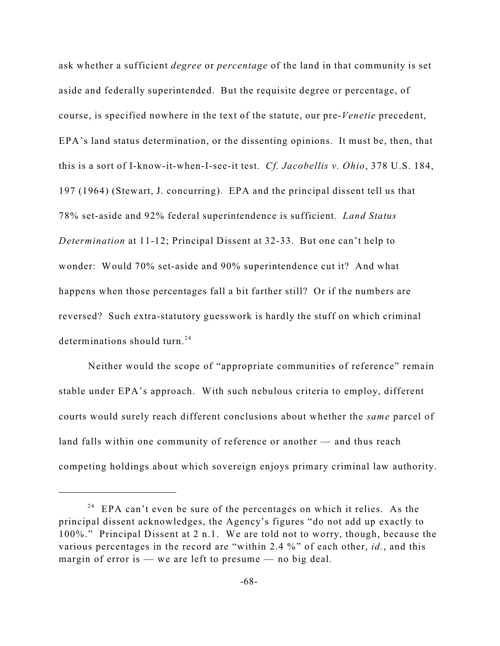ask whether a sufficient *degree* or *percentage* of the land in that community is set aside and federally superintended. But the requisite degree or percentage, of course, is specified nowhere in the text of the statute, our pre-*Venetie* precedent, EPA's land status determination, or the dissenting opinions. It must be, then, that this is a sort of I-know-it-when-I-see-it test. *Cf. Jacobellis v. Ohio*, 378 U.S. 184, 197 (1964) (Stewart, J. concurring). EPA and the principal dissent tell us that 78% set-aside and 92% federal superintendence is sufficient. *Land Status Determination* at 11-12; Principal Dissent at 32-33. But one can't help to wonder: Would 70% set-aside and 90% superintendence cut it? And what happens when those percentages fall a bit farther still? Or if the numbers are reversed? Such extra-statutory guesswork is hardly the stuff on which criminal determinations should turn.<sup>24</sup>

Neither would the scope of "appropriate communities of reference" remain stable under EPA's approach. With such nebulous criteria to employ, different courts would surely reach different conclusions about whether the *same* parcel of land falls within one community of reference or another — and thus reach competing holdings about which sovereign enjoys primary criminal law authority.

 $24$  EPA can't even be sure of the percentages on which it relies. As the principal dissent acknowledges, the Agency's figures "do not add up exactly to 100%." Principal Dissent at 2 n.1. We are told not to worry, though, because the various percentages in the record are "within 2.4 %" of each other, *id.*, and this margin of error is  $-$  we are left to presume  $-$  no big deal.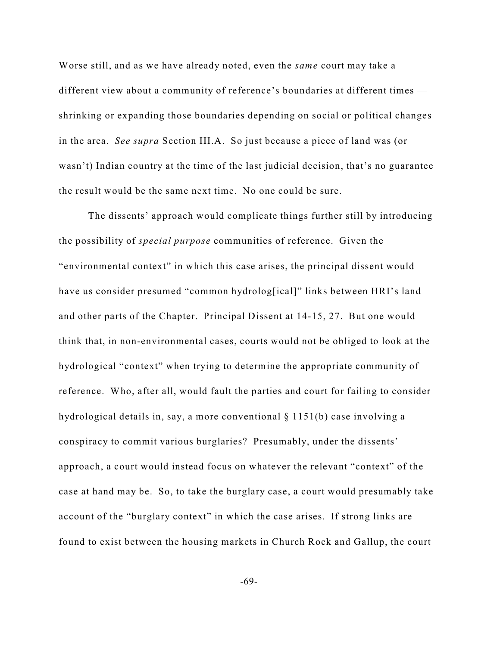Worse still, and as we have already noted, even the *same* court may take a different view about a community of reference's boundaries at different times shrinking or expanding those boundaries depending on social or political changes in the area. *See supra* Section III.A. So just because a piece of land was (or wasn't) Indian country at the time of the last judicial decision, that's no guarantee the result would be the same next time. No one could be sure.

The dissents' approach would complicate things further still by introducing the possibility of *special purpose* communities of reference. Given the "environmental context" in which this case arises, the principal dissent would have us consider presumed "common hydrolog[ical]" links between HRI's land and other parts of the Chapter. Principal Dissent at 14-15, 27. But one would think that, in non-environmental cases, courts would not be obliged to look at the hydrological "context" when trying to determine the appropriate community of reference. Who, after all, would fault the parties and court for failing to consider hydrological details in, say, a more conventional § 1151(b) case involving a conspiracy to commit various burglaries? Presumably, under the dissents' approach, a court would instead focus on whatever the relevant "context" of the case at hand may be. So, to take the burglary case, a court would presumably take account of the "burglary context" in which the case arises. If strong links are found to exist between the housing markets in Church Rock and Gallup, the court

-69-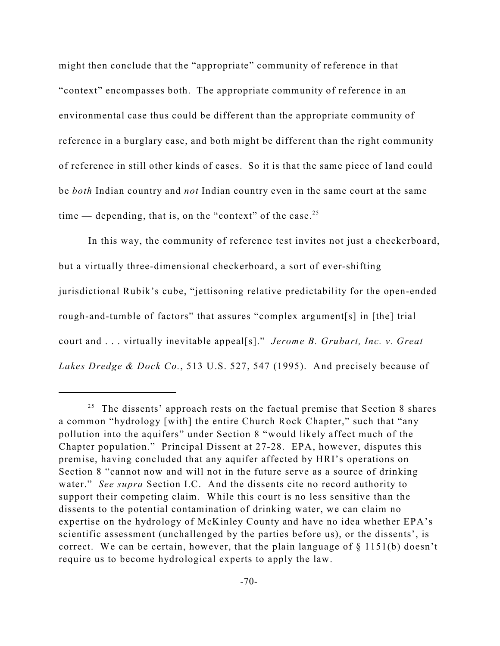might then conclude that the "appropriate" community of reference in that "context" encompasses both. The appropriate community of reference in an environmental case thus could be different than the appropriate community of reference in a burglary case, and both might be different than the right community of reference in still other kinds of cases. So it is that the same piece of land could be *both* Indian country and *not* Indian country even in the same court at the same time — depending, that is, on the "context" of the case.<sup>25</sup>

In this way, the community of reference test invites not just a checkerboard, but a virtually three-dimensional checkerboard, a sort of ever-shifting jurisdictional Rubik's cube, "jettisoning relative predictability for the open-ended rough-and-tumble of factors" that assures "complex argument[s] in [the] trial court and . . . virtually inevitable appeal[s]." *Jerome B. Grubart, Inc. v. Great Lakes Dredge & Dock Co.*, 513 U.S. 527, 547 (1995). And precisely because of

 $25$  The dissents' approach rests on the factual premise that Section 8 shares a common "hydrology [with] the entire Church Rock Chapter," such that "any pollution into the aquifers" under Section 8 "would likely affect much of the Chapter population." Principal Dissent at 27-28. EPA, however, disputes this premise, having concluded that any aquifer affected by HRI's operations on Section 8 "cannot now and will not in the future serve as a source of drinking water." *See supra* Section I.C. And the dissents cite no record authority to support their competing claim. While this court is no less sensitive than the dissents to the potential contamination of drinking water, we can claim no expertise on the hydrology of McKinley County and have no idea whether EPA's scientific assessment (unchallenged by the parties before us), or the dissents', is correct. We can be certain, however, that the plain language of § 1151(b) doesn't require us to become hydrological experts to apply the law.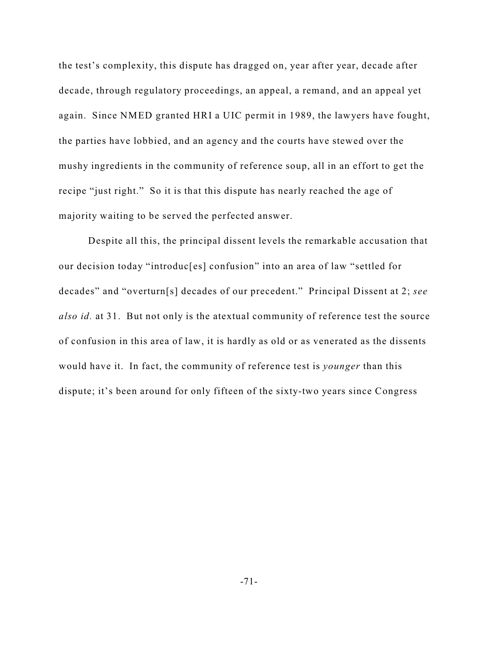the test's complexity, this dispute has dragged on, year after year, decade after decade, through regulatory proceedings, an appeal, a remand, and an appeal yet again. Since NMED granted HRI a UIC permit in 1989, the lawyers have fought, the parties have lobbied, and an agency and the courts have stewed over the mushy ingredients in the community of reference soup, all in an effort to get the recipe "just right." So it is that this dispute has nearly reached the age of majority waiting to be served the perfected answer.

Despite all this, the principal dissent levels the remarkable accusation that our decision today "introduc[es] confusion" into an area of law "settled for decades" and "overturn[s] decades of our precedent." Principal Dissent at 2; *see also id.* at 31. But not only is the atextual community of reference test the source of confusion in this area of law, it is hardly as old or as venerated as the dissents would have it. In fact, the community of reference test is *younger* than this dispute; it's been around for only fifteen of the sixty-two years since Congress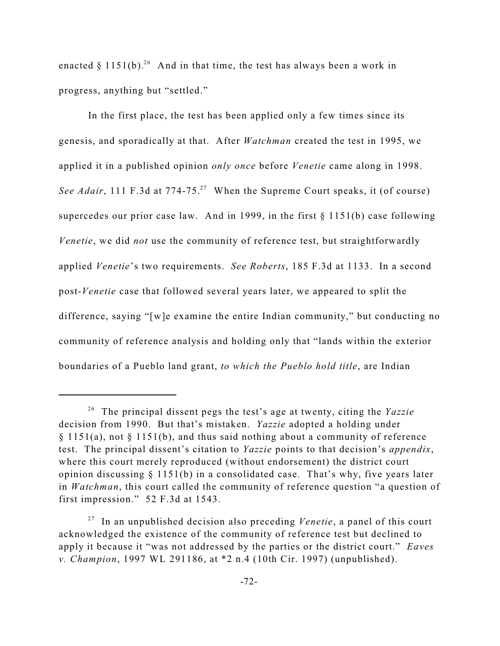enacted § 1151(b).<sup>26</sup> And in that time, the test has always been a work in progress, anything but "settled."

In the first place, the test has been applied only a few times since its genesis, and sporadically at that. After *Watchman* created the test in 1995, we applied it in a published opinion *only once* before *Venetie* came along in 1998. See Adair, 111 F.3d at 774-75.<sup>27</sup> When the Supreme Court speaks, it (of course) supercedes our prior case law. And in 1999, in the first § 1151(b) case following *Venetie*, we did *not* use the community of reference test, but straightforwardly applied *Venetie*'s two requirements. *See Roberts*, 185 F.3d at 1133. In a second post-*Venetie* case that followed several years later, we appeared to split the difference, saying "[w]e examine the entire Indian community," but conducting no community of reference analysis and holding only that "lands within the exterior boundaries of a Pueblo land grant, *to which the Pueblo hold title*, are Indian

The principal dissent pegs the test's age at twenty, citing the *Yazzie* 26 decision from 1990. But that's mistaken. *Yazzie* adopted a holding under § 1151(a), not § 1151(b), and thus said nothing about a community of reference test. The principal dissent's citation to *Yazzie* points to that decision's *appendix*, where this court merely reproduced (without endorsement) the district court opinion discussing § 1151(b) in a consolidated case. That's why, five years later in *Watchman*, this court called the community of reference question "a question of first impression." 52 F.3d at 1543.

<sup>&</sup>lt;sup>27</sup> In an unpublished decision also preceding *Venetie*, a panel of this court acknowledged the existence of the community of reference test but declined to apply it because it "was not addressed by the parties or the district court." *Eaves v. Champion*, 1997 WL 291186, at \*2 n.4 (10th Cir. 1997) (unpublished).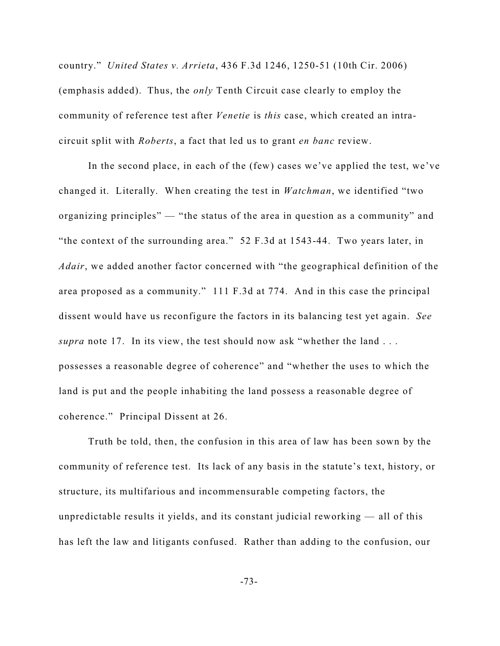country." *United States v. Arrieta*, 436 F.3d 1246, 1250-51 (10th Cir. 2006) (emphasis added). Thus, the *only* Tenth Circuit case clearly to employ the community of reference test after *Venetie* is *this* case, which created an intracircuit split with *Roberts*, a fact that led us to grant *en banc* review.

In the second place, in each of the (few) cases we've applied the test, we've changed it. Literally. When creating the test in *Watchman*, we identified "two organizing principles" — "the status of the area in question as a community" and "the context of the surrounding area." 52 F.3d at 1543-44. Two years later, in *Adair*, we added another factor concerned with "the geographical definition of the area proposed as a community." 111 F.3d at 774. And in this case the principal dissent would have us reconfigure the factors in its balancing test yet again. *See supra* note 17. In its view, the test should now ask "whether the land ... possesses a reasonable degree of coherence" and "whether the uses to which the land is put and the people inhabiting the land possess a reasonable degree of coherence." Principal Dissent at 26.

Truth be told, then, the confusion in this area of law has been sown by the community of reference test. Its lack of any basis in the statute's text, history, or structure, its multifarious and incommensurable competing factors, the unpredictable results it yields, and its constant judicial reworking — all of this has left the law and litigants confused. Rather than adding to the confusion, our

-73-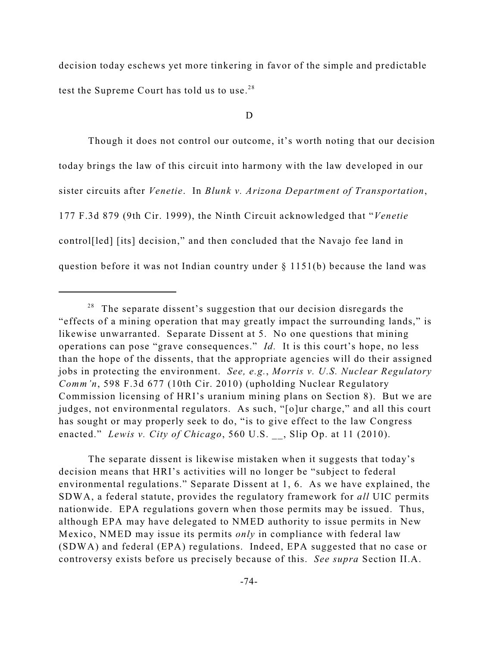decision today eschews yet more tinkering in favor of the simple and predictable test the Supreme Court has told us to use. $^{28}$ 

D

Though it does not control our outcome, it's worth noting that our decision today brings the law of this circuit into harmony with the law developed in our sister circuits after *Venetie*. In *Blunk v. Arizona Department of Transportation*, 177 F.3d 879 (9th Cir. 1999), the Ninth Circuit acknowledged that "*Venetie* control[led] [its] decision," and then concluded that the Navajo fee land in question before it was not Indian country under § 1151(b) because the land was

The separate dissent is likewise mistaken when it suggests that today's decision means that HRI's activities will no longer be "subject to federal environmental regulations." Separate Dissent at 1, 6. As we have explained, the SDWA, a federal statute, provides the regulatory framework for *all* UIC permits nationwide. EPA regulations govern when those permits may be issued. Thus, although EPA may have delegated to NMED authority to issue permits in New Mexico, NMED may issue its permits *only* in compliance with federal law (SDWA) and federal (EPA) regulations. Indeed, EPA suggested that no case or controversy exists before us precisely because of this. *See supra* Section II.A.

 $28$  The separate dissent's suggestion that our decision disregards the "effects of a mining operation that may greatly impact the surrounding lands," is likewise unwarranted. Separate Dissent at 5. No one questions that mining operations can pose "grave consequences." *Id.* It is this court's hope, no less than the hope of the dissents, that the appropriate agencies will do their assigned jobs in protecting the environment. *See, e.g.*, *Morris v. U.S. Nuclear Regulatory Comm'n*, 598 F.3d 677 (10th Cir. 2010) (upholding Nuclear Regulatory Commission licensing of HRI's uranium mining plans on Section 8). But we are judges, not environmental regulators. As such, "[o]ur charge," and all this court has sought or may properly seek to do, "is to give effect to the law Congress enacted." *Lewis v. City of Chicago*, 560 U.S. \_\_, Slip Op. at 11 (2010).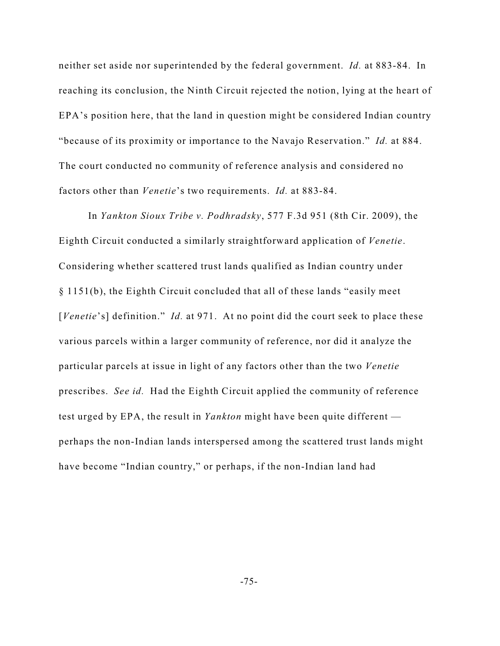neither set aside nor superintended by the federal government. *Id.* at 883-84. In reaching its conclusion, the Ninth Circuit rejected the notion, lying at the heart of EPA's position here, that the land in question might be considered Indian country "because of its proximity or importance to the Navajo Reservation." *Id.* at 884. The court conducted no community of reference analysis and considered no factors other than *Venetie*'s two requirements. *Id.* at 883-84.

In *Yankton Sioux Tribe v. Podhradsky*, 577 F.3d 951 (8th Cir. 2009), the Eighth Circuit conducted a similarly straightforward application of *Venetie*. Considering whether scattered trust lands qualified as Indian country under § 1151(b), the Eighth Circuit concluded that all of these lands "easily meet [*Venetie*'s] definition." *Id.* at 971. At no point did the court seek to place these various parcels within a larger community of reference, nor did it analyze the particular parcels at issue in light of any factors other than the two *Venetie* prescribes. *See id.* Had the Eighth Circuit applied the community of reference test urged by EPA, the result in *Yankton* might have been quite different perhaps the non-Indian lands interspersed among the scattered trust lands might have become "Indian country," or perhaps, if the non-Indian land had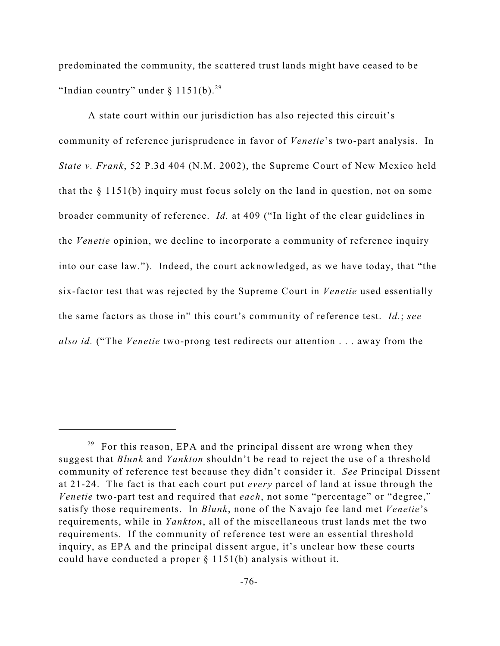predominated the community, the scattered trust lands might have ceased to be "Indian country" under  $\S 1151(b).^{29}$ 

A state court within our jurisdiction has also rejected this circuit's community of reference jurisprudence in favor of *Venetie*'s two-part analysis. In *State v. Frank*, 52 P.3d 404 (N.M. 2002), the Supreme Court of New Mexico held that the § 1151(b) inquiry must focus solely on the land in question, not on some broader community of reference. *Id.* at 409 ("In light of the clear guidelines in the *Venetie* opinion, we decline to incorporate a community of reference inquiry into our case law."). Indeed, the court acknowledged, as we have today, that "the six-factor test that was rejected by the Supreme Court in *Venetie* used essentially the same factors as those in" this court's community of reference test. *Id.*; *see also id.* ("The *Venetie* two-prong test redirects our attention . . . away from the

 $29$  For this reason, EPA and the principal dissent are wrong when they suggest that *Blunk* and *Yankton* shouldn't be read to reject the use of a threshold community of reference test because they didn't consider it. *See* Principal Dissent at 21-24. The fact is that each court put *every* parcel of land at issue through the *Venetie* two-part test and required that *each*, not some "percentage" or "degree," satisfy those requirements. In *Blunk*, none of the Navajo fee land met *Venetie*'s requirements, while in *Yankton*, all of the miscellaneous trust lands met the two requirements. If the community of reference test were an essential threshold inquiry, as EPA and the principal dissent argue, it's unclear how these courts could have conducted a proper § 1151(b) analysis without it.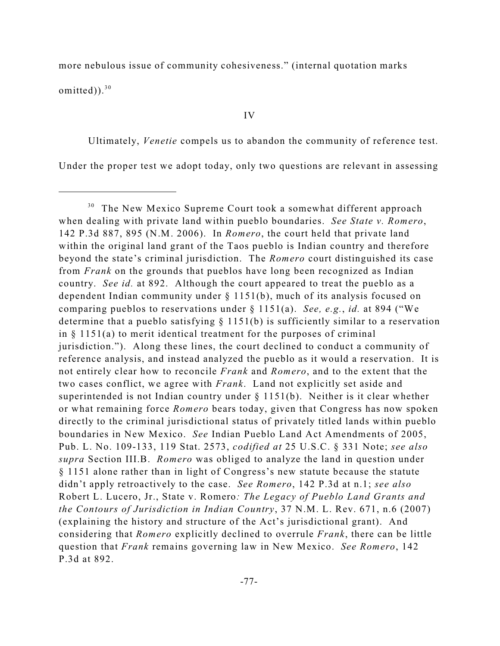more nebulous issue of community cohesiveness." (internal quotation marks omitted)).<sup>30</sup>

#### IV

Ultimately, *Venetie* compels us to abandon the community of reference test. Under the proper test we adopt today, only two questions are relevant in assessing

<sup>&</sup>lt;sup>30</sup> The New Mexico Supreme Court took a somewhat different approach when dealing with private land within pueblo boundaries. *See State v. Romero*, 142 P.3d 887, 895 (N.M. 2006). In *Romero*, the court held that private land within the original land grant of the Taos pueblo is Indian country and therefore beyond the state's criminal jurisdiction. The *Romero* court distinguished its case from *Frank* on the grounds that pueblos have long been recognized as Indian country. *See id.* at 892. Although the court appeared to treat the pueblo as a dependent Indian community under § 1151(b), much of its analysis focused on comparing pueblos to reservations under § 1151(a). *See, e.g.*, *id.* at 894 ("We determine that a pueblo satisfying § 1151(b) is sufficiently similar to a reservation in  $\S 1151(a)$  to merit identical treatment for the purposes of criminal jurisdiction."). Along these lines, the court declined to conduct a community of reference analysis, and instead analyzed the pueblo as it would a reservation. It is not entirely clear how to reconcile *Frank* and *Romero*, and to the extent that the two cases conflict, we agree with *Frank*. Land not explicitly set aside and superintended is not Indian country under  $\S 1151(b)$ . Neither is it clear whether or what remaining force *Romero* bears today, given that Congress has now spoken directly to the criminal jurisdictional status of privately titled lands within pueblo boundaries in New Mexico. *See* Indian Pueblo Land Act Amendments of 2005, Pub. L. No. 109-133, 119 Stat. 2573, *codified at* 25 U.S.C. § 331 Note; *see also supra* Section III.B. *Romero* was obliged to analyze the land in question under § 1151 alone rather than in light of Congress's new statute because the statute didn't apply retroactively to the case. *See Romero*, 142 P.3d at n.1; *see also* Robert L. Lucero, Jr., State v. Romero*: The Legacy of Pueblo Land Grants and the Contours of Jurisdiction in Indian Country*, 37 N.M. L. Rev. 671, n.6 (2007) (explaining the history and structure of the Act's jurisdictional grant). And considering that *Romero* explicitly declined to overrule *Frank*, there can be little question that *Frank* remains governing law in New Mexico. *See Romero*, 142 P.3d at 892.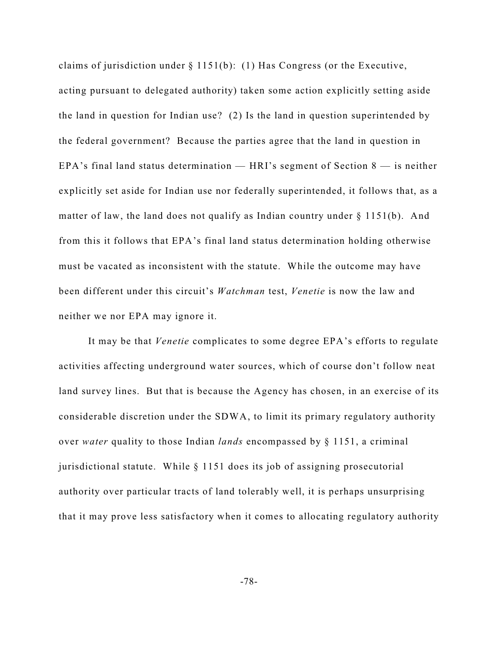claims of jurisdiction under  $\S 1151(b)$ : (1) Has Congress (or the Executive, acting pursuant to delegated authority) taken some action explicitly setting aside the land in question for Indian use? (2) Is the land in question superintended by the federal government? Because the parties agree that the land in question in EPA's final land status determination  $-$  HRI's segment of Section 8  $-$  is neither explicitly set aside for Indian use nor federally superintended, it follows that, as a matter of law, the land does not qualify as Indian country under  $\S 1151(b)$ . And from this it follows that EPA's final land status determination holding otherwise must be vacated as inconsistent with the statute. While the outcome may have been different under this circuit's *Watchman* test, *Venetie* is now the law and neither we nor EPA may ignore it.

It may be that *Venetie* complicates to some degree EPA's efforts to regulate activities affecting underground water sources, which of course don't follow neat land survey lines. But that is because the Agency has chosen, in an exercise of its considerable discretion under the SDWA, to limit its primary regulatory authority over *water* quality to those Indian *lands* encompassed by § 1151, a criminal jurisdictional statute. While § 1151 does its job of assigning prosecutorial authority over particular tracts of land tolerably well, it is perhaps unsurprising that it may prove less satisfactory when it comes to allocating regulatory authority

-78-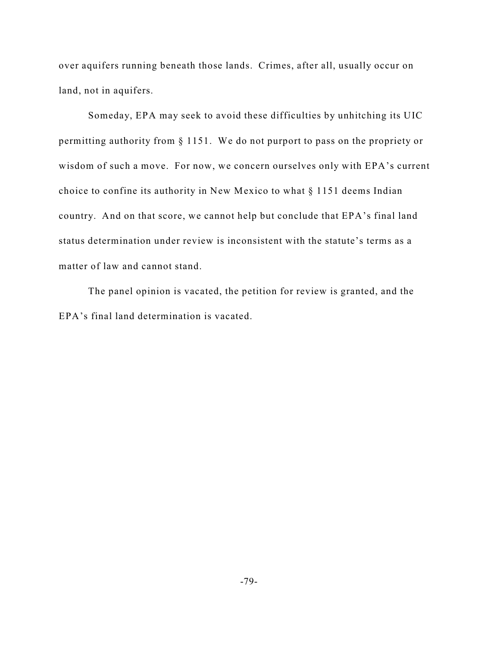over aquifers running beneath those lands. Crimes, after all, usually occur on land, not in aquifers.

Someday, EPA may seek to avoid these difficulties by unhitching its UIC permitting authority from § 1151. We do not purport to pass on the propriety or wisdom of such a move. For now, we concern ourselves only with EPA's current choice to confine its authority in New Mexico to what § 1151 deems Indian country. And on that score, we cannot help but conclude that EPA's final land status determination under review is inconsistent with the statute's terms as a matter of law and cannot stand.

The panel opinion is vacated, the petition for review is granted, and the EPA's final land determination is vacated.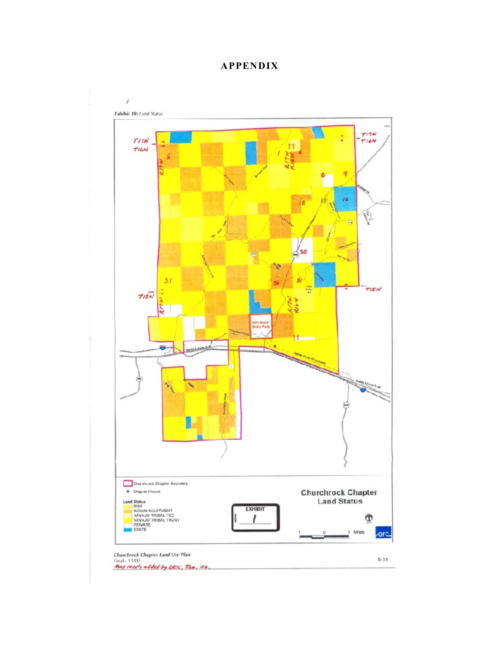# **APPENDIX**

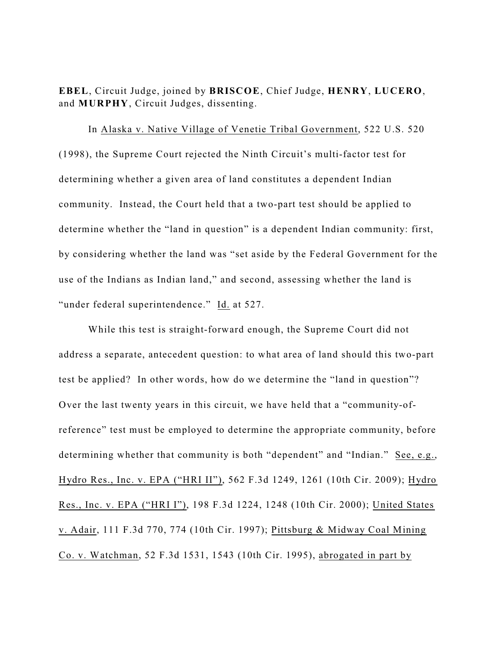**EBEL**, Circuit Judge, joined by **BRISCOE**, Chief Judge, **HENRY**, **LUCERO**, and **MURPHY**, Circuit Judges, dissenting.

In Alaska v. Native Village of Venetie Tribal Government, 522 U.S. 520 (1998), the Supreme Court rejected the Ninth Circuit's multi-factor test for determining whether a given area of land constitutes a dependent Indian community. Instead, the Court held that a two-part test should be applied to determine whether the "land in question" is a dependent Indian community: first, by considering whether the land was "set aside by the Federal Government for the use of the Indians as Indian land," and second, assessing whether the land is "under federal superintendence." Id. at 527.

While this test is straight-forward enough, the Supreme Court did not address a separate, antecedent question: to what area of land should this two-part test be applied? In other words, how do we determine the "land in question"? Over the last twenty years in this circuit, we have held that a "community-ofreference" test must be employed to determine the appropriate community, before determining whether that community is both "dependent" and "Indian." See, e.g., Hydro Res., Inc. v. EPA ("HRI II"), 562 F.3d 1249, 1261 (10th Cir. 2009); Hydro Res., Inc. v. EPA ("HRI I"), 198 F.3d 1224, 1248 (10th Cir. 2000); United States v. Adair, 111 F.3d 770, 774 (10th Cir. 1997); Pittsburg & Midway Coal Mining Co. v. Watchman, 52 F.3d 1531, 1543 (10th Cir. 1995), abrogated in part by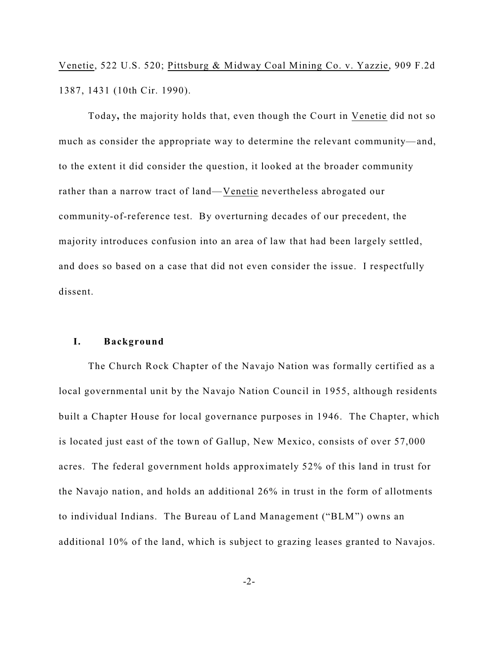Venetie, 522 U.S. 520; Pittsburg & Midway Coal Mining Co. v. Yazzie, 909 F.2d 1387, 1431 (10th Cir. 1990).

Today**,** the majority holds that, even though the Court in Venetie did not so much as consider the appropriate way to determine the relevant community—and, to the extent it did consider the question, it looked at the broader community rather than a narrow tract of land—Venetie nevertheless abrogated our community-of-reference test. By overturning decades of our precedent, the majority introduces confusion into an area of law that had been largely settled, and does so based on a case that did not even consider the issue. I respectfully dissent.

### **I. Background**

The Church Rock Chapter of the Navajo Nation was formally certified as a local governmental unit by the Navajo Nation Council in 1955, although residents built a Chapter House for local governance purposes in 1946. The Chapter, which is located just east of the town of Gallup, New Mexico, consists of over 57,000 acres. The federal government holds approximately 52% of this land in trust for the Navajo nation, and holds an additional 26% in trust in the form of allotments to individual Indians. The Bureau of Land Management ("BLM") owns an additional 10% of the land, which is subject to grazing leases granted to Navajos.

-2-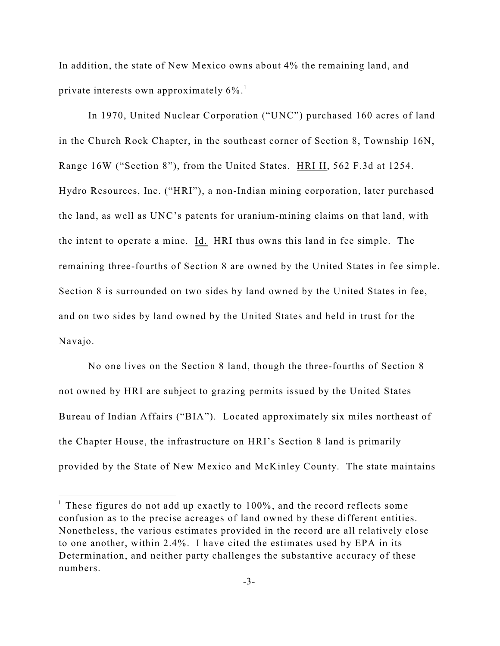In addition, the state of New Mexico owns about 4% the remaining land, and private interests own approximately 6%. 1

In 1970, United Nuclear Corporation ("UNC") purchased 160 acres of land in the Church Rock Chapter, in the southeast corner of Section 8, Township 16N, Range 16W ("Section 8"), from the United States. HRI II, 562 F.3d at 1254. Hydro Resources, Inc. ("HRI"), a non-Indian mining corporation, later purchased the land, as well as UNC's patents for uranium-mining claims on that land, with the intent to operate a mine. Id. HRI thus owns this land in fee simple. The remaining three-fourths of Section 8 are owned by the United States in fee simple. Section 8 is surrounded on two sides by land owned by the United States in fee, and on two sides by land owned by the United States and held in trust for the Navajo.

No one lives on the Section 8 land, though the three-fourths of Section 8 not owned by HRI are subject to grazing permits issued by the United States Bureau of Indian Affairs ("BIA"). Located approximately six miles northeast of the Chapter House, the infrastructure on HRI's Section 8 land is primarily provided by the State of New Mexico and McKinley County. The state maintains

 $1$  These figures do not add up exactly to  $100\%$ , and the record reflects some confusion as to the precise acreages of land owned by these different entities. Nonetheless, the various estimates provided in the record are all relatively close to one another, within 2.4%. I have cited the estimates used by EPA in its Determination, and neither party challenges the substantive accuracy of these numbers.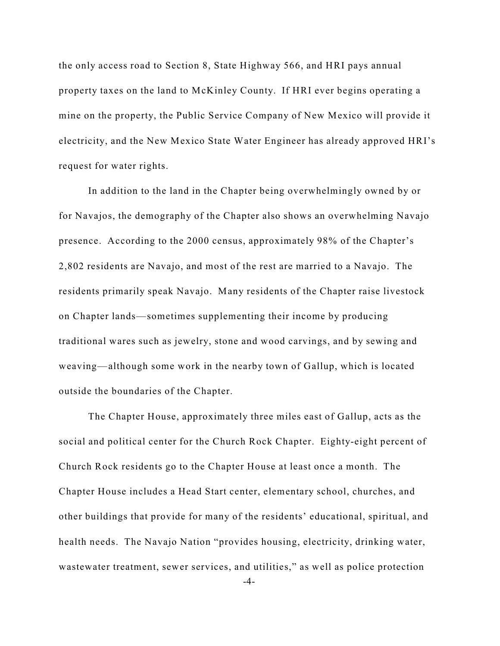the only access road to Section 8, State Highway 566, and HRI pays annual property taxes on the land to McKinley County. If HRI ever begins operating a mine on the property, the Public Service Company of New Mexico will provide it electricity, and the New Mexico State Water Engineer has already approved HRI's request for water rights.

In addition to the land in the Chapter being overwhelmingly owned by or for Navajos, the demography of the Chapter also shows an overwhelming Navajo presence. According to the 2000 census, approximately 98% of the Chapter's 2,802 residents are Navajo, and most of the rest are married to a Navajo. The residents primarily speak Navajo. Many residents of the Chapter raise livestock on Chapter lands—sometimes supplementing their income by producing traditional wares such as jewelry, stone and wood carvings, and by sewing and weaving—although some work in the nearby town of Gallup, which is located outside the boundaries of the Chapter.

The Chapter House, approximately three miles east of Gallup, acts as the social and political center for the Church Rock Chapter. Eighty-eight percent of Church Rock residents go to the Chapter House at least once a month. The Chapter House includes a Head Start center, elementary school, churches, and other buildings that provide for many of the residents' educational, spiritual, and health needs. The Navajo Nation "provides housing, electricity, drinking water, wastewater treatment, sewer services, and utilities," as well as police protection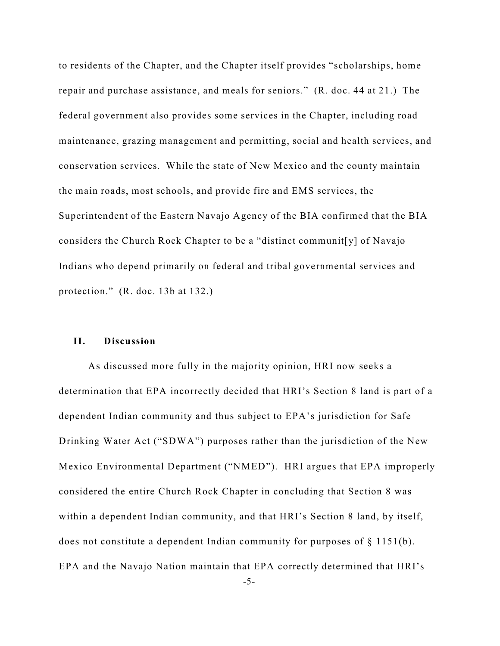to residents of the Chapter, and the Chapter itself provides "scholarships, home repair and purchase assistance, and meals for seniors." (R. doc. 44 at 21.) The federal government also provides some services in the Chapter, including road maintenance, grazing management and permitting, social and health services, and conservation services. While the state of New Mexico and the county maintain the main roads, most schools, and provide fire and EMS services, the Superintendent of the Eastern Navajo Agency of the BIA confirmed that the BIA considers the Church Rock Chapter to be a "distinct communit[y] of Navajo Indians who depend primarily on federal and tribal governmental services and protection." (R. doc. 13b at 132.)

### **II. Discussion**

As discussed more fully in the majority opinion, HRI now seeks a determination that EPA incorrectly decided that HRI's Section 8 land is part of a dependent Indian community and thus subject to EPA's jurisdiction for Safe Drinking Water Act ("SDWA") purposes rather than the jurisdiction of the New Mexico Environmental Department ("NMED"). HRI argues that EPA improperly considered the entire Church Rock Chapter in concluding that Section 8 was within a dependent Indian community, and that HRI's Section 8 land, by itself, does not constitute a dependent Indian community for purposes of § 1151(b). EPA and the Navajo Nation maintain that EPA correctly determined that HRI's

-5-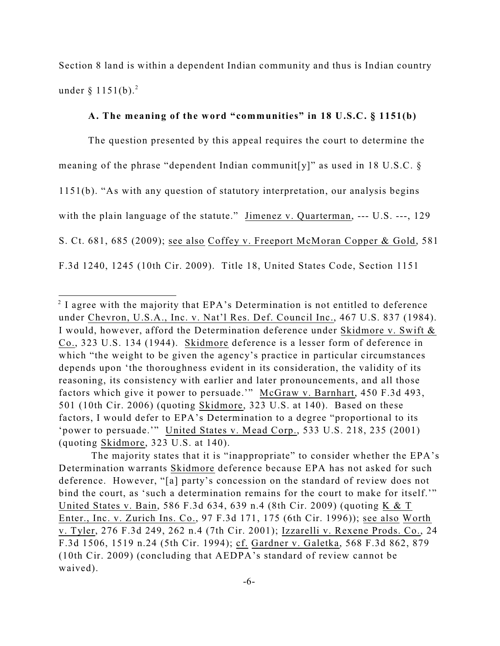Section 8 land is within a dependent Indian community and thus is Indian country under § 1151(b). 2

### **A. The meaning of the word "communities" in 18 U.S.C. § 1151(b)**

The question presented by this appeal requires the court to determine the meaning of the phrase "dependent Indian communit[y]" as used in 18 U.S.C.  $\S$ 1151(b). "As with any question of statutory interpretation, our analysis begins with the plain language of the statute." Jimenez v. Quarterman, --- U.S. ---, 129 S. Ct. 681, 685 (2009); see also Coffey v. Freeport McMoran Copper & Gold, 581 F.3d 1240, 1245 (10th Cir. 2009). Title 18, United States Code, Section 1151

 $2$  I agree with the majority that EPA's Determination is not entitled to deference under Chevron, U.S.A., Inc. v. Nat'l Res. Def. Council Inc., 467 U.S. 837 (1984). I would, however, afford the Determination deference under Skidmore v. Swift & Co., 323 U.S. 134 (1944). Skidmore deference is a lesser form of deference in which "the weight to be given the agency's practice in particular circumstances depends upon 'the thoroughness evident in its consideration, the validity of its reasoning, its consistency with earlier and later pronouncements, and all those factors which give it power to persuade.'" McGraw v. Barnhart, 450 F.3d 493, 501 (10th Cir. 2006) (quoting Skidmore, 323 U.S. at 140). Based on these factors, I would defer to EPA's Determination to a degree "proportional to its 'power to persuade.'" United States v. Mead Corp., 533 U.S. 218, 235 (2001) (quoting Skidmore, 323 U.S. at 140).

The majority states that it is "inappropriate" to consider whether the EPA's Determination warrants Skidmore deference because EPA has not asked for such deference. However, "[a] party's concession on the standard of review does not bind the court, as 'such a determination remains for the court to make for itself.'" United States v. Bain, 586 F.3d 634, 639 n.4 (8th Cir. 2009) (quoting K & T Enter., Inc. v. Zurich Ins. Co., 97 F.3d 171, 175 (6th Cir. 1996)); see also Worth v. Tyler, 276 F.3d 249, 262 n.4 (7th Cir. 2001); Izzarelli v. Rexene Prods. Co., 24 F.3d 1506, 1519 n.24 (5th Cir. 1994); cf. Gardner v. Galetka, 568 F.3d 862, 879 (10th Cir. 2009) (concluding that AEDPA's standard of review cannot be waived).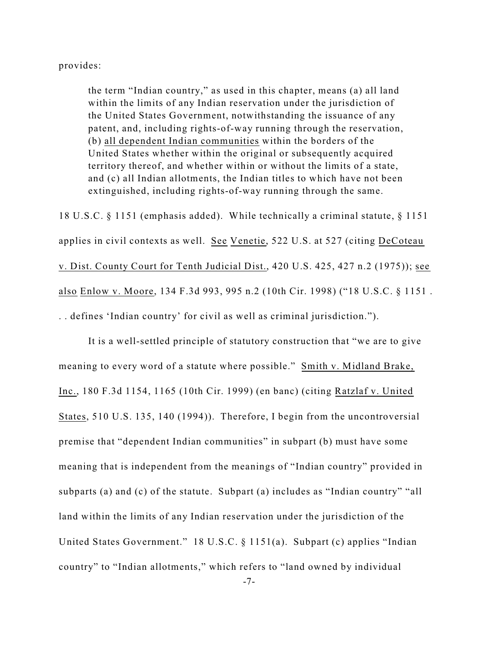provides:

the term "Indian country," as used in this chapter, means (a) all land within the limits of any Indian reservation under the jurisdiction of the United States Government, notwithstanding the issuance of any patent, and, including rights-of-way running through the reservation, (b) all dependent Indian communities within the borders of the United States whether within the original or subsequently acquired territory thereof, and whether within or without the limits of a state, and (c) all Indian allotments, the Indian titles to which have not been extinguished, including rights-of-way running through the same.

18 U.S.C. § 1151 (emphasis added). While technically a criminal statute, § 1151 applies in civil contexts as well. See Venetie, 522 U.S. at 527 (citing DeCoteau v. Dist. County Court for Tenth Judicial Dist., 420 U.S. 425, 427 n.2 (1975)); see also Enlow v. Moore, 134 F.3d 993, 995 n.2 (10th Cir. 1998) ("18 U.S.C. § 1151 . . . defines 'Indian country' for civil as well as criminal jurisdiction.").

It is a well-settled principle of statutory construction that "we are to give meaning to every word of a statute where possible." Smith v. Midland Brake, Inc., 180 F.3d 1154, 1165 (10th Cir. 1999) (en banc) (citing Ratzlaf v. United States, 510 U.S. 135, 140 (1994)). Therefore, I begin from the uncontroversial premise that "dependent Indian communities" in subpart (b) must have some meaning that is independent from the meanings of "Indian country" provided in subparts (a) and (c) of the statute. Subpart (a) includes as "Indian country" "all land within the limits of any Indian reservation under the jurisdiction of the United States Government." 18 U.S.C. § 1151(a). Subpart (c) applies "Indian country" to "Indian allotments," which refers to "land owned by individual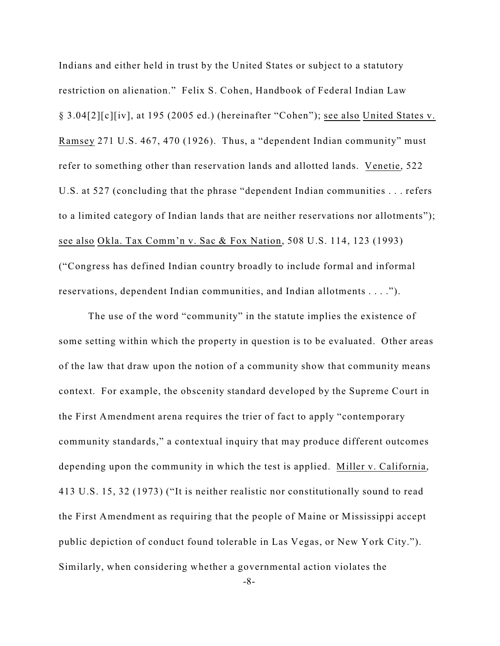Indians and either held in trust by the United States or subject to a statutory restriction on alienation." Felix S. Cohen, Handbook of Federal Indian Law § 3.04[2][c][iv], at 195 (2005 ed.) (hereinafter "Cohen"); see also United States v. Ramsey 271 U.S. 467, 470 (1926). Thus, a "dependent Indian community" must refer to something other than reservation lands and allotted lands. Venetie, 522 U.S. at 527 (concluding that the phrase "dependent Indian communities . . . refers to a limited category of Indian lands that are neither reservations nor allotments"); see also Okla. Tax Comm'n v. Sac & Fox Nation, 508 U.S. 114, 123 (1993) ("Congress has defined Indian country broadly to include formal and informal reservations, dependent Indian communities, and Indian allotments . . . .").

The use of the word "community" in the statute implies the existence of some setting within which the property in question is to be evaluated. Other areas of the law that draw upon the notion of a community show that community means context. For example, the obscenity standard developed by the Supreme Court in the First Amendment arena requires the trier of fact to apply "contemporary community standards," a contextual inquiry that may produce different outcomes depending upon the community in which the test is applied. Miller v. California, 413 U.S. 15, 32 (1973) ("It is neither realistic nor constitutionally sound to read the First Amendment as requiring that the people of Maine or Mississippi accept public depiction of conduct found tolerable in Las Vegas, or New York City."). Similarly, when considering whether a governmental action violates the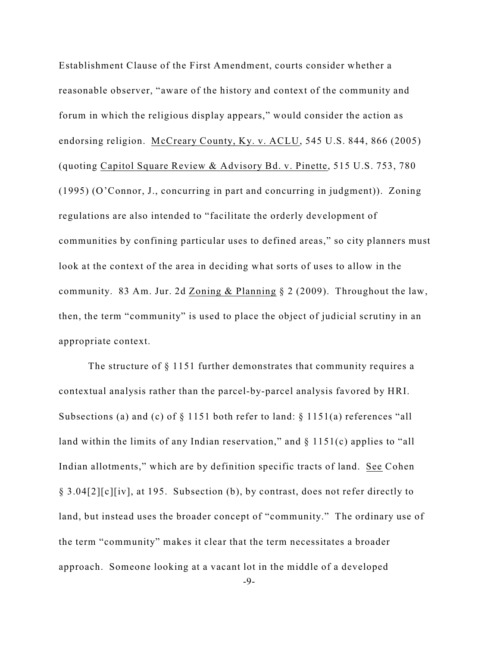Establishment Clause of the First Amendment, courts consider whether a reasonable observer, "aware of the history and context of the community and forum in which the religious display appears," would consider the action as endorsing religion. McCreary County, Ky. v. ACLU, 545 U.S. 844, 866 (2005) (quoting Capitol Square Review & Advisory Bd. v. Pinette, 515 U.S. 753, 780 (1995) (O'Connor, J., concurring in part and concurring in judgment)). Zoning regulations are also intended to "facilitate the orderly development of communities by confining particular uses to defined areas," so city planners must look at the context of the area in deciding what sorts of uses to allow in the community. 83 Am. Jur. 2d Zoning & Planning § 2 (2009). Throughout the law, then, the term "community" is used to place the object of judicial scrutiny in an appropriate context.

The structure of § 1151 further demonstrates that community requires a contextual analysis rather than the parcel-by-parcel analysis favored by HRI. Subsections (a) and (c) of § 1151 both refer to land: § 1151(a) references "all land within the limits of any Indian reservation," and  $\S 1151(c)$  applies to "all Indian allotments," which are by definition specific tracts of land. See Cohen § 3.04[2][c][iv], at 195. Subsection (b), by contrast, does not refer directly to land, but instead uses the broader concept of "community." The ordinary use of the term "community" makes it clear that the term necessitates a broader approach. Someone looking at a vacant lot in the middle of a developed -9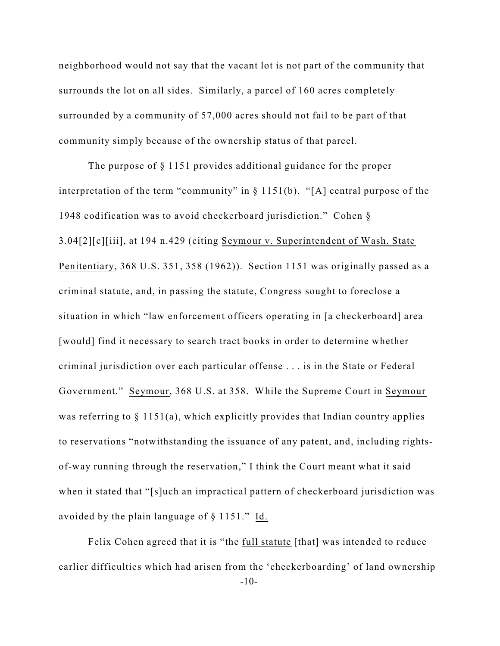neighborhood would not say that the vacant lot is not part of the community that surrounds the lot on all sides. Similarly, a parcel of 160 acres completely surrounded by a community of 57,000 acres should not fail to be part of that community simply because of the ownership status of that parcel.

The purpose of § 1151 provides additional guidance for the proper interpretation of the term "community" in § 1151(b). "[A] central purpose of the 1948 codification was to avoid checkerboard jurisdiction." Cohen § 3.04[2][c][iii], at 194 n.429 (citing Seymour v. Superintendent of Wash. State Penitentiary, 368 U.S. 351, 358 (1962)). Section 1151 was originally passed as a criminal statute, and, in passing the statute, Congress sought to foreclose a situation in which "law enforcement officers operating in [a checkerboard] area [would] find it necessary to search tract books in order to determine whether criminal jurisdiction over each particular offense . . . is in the State or Federal Government." Seymour, 368 U.S. at 358. While the Supreme Court in Seymour was referring to  $\S 1151(a)$ , which explicitly provides that Indian country applies to reservations "notwithstanding the issuance of any patent, and, including rightsof-way running through the reservation," I think the Court meant what it said when it stated that "[s]uch an impractical pattern of checkerboard jurisdiction was avoided by the plain language of § 1151." Id.

Felix Cohen agreed that it is "the full statute [that] was intended to reduce earlier difficulties which had arisen from the 'checkerboarding' of land ownership -10-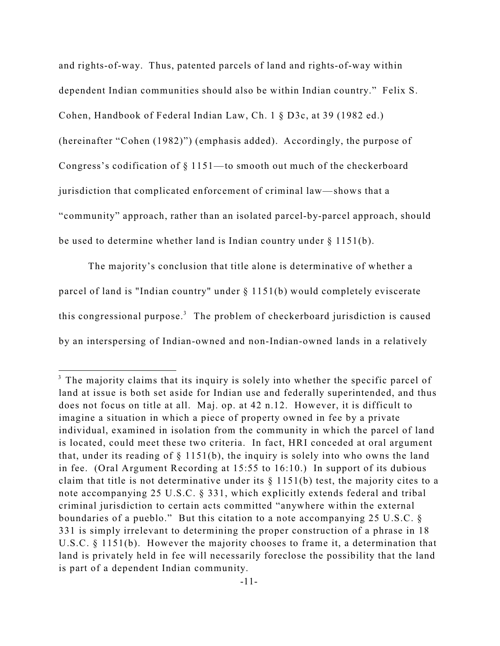and rights-of-way. Thus, patented parcels of land and rights-of-way within dependent Indian communities should also be within Indian country." Felix S. Cohen, Handbook of Federal Indian Law, Ch. 1 § D3c, at 39 (1982 ed.) (hereinafter "Cohen (1982)") (emphasis added). Accordingly, the purpose of Congress's codification of § 1151—to smooth out much of the checkerboard jurisdiction that complicated enforcement of criminal law—shows that a "community" approach, rather than an isolated parcel-by-parcel approach, should be used to determine whether land is Indian country under § 1151(b).

The majority's conclusion that title alone is determinative of whether a parcel of land is "Indian country" under § 1151(b) would completely eviscerate this congressional purpose.<sup>3</sup> The problem of checkerboard jurisdiction is caused by an interspersing of Indian-owned and non-Indian-owned lands in a relatively

<sup>&</sup>lt;sup>3</sup> The majority claims that its inquiry is solely into whether the specific parcel of land at issue is both set aside for Indian use and federally superintended, and thus does not focus on title at all. Maj. op. at 42 n.12. However, it is difficult to imagine a situation in which a piece of property owned in fee by a private individual, examined in isolation from the community in which the parcel of land is located, could meet these two criteria. In fact, HRI conceded at oral argument that, under its reading of  $\S 1151(b)$ , the inquiry is solely into who owns the land in fee. (Oral Argument Recording at 15:55 to 16:10.) In support of its dubious claim that title is not determinative under its  $\S$  1151(b) test, the majority cites to a note accompanying 25 U.S.C. § 331, which explicitly extends federal and tribal criminal jurisdiction to certain acts committed "anywhere within the external boundaries of a pueblo." But this citation to a note accompanying 25 U.S.C. § 331 is simply irrelevant to determining the proper construction of a phrase in 18 U.S.C. § 1151(b). However the majority chooses to frame it, a determination that land is privately held in fee will necessarily foreclose the possibility that the land is part of a dependent Indian community.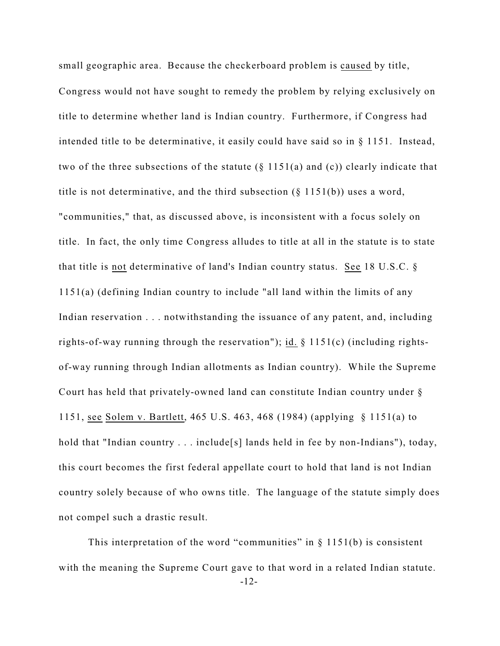small geographic area. Because the checkerboard problem is caused by title, Congress would not have sought to remedy the problem by relying exclusively on title to determine whether land is Indian country. Furthermore, if Congress had intended title to be determinative, it easily could have said so in § 1151. Instead, two of the three subsections of the statute  $(\S 1151(a)$  and (c)) clearly indicate that title is not determinative, and the third subsection (§ 1151(b)) uses a word, "communities," that, as discussed above, is inconsistent with a focus solely on title. In fact, the only time Congress alludes to title at all in the statute is to state that title is not determinative of land's Indian country status. See 18 U.S.C. § 1151(a) (defining Indian country to include "all land within the limits of any Indian reservation . . . notwithstanding the issuance of any patent, and, including rights-of-way running through the reservation"); id.  $\S$  1151(c) (including rightsof-way running through Indian allotments as Indian country). While the Supreme Court has held that privately-owned land can constitute Indian country under § 1151, see Solem v. Bartlett, 465 U.S. 463, 468 (1984) (applying § 1151(a) to hold that "Indian country . . . include<sup>[s]</sup> lands held in fee by non-Indians"), today, this court becomes the first federal appellate court to hold that land is not Indian country solely because of who owns title. The language of the statute simply does not compel such a drastic result.

This interpretation of the word "communities" in  $\S 1151(b)$  is consistent with the meaning the Supreme Court gave to that word in a related Indian statute. -12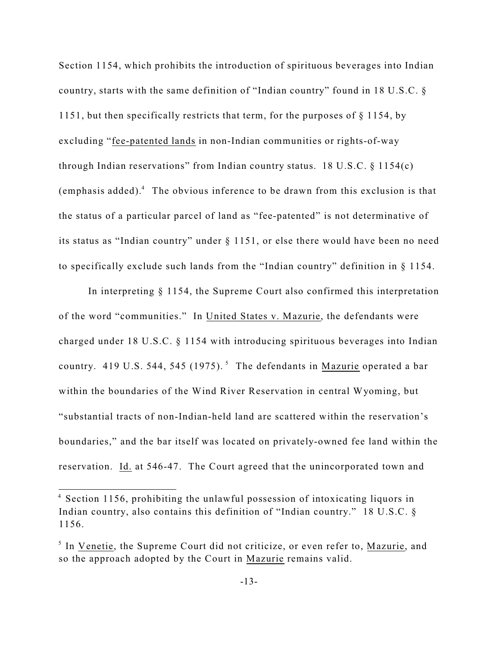Section 1154, which prohibits the introduction of spirituous beverages into Indian country, starts with the same definition of "Indian country" found in 18 U.S.C. § 1151, but then specifically restricts that term, for the purposes of § 1154, by excluding "fee-patented lands in non-Indian communities or rights-of-way through Indian reservations" from Indian country status. 18 U.S.C. § 1154(c) (emphasis added). $4$  The obvious inference to be drawn from this exclusion is that the status of a particular parcel of land as "fee-patented" is not determinative of its status as "Indian country" under § 1151, or else there would have been no need to specifically exclude such lands from the "Indian country" definition in § 1154.

In interpreting § 1154, the Supreme Court also confirmed this interpretation of the word "communities." In United States v. Mazurie, the defendants were charged under 18 U.S.C. § 1154 with introducing spirituous beverages into Indian country. 419 U.S. 544, 545 (1975).<sup>5</sup> The defendants in Mazurie operated a bar within the boundaries of the Wind River Reservation in central Wyoming, but "substantial tracts of non-Indian-held land are scattered within the reservation's boundaries," and the bar itself was located on privately-owned fee land within the reservation. Id. at 546-47. The Court agreed that the unincorporated town and

<sup>&</sup>lt;sup>4</sup> Section 1156, prohibiting the unlawful possession of intoxicating liquors in Indian country, also contains this definition of "Indian country." 18 U.S.C. § 1156.

<sup>&</sup>lt;sup>5</sup> In Venetie, the Supreme Court did not criticize, or even refer to, Mazurie, and so the approach adopted by the Court in Mazurie remains valid.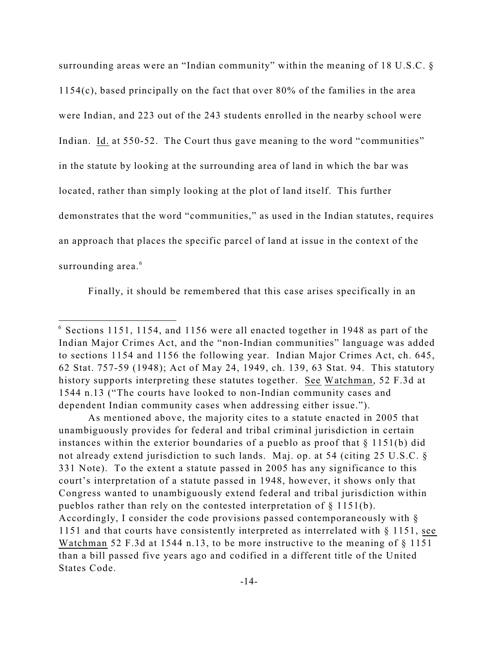surrounding areas were an "Indian community" within the meaning of 18 U.S.C. § 1154(c), based principally on the fact that over 80% of the families in the area were Indian, and 223 out of the 243 students enrolled in the nearby school were Indian. Id. at 550-52. The Court thus gave meaning to the word "communities" in the statute by looking at the surrounding area of land in which the bar was located, rather than simply looking at the plot of land itself. This further demonstrates that the word "communities," as used in the Indian statutes, requires an approach that places the specific parcel of land at issue in the context of the surrounding area. 6

Finally, it should be remembered that this case arises specifically in an

 $6$  Sections 1151, 1154, and 1156 were all enacted together in 1948 as part of the Indian Major Crimes Act, and the "non-Indian communities" language was added to sections 1154 and 1156 the following year. Indian Major Crimes Act, ch. 645, 62 Stat. 757-59 (1948); Act of May 24, 1949, ch. 139, 63 Stat. 94. This statutory history supports interpreting these statutes together. See Watchman, 52 F.3d at 1544 n.13 ("The courts have looked to non-Indian community cases and dependent Indian community cases when addressing either issue.").

As mentioned above, the majority cites to a statute enacted in 2005 that unambiguously provides for federal and tribal criminal jurisdiction in certain instances within the exterior boundaries of a pueblo as proof that § 1151(b) did not already extend jurisdiction to such lands. Maj. op. at 54 (citing 25 U.S.C. § 331 Note). To the extent a statute passed in 2005 has any significance to this court's interpretation of a statute passed in 1948, however, it shows only that Congress wanted to unambiguously extend federal and tribal jurisdiction within pueblos rather than rely on the contested interpretation of § 1151(b). Accordingly, I consider the code provisions passed contemporaneously with § 1151 and that courts have consistently interpreted as interrelated with § 1151, see Watchman 52 F.3d at 1544 n.13, to be more instructive to the meaning of § 1151 than a bill passed five years ago and codified in a different title of the United States Code.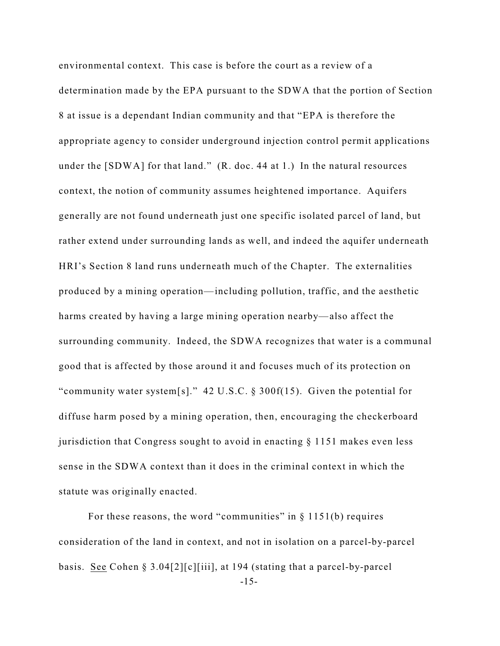environmental context. This case is before the court as a review of a determination made by the EPA pursuant to the SDWA that the portion of Section 8 at issue is a dependant Indian community and that "EPA is therefore the appropriate agency to consider underground injection control permit applications under the [SDWA] for that land." (R. doc. 44 at 1.) In the natural resources context, the notion of community assumes heightened importance. Aquifers generally are not found underneath just one specific isolated parcel of land, but rather extend under surrounding lands as well, and indeed the aquifer underneath HRI's Section 8 land runs underneath much of the Chapter. The externalities produced by a mining operation—including pollution, traffic, and the aesthetic harms created by having a large mining operation nearby—also affect the surrounding community. Indeed, the SDWA recognizes that water is a communal good that is affected by those around it and focuses much of its protection on "community water system[s]." 42 U.S.C. § 300f(15). Given the potential for diffuse harm posed by a mining operation, then, encouraging the checkerboard jurisdiction that Congress sought to avoid in enacting § 1151 makes even less sense in the SDWA context than it does in the criminal context in which the statute was originally enacted.

For these reasons, the word "communities" in  $\S 1151(b)$  requires consideration of the land in context, and not in isolation on a parcel-by-parcel basis. See Cohen § 3.04[2][c][iii], at 194 (stating that a parcel-by-parcel -15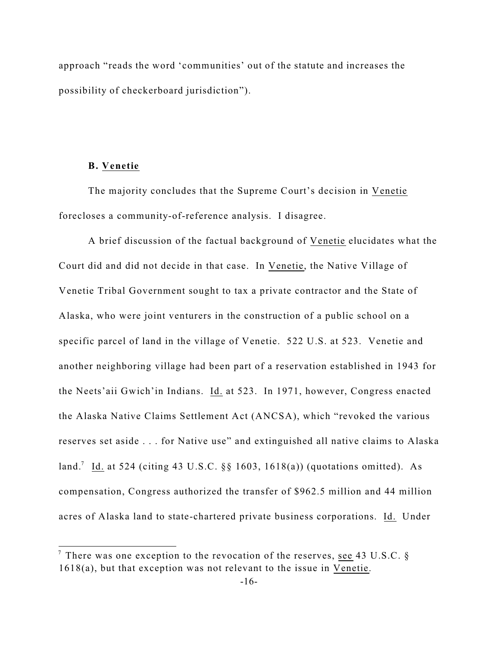approach "reads the word 'communities' out of the statute and increases the possibility of checkerboard jurisdiction").

### **B. Venetie**

The majority concludes that the Supreme Court's decision in Venetie forecloses a community-of-reference analysis. I disagree.

A brief discussion of the factual background of Venetie elucidates what the Court did and did not decide in that case. In Venetie, the Native Village of Venetie Tribal Government sought to tax a private contractor and the State of Alaska, who were joint venturers in the construction of a public school on a specific parcel of land in the village of Venetie. 522 U.S. at 523. Venetie and another neighboring village had been part of a reservation established in 1943 for the Neets'aii Gwich'in Indians. Id. at 523. In 1971, however, Congress enacted the Alaska Native Claims Settlement Act (ANCSA), which "revoked the various reserves set aside . . . for Native use" and extinguished all native claims to Alaska land.<sup>7</sup> Id. at 524 (citing 43 U.S.C.  $\S$  $\S$  1603, 1618(a)) (quotations omitted). As compensation, Congress authorized the transfer of \$962.5 million and 44 million acres of Alaska land to state-chartered private business corporations. Id. Under

There was one exception to the revocation of the reserves, see 43 U.S.C.  $\S$ 1618(a), but that exception was not relevant to the issue in Venetie.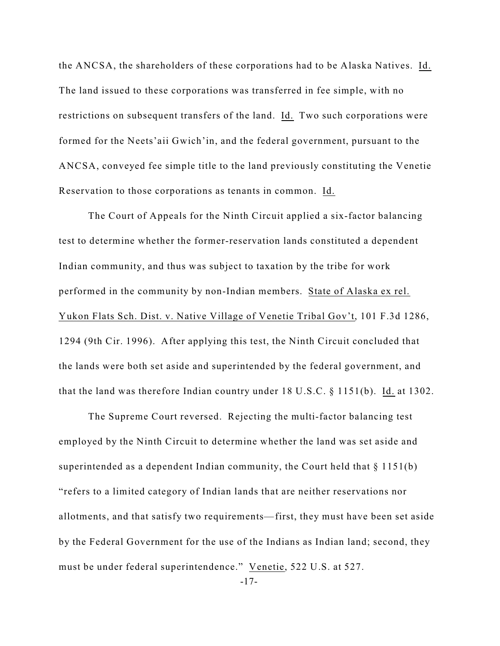the ANCSA, the shareholders of these corporations had to be Alaska Natives. Id. The land issued to these corporations was transferred in fee simple, with no restrictions on subsequent transfers of the land. Id. Two such corporations were formed for the Neets'aii Gwich'in, and the federal government, pursuant to the ANCSA, conveyed fee simple title to the land previously constituting the Venetie Reservation to those corporations as tenants in common. Id.

The Court of Appeals for the Ninth Circuit applied a six-factor balancing test to determine whether the former-reservation lands constituted a dependent Indian community, and thus was subject to taxation by the tribe for work performed in the community by non-Indian members. State of Alaska ex rel. Yukon Flats Sch. Dist. v. Native Village of Venetie Tribal Gov't, 101 F.3d 1286, 1294 (9th Cir. 1996). After applying this test, the Ninth Circuit concluded that the lands were both set aside and superintended by the federal government, and that the land was therefore Indian country under 18 U.S.C. § 1151(b). Id. at 1302.

The Supreme Court reversed. Rejecting the multi-factor balancing test employed by the Ninth Circuit to determine whether the land was set aside and superintended as a dependent Indian community, the Court held that § 1151(b) "refers to a limited category of Indian lands that are neither reservations nor allotments, and that satisfy two requirements—first, they must have been set aside by the Federal Government for the use of the Indians as Indian land; second, they must be under federal superintendence." Venetie, 522 U.S. at 527.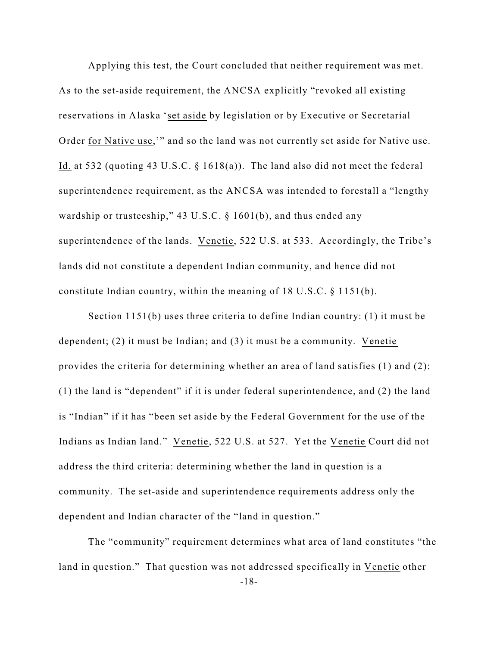Applying this test, the Court concluded that neither requirement was met. As to the set-aside requirement, the ANCSA explicitly "revoked all existing reservations in Alaska 'set aside by legislation or by Executive or Secretarial Order for Native use,'" and so the land was not currently set aside for Native use. Id. at 532 (quoting 43 U.S.C. § 1618(a)). The land also did not meet the federal superintendence requirement, as the ANCSA was intended to forestall a "lengthy wardship or trusteeship," 43 U.S.C. § 1601(b), and thus ended any superintendence of the lands. Venetie, 522 U.S. at 533. Accordingly, the Tribe's lands did not constitute a dependent Indian community, and hence did not constitute Indian country, within the meaning of 18 U.S.C. § 1151(b).

Section 1151(b) uses three criteria to define Indian country: (1) it must be dependent; (2) it must be Indian; and (3) it must be a community. Venetie provides the criteria for determining whether an area of land satisfies (1) and (2): (1) the land is "dependent" if it is under federal superintendence, and (2) the land is "Indian" if it has "been set aside by the Federal Government for the use of the Indians as Indian land." Venetie, 522 U.S. at 527. Yet the Venetie Court did not address the third criteria: determining whether the land in question is a community. The set-aside and superintendence requirements address only the dependent and Indian character of the "land in question."

The "community" requirement determines what area of land constitutes "the land in question." That question was not addressed specifically in Venetie other -18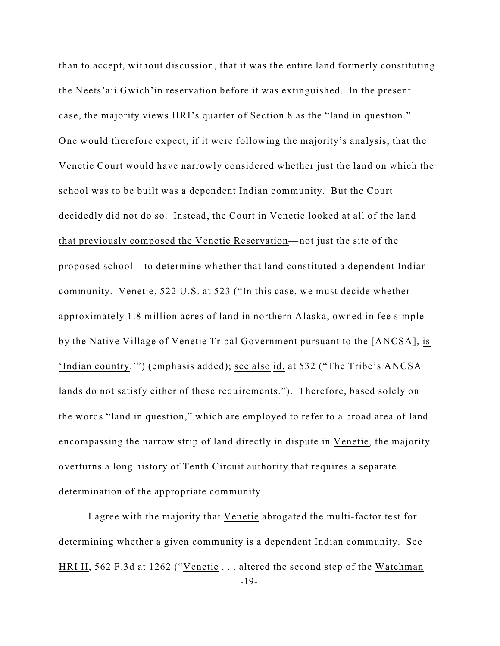than to accept, without discussion, that it was the entire land formerly constituting the Neets'aii Gwich'in reservation before it was extinguished. In the present case, the majority views HRI's quarter of Section 8 as the "land in question." One would therefore expect, if it were following the majority's analysis, that the Venetie Court would have narrowly considered whether just the land on which the school was to be built was a dependent Indian community. But the Court decidedly did not do so. Instead, the Court in Venetie looked at all of the land that previously composed the Venetie Reservation—not just the site of the proposed school—to determine whether that land constituted a dependent Indian community. Venetie, 522 U.S. at 523 ("In this case, we must decide whether approximately 1.8 million acres of land in northern Alaska, owned in fee simple by the Native Village of Venetie Tribal Government pursuant to the [ANCSA], is 'Indian country.'") (emphasis added); see also id. at 532 ("The Tribe's ANCSA lands do not satisfy either of these requirements."). Therefore, based solely on the words "land in question," which are employed to refer to a broad area of land encompassing the narrow strip of land directly in dispute in Venetie, the majority overturns a long history of Tenth Circuit authority that requires a separate determination of the appropriate community.

I agree with the majority that Venetie abrogated the multi-factor test for determining whether a given community is a dependent Indian community. See HRI II, 562 F.3d at 1262 ("Venetie . . . altered the second step of the Watchman -19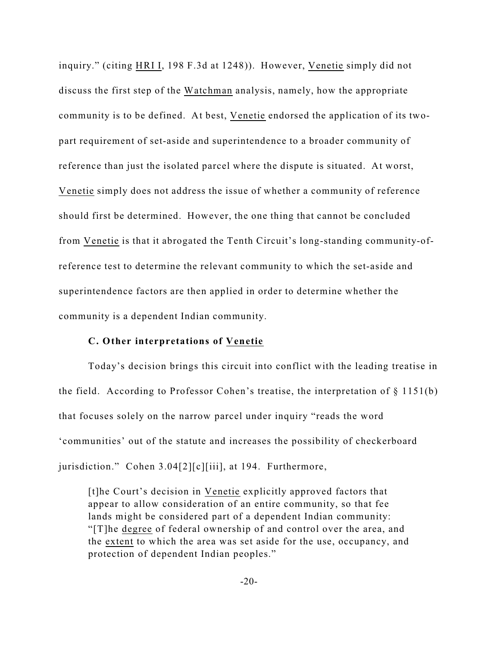inquiry." (citing HRI I, 198 F.3d at 1248)). However, Venetie simply did not discuss the first step of the Watchman analysis, namely, how the appropriate community is to be defined. At best, Venetie endorsed the application of its twopart requirement of set-aside and superintendence to a broader community of reference than just the isolated parcel where the dispute is situated. At worst, Venetie simply does not address the issue of whether a community of reference should first be determined. However, the one thing that cannot be concluded from Venetie is that it abrogated the Tenth Circuit's long-standing community-ofreference test to determine the relevant community to which the set-aside and superintendence factors are then applied in order to determine whether the community is a dependent Indian community.

# **C. Other interpretations of Venetie**

Today's decision brings this circuit into conflict with the leading treatise in the field. According to Professor Cohen's treatise, the interpretation of § 1151(b) that focuses solely on the narrow parcel under inquiry "reads the word 'communities' out of the statute and increases the possibility of checkerboard jurisdiction." Cohen 3.04[2][c][iii], at 194. Furthermore,

[t]he Court's decision in Venetie explicitly approved factors that appear to allow consideration of an entire community, so that fee lands might be considered part of a dependent Indian community: "[T]he degree of federal ownership of and control over the area, and the extent to which the area was set aside for the use, occupancy, and protection of dependent Indian peoples."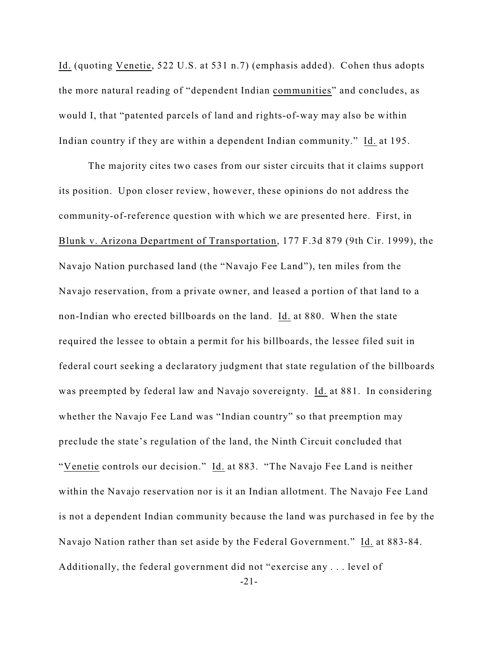Id. (quoting Venetie, 522 U.S. at 531 n.7) (emphasis added). Cohen thus adopts the more natural reading of "dependent Indian communities" and concludes, as would I, that "patented parcels of land and rights-of-way may also be within Indian country if they are within a dependent Indian community." Id. at 195.

The majority cites two cases from our sister circuits that it claims support its position. Upon closer review, however, these opinions do not address the community-of-reference question with which we are presented here. First, in Blunk v. Arizona Department of Transportation, 177 F.3d 879 (9th Cir. 1999), the Navajo Nation purchased land (the "Navajo Fee Land"), ten miles from the Navajo reservation, from a private owner, and leased a portion of that land to a non-Indian who erected billboards on the land. Id. at 880. When the state required the lessee to obtain a permit for his billboards, the lessee filed suit in federal court seeking a declaratory judgment that state regulation of the billboards was preempted by federal law and Navajo sovereignty. Id. at 881. In considering whether the Navajo Fee Land was "Indian country" so that preemption may preclude the state's regulation of the land, the Ninth Circuit concluded that "Venetie controls our decision." Id. at 883. "The Navajo Fee Land is neither within the Navajo reservation nor is it an Indian allotment. The Navajo Fee Land is not a dependent Indian community because the land was purchased in fee by the Navajo Nation rather than set aside by the Federal Government." Id. at 883-84. Additionally, the federal government did not "exercise any . . . level of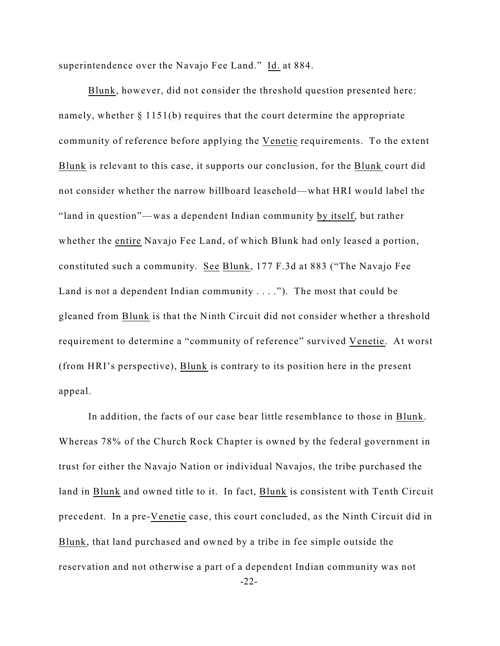superintendence over the Navajo Fee Land." Id. at 884.

Blunk, however, did not consider the threshold question presented here: namely, whether § 1151(b) requires that the court determine the appropriate community of reference before applying the Venetie requirements. To the extent Blunk is relevant to this case, it supports our conclusion, for the Blunk court did not consider whether the narrow billboard leasehold—what HRI would label the "land in question"—was a dependent Indian community by itself, but rather whether the entire Navajo Fee Land, of which Blunk had only leased a portion, constituted such a community. See Blunk, 177 F.3d at 883 ("The Navajo Fee Land is not a dependent Indian community . . . ."). The most that could be gleaned from Blunk is that the Ninth Circuit did not consider whether a threshold requirement to determine a "community of reference" survived Venetie. At worst (from HRI's perspective), Blunk is contrary to its position here in the present appeal.

In addition, the facts of our case bear little resemblance to those in Blunk. Whereas 78% of the Church Rock Chapter is owned by the federal government in trust for either the Navajo Nation or individual Navajos, the tribe purchased the land in Blunk and owned title to it. In fact, Blunk is consistent with Tenth Circuit precedent. In a pre-Venetie case, this court concluded, as the Ninth Circuit did in Blunk, that land purchased and owned by a tribe in fee simple outside the reservation and not otherwise a part of a dependent Indian community was not -22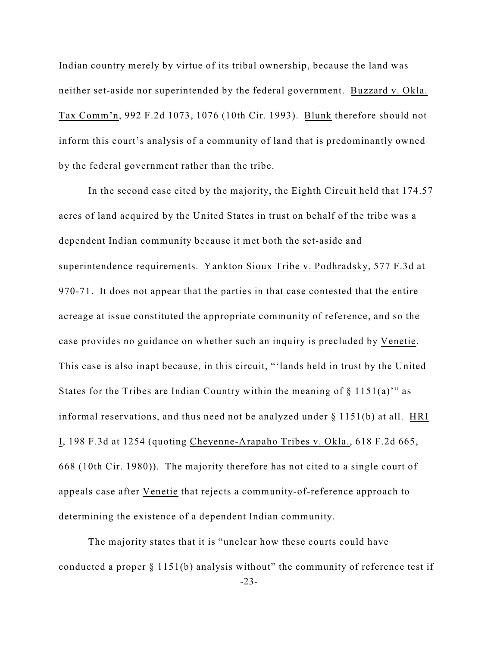Indian country merely by virtue of its tribal ownership, because the land was neither set-aside nor superintended by the federal government. Buzzard v. Okla. Tax Comm'n, 992 F.2d 1073, 1076 (10th Cir. 1993). Blunk therefore should not inform this court's analysis of a community of land that is predominantly owned by the federal government rather than the tribe.

In the second case cited by the majority, the Eighth Circuit held that 174.57 acres of land acquired by the United States in trust on behalf of the tribe was a dependent Indian community because it met both the set-aside and superintendence requirements. Yankton Sioux Tribe v. Podhradsky, 577 F.3d at 970-71. It does not appear that the parties in that case contested that the entire acreage at issue constituted the appropriate community of reference, and so the case provides no guidance on whether such an inquiry is precluded by Venetie. This case is also inapt because, in this circuit, "'lands held in trust by the United States for the Tribes are Indian Country within the meaning of  $\S 1151(a)$ " as informal reservations, and thus need not be analyzed under  $\S 1151(b)$  at all. HRI I, 198 F.3d at 1254 (quoting Cheyenne-Arapaho Tribes v. Okla., 618 F.2d 665, 668 (10th Cir. 1980)). The majority therefore has not cited to a single court of appeals case after Venetie that rejects a community-of-reference approach to determining the existence of a dependent Indian community.

The majority states that it is "unclear how these courts could have conducted a proper § 1151(b) analysis without" the community of reference test if -23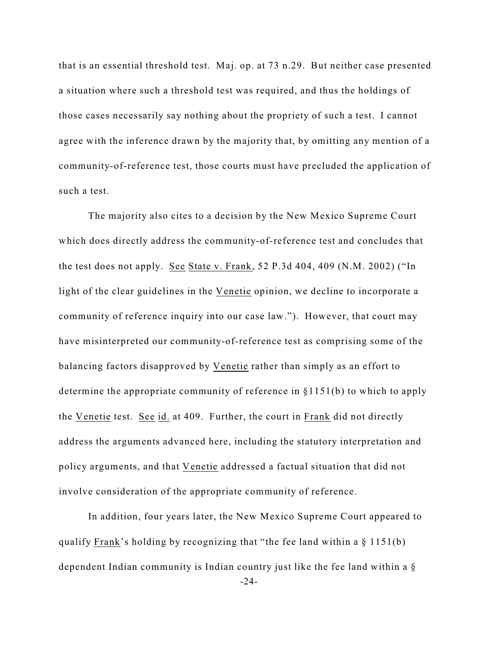that is an essential threshold test. Maj. op. at 73 n.29. But neither case presented a situation where such a threshold test was required, and thus the holdings of those cases necessarily say nothing about the propriety of such a test. I cannot agree with the inference drawn by the majority that, by omitting any mention of a community-of-reference test, those courts must have precluded the application of such a test.

The majority also cites to a decision by the New Mexico Supreme Court which does directly address the community-of-reference test and concludes that the test does not apply. See State v. Frank, 52 P.3d 404, 409 (N.M. 2002) ("In light of the clear guidelines in the Venetie opinion, we decline to incorporate a community of reference inquiry into our case law."). However, that court may have misinterpreted our community-of-reference test as comprising some of the balancing factors disapproved by Venetie rather than simply as an effort to determine the appropriate community of reference in §1151(b) to which to apply the Venetie test. See id. at 409. Further, the court in Frank did not directly address the arguments advanced here, including the statutory interpretation and policy arguments, and that Venetie addressed a factual situation that did not involve consideration of the appropriate community of reference.

In addition, four years later, the New Mexico Supreme Court appeared to qualify  $Frank's holding by recognizing that "the fee land within a § 1151(b)$ </u> dependent Indian community is Indian country just like the fee land within a § -24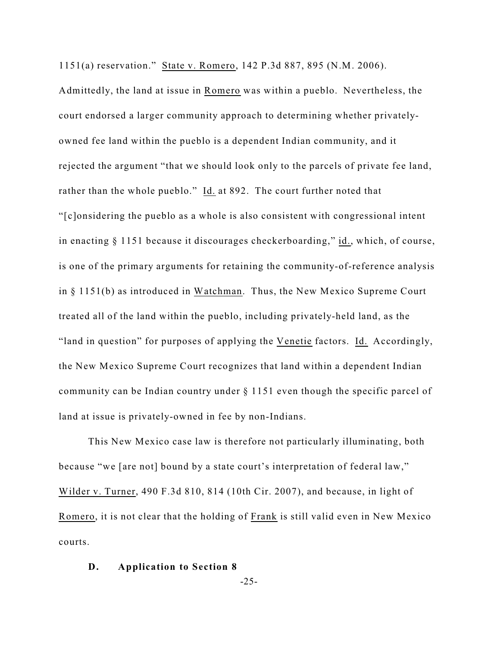1151(a) reservation." State v. Romero, 142 P.3d 887, 895 (N.M. 2006).

Admittedly, the land at issue in Romero was within a pueblo. Nevertheless, the court endorsed a larger community approach to determining whether privatelyowned fee land within the pueblo is a dependent Indian community, and it rejected the argument "that we should look only to the parcels of private fee land, rather than the whole pueblo." Id. at 892. The court further noted that "[c]onsidering the pueblo as a whole is also consistent with congressional intent in enacting § 1151 because it discourages checkerboarding," id., which, of course, is one of the primary arguments for retaining the community-of-reference analysis in § 1151(b) as introduced in Watchman. Thus, the New Mexico Supreme Court treated all of the land within the pueblo, including privately-held land, as the "land in question" for purposes of applying the Venetie factors. Id. Accordingly, the New Mexico Supreme Court recognizes that land within a dependent Indian community can be Indian country under § 1151 even though the specific parcel of land at issue is privately-owned in fee by non-Indians.

This New Mexico case law is therefore not particularly illuminating, both because "we [are not] bound by a state court's interpretation of federal law," Wilder v. Turner, 490 F.3d 810, 814 (10th Cir. 2007), and because, in light of Romero, it is not clear that the holding of Frank is still valid even in New Mexico courts.

## **D. Application to Section 8**

-25-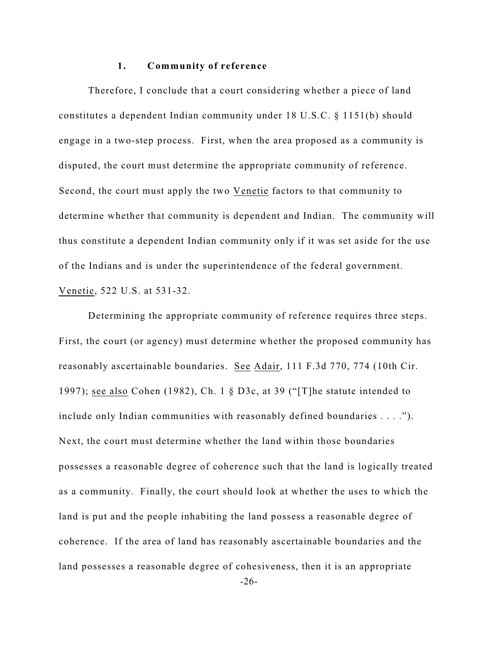#### **1. Community of reference**

Therefore, I conclude that a court considering whether a piece of land constitutes a dependent Indian community under 18 U.S.C. § 1151(b) should engage in a two-step process. First, when the area proposed as a community is disputed, the court must determine the appropriate community of reference. Second, the court must apply the two Venetie factors to that community to determine whether that community is dependent and Indian. The community will thus constitute a dependent Indian community only if it was set aside for the use of the Indians and is under the superintendence of the federal government. Venetie, 522 U.S. at 531-32.

Determining the appropriate community of reference requires three steps. First, the court (or agency) must determine whether the proposed community has reasonably ascertainable boundaries. See Adair, 111 F.3d 770, 774 (10th Cir. 1997); see also Cohen (1982), Ch. 1 § D3c, at 39 ("[T]he statute intended to include only Indian communities with reasonably defined boundaries . . . ."). Next, the court must determine whether the land within those boundaries possesses a reasonable degree of coherence such that the land is logically treated as a community. Finally, the court should look at whether the uses to which the land is put and the people inhabiting the land possess a reasonable degree of coherence. If the area of land has reasonably ascertainable boundaries and the land possesses a reasonable degree of cohesiveness, then it is an appropriate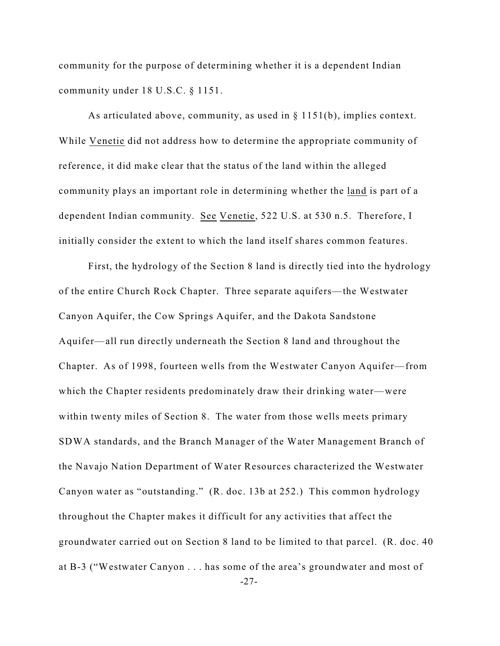community for the purpose of determining whether it is a dependent Indian community under 18 U.S.C. § 1151.

As articulated above, community, as used in § 1151(b), implies context. While Venetie did not address how to determine the appropriate community of reference, it did make clear that the status of the land within the alleged community plays an important role in determining whether the land is part of a dependent Indian community. See Venetie, 522 U.S. at 530 n.5. Therefore, I initially consider the extent to which the land itself shares common features.

First, the hydrology of the Section 8 land is directly tied into the hydrology of the entire Church Rock Chapter. Three separate aquifers—the Westwater Canyon Aquifer, the Cow Springs Aquifer, and the Dakota Sandstone Aquifer—all run directly underneath the Section 8 land and throughout the Chapter. As of 1998, fourteen wells from the Westwater Canyon Aquifer—from which the Chapter residents predominately draw their drinking water—were within twenty miles of Section 8. The water from those wells meets primary SDWA standards, and the Branch Manager of the Water Management Branch of the Navajo Nation Department of Water Resources characterized the Westwater Canyon water as "outstanding." (R. doc. 13b at 252.) This common hydrology throughout the Chapter makes it difficult for any activities that affect the groundwater carried out on Section 8 land to be limited to that parcel. (R. doc. 40 at B-3 ("Westwater Canyon . . . has some of the area's groundwater and most of -27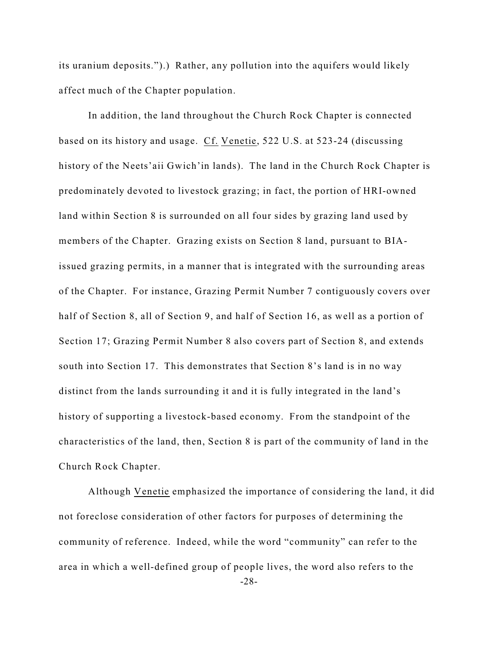its uranium deposits.").) Rather, any pollution into the aquifers would likely affect much of the Chapter population.

In addition, the land throughout the Church Rock Chapter is connected based on its history and usage. Cf. Venetie, 522 U.S. at 523-24 (discussing history of the Neets'aii Gwich'in lands). The land in the Church Rock Chapter is predominately devoted to livestock grazing; in fact, the portion of HRI-owned land within Section 8 is surrounded on all four sides by grazing land used by members of the Chapter. Grazing exists on Section 8 land, pursuant to BIAissued grazing permits, in a manner that is integrated with the surrounding areas of the Chapter. For instance, Grazing Permit Number 7 contiguously covers over half of Section 8, all of Section 9, and half of Section 16, as well as a portion of Section 17; Grazing Permit Number 8 also covers part of Section 8, and extends south into Section 17. This demonstrates that Section 8's land is in no way distinct from the lands surrounding it and it is fully integrated in the land's history of supporting a livestock-based economy. From the standpoint of the characteristics of the land, then, Section 8 is part of the community of land in the Church Rock Chapter.

Although Venetie emphasized the importance of considering the land, it did not foreclose consideration of other factors for purposes of determining the community of reference. Indeed, while the word "community" can refer to the area in which a well-defined group of people lives, the word also refers to the -28-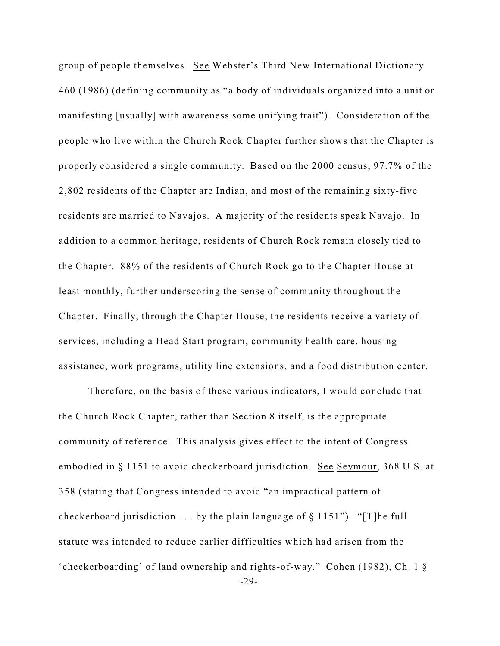group of people themselves. See Webster's Third New International Dictionary 460 (1986) (defining community as "a body of individuals organized into a unit or manifesting [usually] with awareness some unifying trait"). Consideration of the people who live within the Church Rock Chapter further shows that the Chapter is properly considered a single community. Based on the 2000 census, 97.7% of the 2,802 residents of the Chapter are Indian, and most of the remaining sixty-five residents are married to Navajos. A majority of the residents speak Navajo. In addition to a common heritage, residents of Church Rock remain closely tied to the Chapter. 88% of the residents of Church Rock go to the Chapter House at least monthly, further underscoring the sense of community throughout the Chapter. Finally, through the Chapter House, the residents receive a variety of services, including a Head Start program, community health care, housing assistance, work programs, utility line extensions, and a food distribution center.

Therefore, on the basis of these various indicators, I would conclude that the Church Rock Chapter, rather than Section 8 itself, is the appropriate community of reference. This analysis gives effect to the intent of Congress embodied in § 1151 to avoid checkerboard jurisdiction. See Seymour, 368 U.S. at 358 (stating that Congress intended to avoid "an impractical pattern of checkerboard jurisdiction  $\dots$  by the plain language of § 1151"). "[T]he full statute was intended to reduce earlier difficulties which had arisen from the 'checkerboarding' of land ownership and rights-of-way." Cohen (1982), Ch. 1 § -29-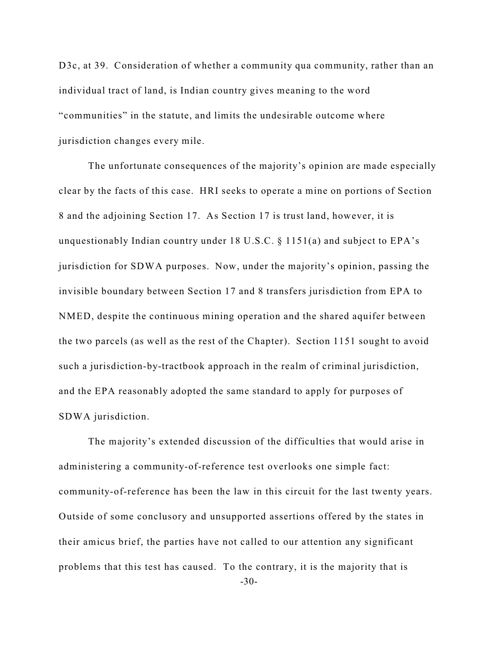D3c, at 39. Consideration of whether a community qua community, rather than an individual tract of land, is Indian country gives meaning to the word "communities" in the statute, and limits the undesirable outcome where jurisdiction changes every mile.

The unfortunate consequences of the majority's opinion are made especially clear by the facts of this case. HRI seeks to operate a mine on portions of Section 8 and the adjoining Section 17. As Section 17 is trust land, however, it is unquestionably Indian country under 18 U.S.C. § 1151(a) and subject to EPA's jurisdiction for SDWA purposes. Now, under the majority's opinion, passing the invisible boundary between Section 17 and 8 transfers jurisdiction from EPA to NMED, despite the continuous mining operation and the shared aquifer between the two parcels (as well as the rest of the Chapter). Section 1151 sought to avoid such a jurisdiction-by-tractbook approach in the realm of criminal jurisdiction, and the EPA reasonably adopted the same standard to apply for purposes of SDWA jurisdiction.

The majority's extended discussion of the difficulties that would arise in administering a community-of-reference test overlooks one simple fact: community-of-reference has been the law in this circuit for the last twenty years. Outside of some conclusory and unsupported assertions offered by the states in their amicus brief, the parties have not called to our attention any significant problems that this test has caused. To the contrary, it is the majority that is -30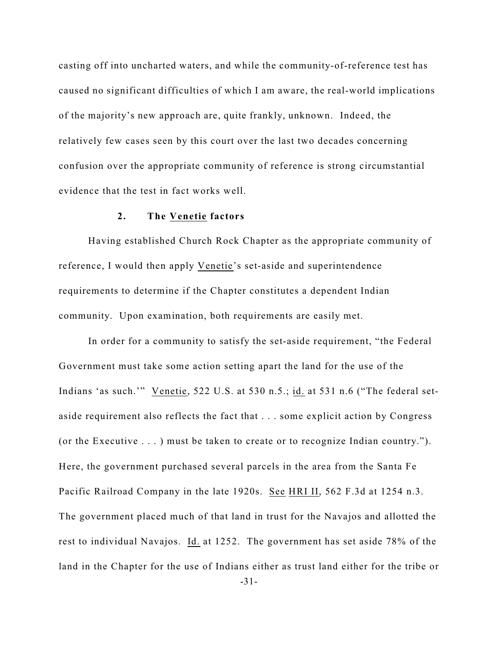casting off into uncharted waters, and while the community-of-reference test has caused no significant difficulties of which I am aware, the real-world implications of the majority's new approach are, quite frankly, unknown. Indeed, the relatively few cases seen by this court over the last two decades concerning confusion over the appropriate community of reference is strong circumstantial evidence that the test in fact works well.

## **2. The Venetie factors**

Having established Church Rock Chapter as the appropriate community of reference, I would then apply Venetie's set-aside and superintendence requirements to determine if the Chapter constitutes a dependent Indian community. Upon examination, both requirements are easily met.

In order for a community to satisfy the set-aside requirement, "the Federal Government must take some action setting apart the land for the use of the Indians 'as such.'" Venetie, 522 U.S. at 530 n.5.; id. at 531 n.6 ("The federal setaside requirement also reflects the fact that . . . some explicit action by Congress (or the Executive . . . ) must be taken to create or to recognize Indian country."). Here, the government purchased several parcels in the area from the Santa Fe Pacific Railroad Company in the late 1920s. See HRI II, 562 F.3d at 1254 n.3. The government placed much of that land in trust for the Navajos and allotted the rest to individual Navajos. Id. at 1252. The government has set aside 78% of the land in the Chapter for the use of Indians either as trust land either for the tribe or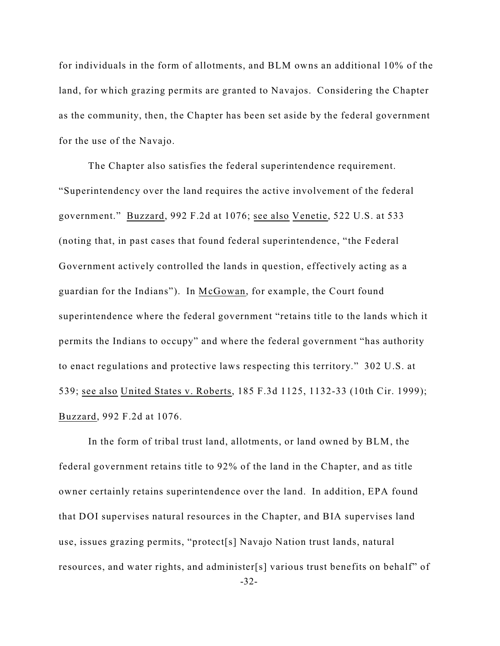for individuals in the form of allotments, and BLM owns an additional 10% of the land, for which grazing permits are granted to Navajos. Considering the Chapter as the community, then, the Chapter has been set aside by the federal government for the use of the Navajo.

The Chapter also satisfies the federal superintendence requirement. "Superintendency over the land requires the active involvement of the federal government." Buzzard, 992 F.2d at 1076; see also Venetie, 522 U.S. at 533 (noting that, in past cases that found federal superintendence, "the Federal Government actively controlled the lands in question, effectively acting as a guardian for the Indians"). In McGowan, for example, the Court found superintendence where the federal government "retains title to the lands which it permits the Indians to occupy" and where the federal government "has authority to enact regulations and protective laws respecting this territory." 302 U.S. at 539; see also United States v. Roberts, 185 F.3d 1125, 1132-33 (10th Cir. 1999); Buzzard, 992 F.2d at 1076.

In the form of tribal trust land, allotments, or land owned by BLM, the federal government retains title to 92% of the land in the Chapter, and as title owner certainly retains superintendence over the land. In addition, EPA found that DOI supervises natural resources in the Chapter, and BIA supervises land use, issues grazing permits, "protect[s] Navajo Nation trust lands, natural resources, and water rights, and administer[s] various trust benefits on behalf" of -32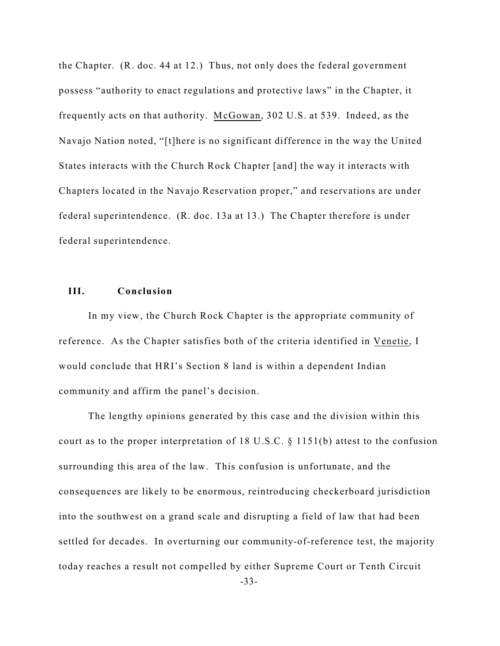the Chapter. (R. doc. 44 at 12.) Thus, not only does the federal government possess "authority to enact regulations and protective laws" in the Chapter, it frequently acts on that authority. McGowan, 302 U.S. at 539. Indeed, as the Navajo Nation noted, "[t]here is no significant difference in the way the United States interacts with the Church Rock Chapter [and] the way it interacts with Chapters located in the Navajo Reservation proper," and reservations are under federal superintendence. (R. doc. 13a at 13.) The Chapter therefore is under federal superintendence.

## **III. Conclusion**

In my view, the Church Rock Chapter is the appropriate community of reference. As the Chapter satisfies both of the criteria identified in Venetie, I would conclude that HRI's Section 8 land is within a dependent Indian community and affirm the panel's decision.

The lengthy opinions generated by this case and the division within this court as to the proper interpretation of 18 U.S.C. § 1151(b) attest to the confusion surrounding this area of the law. This confusion is unfortunate, and the consequences are likely to be enormous, reintroducing checkerboard jurisdiction into the southwest on a grand scale and disrupting a field of law that had been settled for decades. In overturning our community-of-reference test, the majority today reaches a result not compelled by either Supreme Court or Tenth Circuit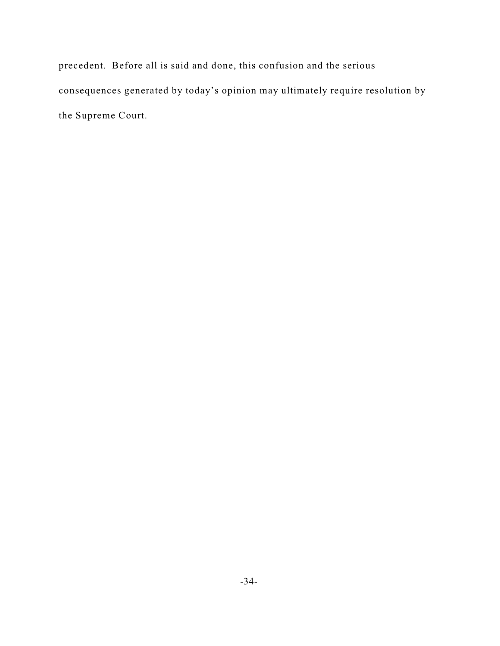precedent. Before all is said and done, this confusion and the serious consequences generated by today's opinion may ultimately require resolution by the Supreme Court.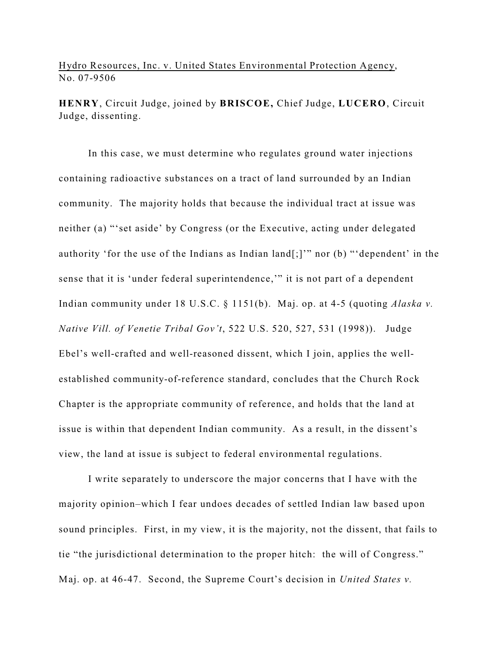## Hydro Resources, Inc. v. United States Environmental Protection Agency, No. 07-9506

**HENRY**, Circuit Judge, joined by **BRISCOE,** Chief Judge, **LUCERO**, Circuit Judge, dissenting.

In this case, we must determine who regulates ground water injections containing radioactive substances on a tract of land surrounded by an Indian community. The majority holds that because the individual tract at issue was neither (a) "'set aside' by Congress (or the Executive, acting under delegated authority 'for the use of the Indians as Indian land[;]'" nor (b) "'dependent' in the sense that it is 'under federal superintendence,'" it is not part of a dependent Indian community under 18 U.S.C. § 1151(b). Maj. op. at 4-5 (quoting *Alaska v. Native Vill. of Venetie Tribal Gov't*, 522 U.S. 520, 527, 531 (1998)). Judge Ebel's well-crafted and well-reasoned dissent, which I join, applies the wellestablished community-of-reference standard, concludes that the Church Rock Chapter is the appropriate community of reference, and holds that the land at issue is within that dependent Indian community. As a result, in the dissent's view, the land at issue is subject to federal environmental regulations.

I write separately to underscore the major concerns that I have with the majority opinion–which I fear undoes decades of settled Indian law based upon sound principles. First, in my view, it is the majority, not the dissent, that fails to tie "the jurisdictional determination to the proper hitch: the will of Congress." Maj. op. at 46-47. Second, the Supreme Court's decision in *United States v.*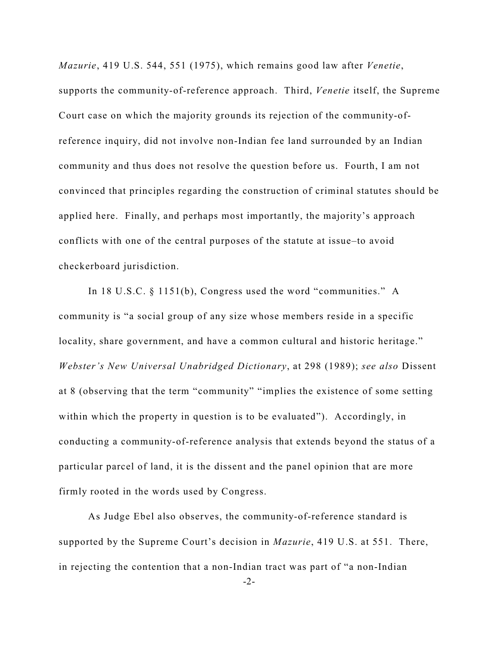*Mazurie*, 419 U.S. 544, 551 (1975), which remains good law after *Venetie*, supports the community-of-reference approach. Third, *Venetie* itself, the Supreme Court case on which the majority grounds its rejection of the community-ofreference inquiry, did not involve non-Indian fee land surrounded by an Indian community and thus does not resolve the question before us. Fourth, I am not convinced that principles regarding the construction of criminal statutes should be applied here. Finally, and perhaps most importantly, the majority's approach conflicts with one of the central purposes of the statute at issue–to avoid checkerboard jurisdiction.

In 18 U.S.C. § 1151(b), Congress used the word "communities." A community is "a social group of any size whose members reside in a specific locality, share government, and have a common cultural and historic heritage." *Webster's New Universal Unabridged Dictionary*, at 298 (1989); *see also* Dissent at 8 (observing that the term "community" "implies the existence of some setting within which the property in question is to be evaluated"). Accordingly, in conducting a community-of-reference analysis that extends beyond the status of a particular parcel of land, it is the dissent and the panel opinion that are more firmly rooted in the words used by Congress.

As Judge Ebel also observes, the community-of-reference standard is supported by the Supreme Court's decision in *Mazurie*, 419 U.S. at 551. There, in rejecting the contention that a non-Indian tract was part of "a non-Indian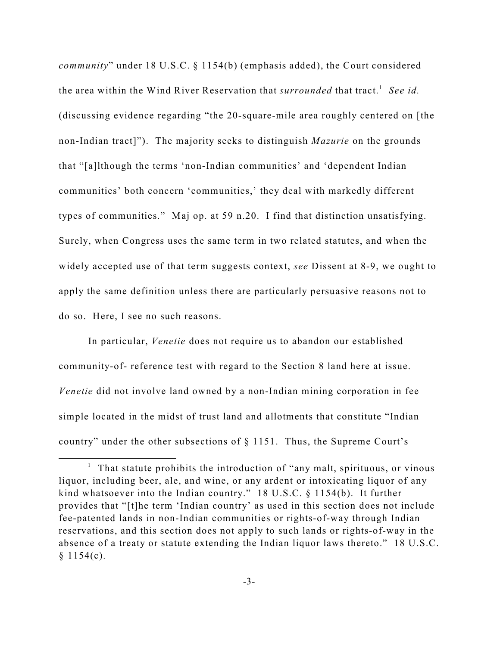*community*" under 18 U.S.C. § 1154(b) (emphasis added), the Court considered the area within the Wind River Reservation that *surrounded* that tract.<sup>1</sup> See id. (discussing evidence regarding "the 20-square-mile area roughly centered on [the non-Indian tract]"). The majority seeks to distinguish *Mazurie* on the grounds that "[a]lthough the terms 'non-Indian communities' and 'dependent Indian communities' both concern 'communities,' they deal with markedly different types of communities." Maj op. at 59 n.20. I find that distinction unsatisfying. Surely, when Congress uses the same term in two related statutes, and when the widely accepted use of that term suggests context, *see* Dissent at 8-9, we ought to apply the same definition unless there are particularly persuasive reasons not to do so. Here, I see no such reasons.

In particular, *Venetie* does not require us to abandon our established community-of- reference test with regard to the Section 8 land here at issue. *Venetie* did not involve land owned by a non-Indian mining corporation in fee simple located in the midst of trust land and allotments that constitute "Indian country" under the other subsections of § 1151. Thus, the Supreme Court's

<sup>&</sup>lt;sup>1</sup> That statute prohibits the introduction of "any malt, spirituous, or vinous liquor, including beer, ale, and wine, or any ardent or intoxicating liquor of any kind whatsoever into the Indian country." 18 U.S.C. § 1154(b). It further provides that "[t]he term 'Indian country' as used in this section does not include fee-patented lands in non-Indian communities or rights-of-way through Indian reservations, and this section does not apply to such lands or rights-of-way in the absence of a treaty or statute extending the Indian liquor laws thereto." 18 U.S.C.  $§ 1154(c).$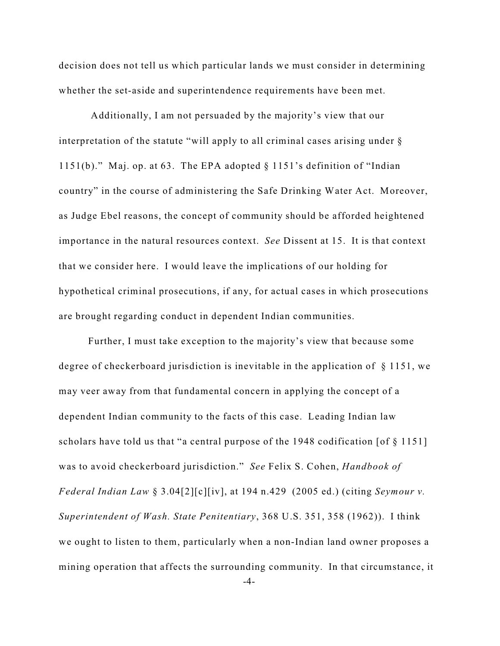decision does not tell us which particular lands we must consider in determining whether the set-aside and superintendence requirements have been met.

Additionally, I am not persuaded by the majority's view that our interpretation of the statute "will apply to all criminal cases arising under § 1151(b)." Maj. op. at 63. The EPA adopted § 1151's definition of "Indian country" in the course of administering the Safe Drinking Water Act. Moreover, as Judge Ebel reasons, the concept of community should be afforded heightened importance in the natural resources context. *See* Dissent at 15. It is that context that we consider here. I would leave the implications of our holding for hypothetical criminal prosecutions, if any, for actual cases in which prosecutions are brought regarding conduct in dependent Indian communities.

Further, I must take exception to the majority's view that because some degree of checkerboard jurisdiction is inevitable in the application of § 1151, we may veer away from that fundamental concern in applying the concept of a dependent Indian community to the facts of this case. Leading Indian law scholars have told us that "a central purpose of the 1948 codification [of § 1151] was to avoid checkerboard jurisdiction." *See* Felix S. Cohen, *Handbook of Federal Indian Law* § 3.04[2][c][iv], at 194 n.429 (2005 ed.) (citing *Seymour v. Superintendent of Wash. State Penitentiary*, 368 U.S. 351, 358 (1962)). I think we ought to listen to them, particularly when a non-Indian land owner proposes a mining operation that affects the surrounding community. In that circumstance, it

-4-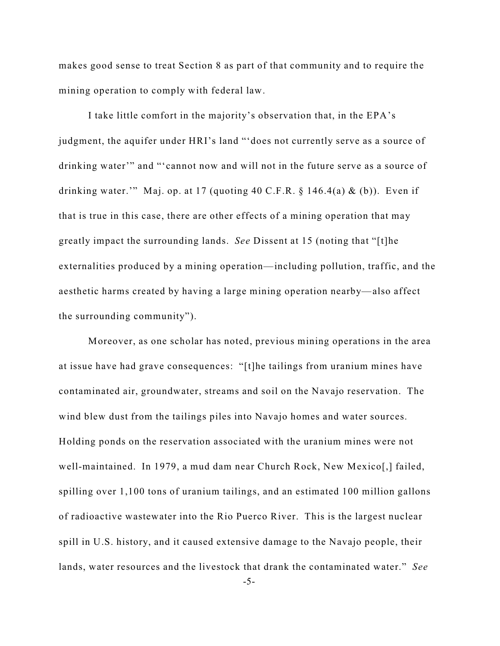makes good sense to treat Section 8 as part of that community and to require the mining operation to comply with federal law.

I take little comfort in the majority's observation that, in the EPA's judgment, the aquifer under HRI's land "'does not currently serve as a source of drinking water'" and "'cannot now and will not in the future serve as a source of drinking water." Maj. op. at 17 (quoting 40 C.F.R.  $\S$  146.4(a) & (b)). Even if that is true in this case, there are other effects of a mining operation that may greatly impact the surrounding lands. *See* Dissent at 15 (noting that "[t]he externalities produced by a mining operation—including pollution, traffic, and the aesthetic harms created by having a large mining operation nearby—also affect the surrounding community").

Moreover, as one scholar has noted, previous mining operations in the area at issue have had grave consequences: "[t]he tailings from uranium mines have contaminated air, groundwater, streams and soil on the Navajo reservation. The wind blew dust from the tailings piles into Navajo homes and water sources. Holding ponds on the reservation associated with the uranium mines were not well-maintained. In 1979, a mud dam near Church Rock, New Mexico[,] failed, spilling over 1,100 tons of uranium tailings, and an estimated 100 million gallons of radioactive wastewater into the Rio Puerco River. This is the largest nuclear spill in U.S. history, and it caused extensive damage to the Navajo people, their lands, water resources and the livestock that drank the contaminated water." *See* -5